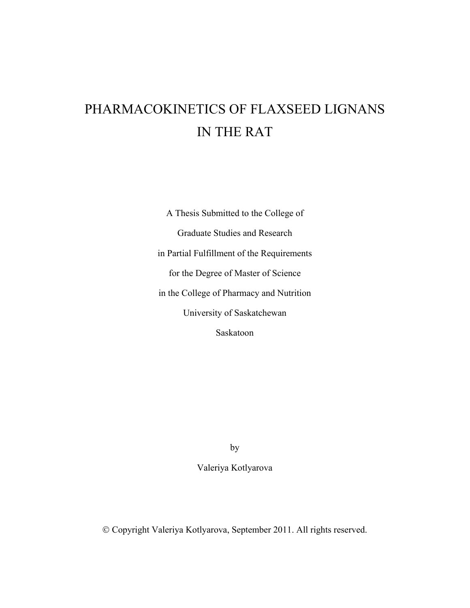# PHARMACOKINETICS OF FLAXSEED LIGNANS IN THE RAT

A Thesis Submitted to the College of Graduate Studies and Research in Partial Fulfillment of the Requirements for the Degree of Master of Science in the College of Pharmacy and Nutrition University of Saskatchewan Saskatoon

by

Valeriya Kotlyarova

© Copyright Valeriya Kotlyarova, September 2011. All rights reserved.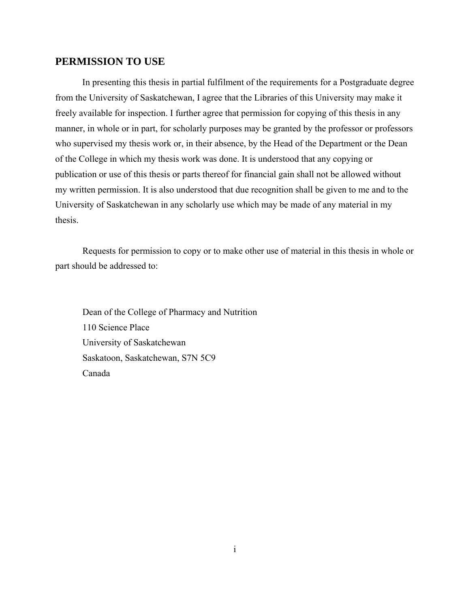### **PERMISSION TO USE**

In presenting this thesis in partial fulfilment of the requirements for a Postgraduate degree from the University of Saskatchewan, I agree that the Libraries of this University may make it freely available for inspection. I further agree that permission for copying of this thesis in any manner, in whole or in part, for scholarly purposes may be granted by the professor or professors who supervised my thesis work or, in their absence, by the Head of the Department or the Dean of the College in which my thesis work was done. It is understood that any copying or publication or use of this thesis or parts thereof for financial gain shall not be allowed without my written permission. It is also understood that due recognition shall be given to me and to the University of Saskatchewan in any scholarly use which may be made of any material in my thesis.

 Requests for permission to copy or to make other use of material in this thesis in whole or part should be addressed to:

 Dean of the College of Pharmacy and Nutrition 110 Science Place University of Saskatchewan Saskatoon, Saskatchewan, S7N 5C9 Canada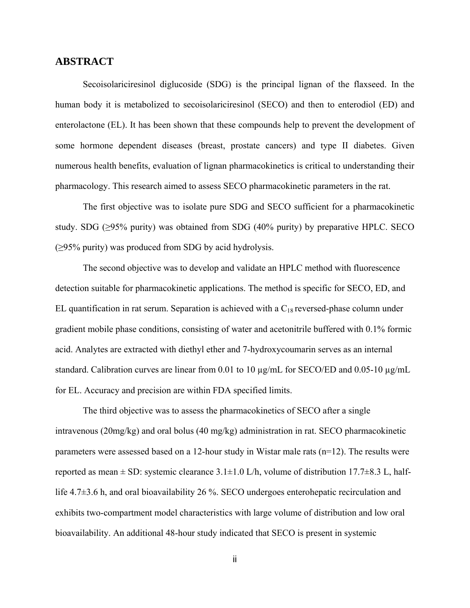#### **ABSTRACT**

Secoisolariciresinol diglucoside (SDG) is the principal lignan of the flaxseed. In the human body it is metabolized to secoisolariciresinol (SECO) and then to enterodiol (ED) and enterolactone (EL). It has been shown that these compounds help to prevent the development of some hormone dependent diseases (breast, prostate cancers) and type II diabetes. Given numerous health benefits, evaluation of lignan pharmacokinetics is critical to understanding their pharmacology. This research aimed to assess SECO pharmacokinetic parameters in the rat.

The first objective was to isolate pure SDG and SECO sufficient for a pharmacokinetic study. SDG ( $\geq$ 95% purity) was obtained from SDG (40% purity) by preparative HPLC. SECO  $(\geq)5\%$  purity) was produced from SDG by acid hydrolysis.

The second objective was to develop and validate an HPLC method with fluorescence detection suitable for pharmacokinetic applications. The method is specific for SECO, ED, and EL quantification in rat serum. Separation is achieved with a  $C_{18}$  reversed-phase column under gradient mobile phase conditions, consisting of water and acetonitrile buffered with 0.1% formic acid. Analytes are extracted with diethyl ether and 7-hydroxycoumarin serves as an internal standard. Calibration curves are linear from 0.01 to 10  $\mu$ g/mL for SECO/ED and 0.05-10  $\mu$ g/mL for EL. Accuracy and precision are within FDA specified limits.

The third objective was to assess the pharmacokinetics of SECO after a single intravenous (20mg/kg) and oral bolus (40 mg/kg) administration in rat. SECO pharmacokinetic parameters were assessed based on a 12-hour study in Wistar male rats (n=12). The results were reported as mean  $\pm$  SD: systemic clearance 3.1 $\pm$ 1.0 L/h, volume of distribution 17.7 $\pm$ 8.3 L, halflife 4.7±3.6 h, and oral bioavailability 26 %. SECO undergoes enterohepatic recirculation and exhibits two-compartment model characteristics with large volume of distribution and low oral bioavailability. An additional 48-hour study indicated that SECO is present in systemic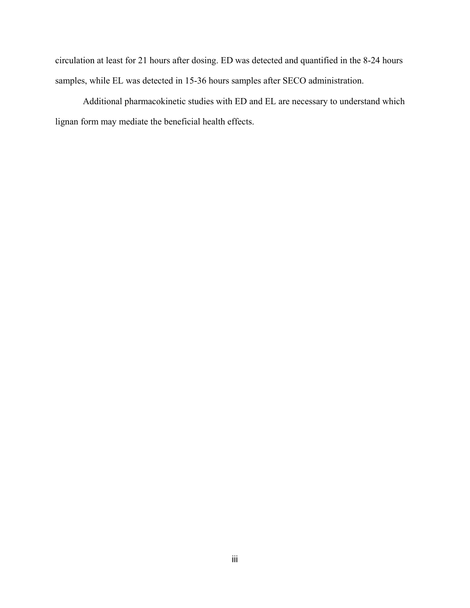circulation at least for 21 hours after dosing. ED was detected and quantified in the 8-24 hours samples, while EL was detected in 15-36 hours samples after SECO administration.

Additional pharmacokinetic studies with ED and EL are necessary to understand which lignan form may mediate the beneficial health effects.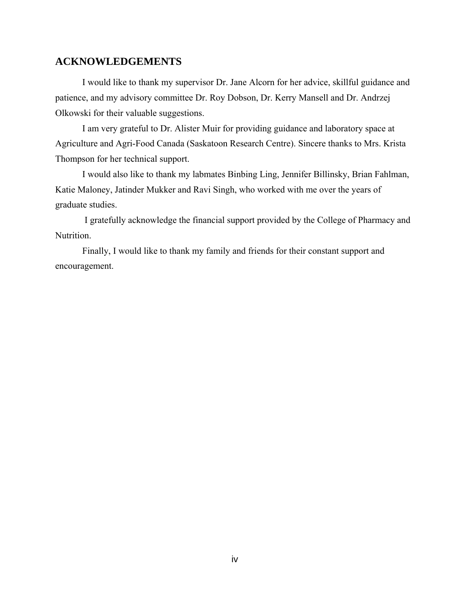### **ACKNOWLEDGEMENTS**

I would like to thank my supervisor Dr. Jane Alcorn for her advice, skillful guidance and patience, and my advisory committee Dr. Roy Dobson, Dr. Kerry Mansell and Dr. Andrzej Olkowski for their valuable suggestions.

I am very grateful to Dr. Alister Muir for providing guidance and laboratory space at Agriculture and Agri-Food Canada (Saskatoon Research Centre). Sincere thanks to Mrs. Krista Thompson for her technical support.

I would also like to thank my labmates Binbing Ling, Jennifer Billinsky, Brian Fahlman, Katie Maloney, Jatinder Mukker and Ravi Singh, who worked with me over the years of graduate studies.

 I gratefully acknowledge the financial support provided by the College of Pharmacy and Nutrition.

Finally, I would like to thank my family and friends for their constant support and encouragement.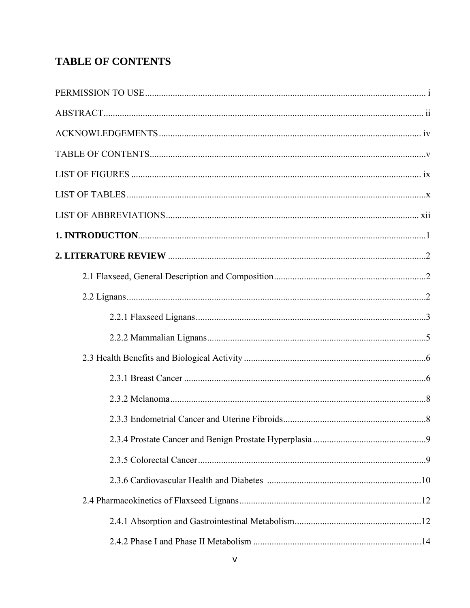# **TABLE OF CONTENTS**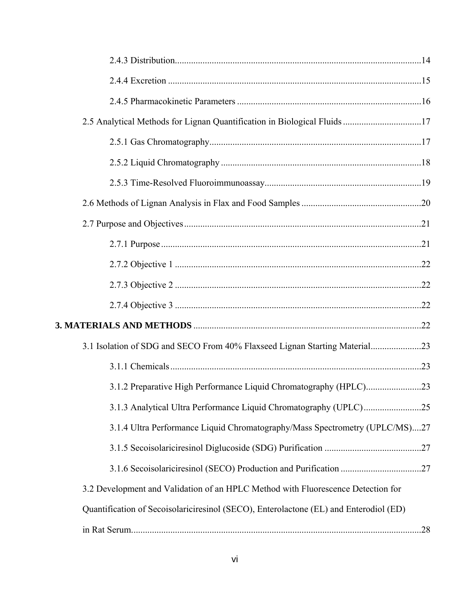| 3.1 Isolation of SDG and SECO From 40% Flaxseed Lignan Starting Material23            |  |
|---------------------------------------------------------------------------------------|--|
|                                                                                       |  |
| 3.1.2 Preparative High Performance Liquid Chromatography (HPLC)23                     |  |
|                                                                                       |  |
| 3.1.4 Ultra Performance Liquid Chromatography/Mass Spectrometry (UPLC/MS)27           |  |
|                                                                                       |  |
|                                                                                       |  |
| 3.2 Development and Validation of an HPLC Method with Fluorescence Detection for      |  |
| Quantification of Secoisolariciresinol (SECO), Enterolactone (EL) and Enterodiol (ED) |  |
|                                                                                       |  |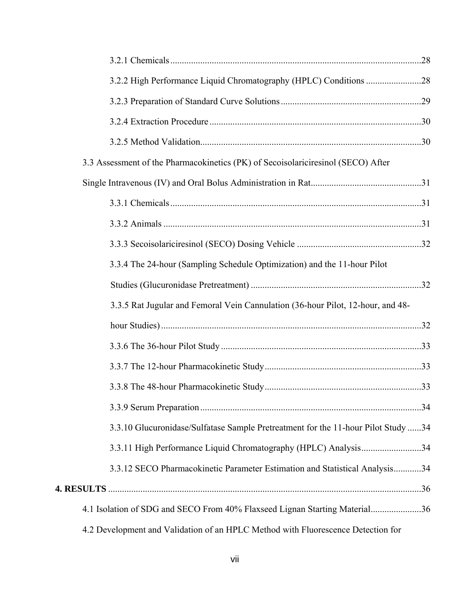| 3.3 Assessment of the Pharmacokinetics (PK) of Secoisolariciresinol (SECO) After  |  |
|-----------------------------------------------------------------------------------|--|
|                                                                                   |  |
|                                                                                   |  |
|                                                                                   |  |
|                                                                                   |  |
| 3.3.4 The 24-hour (Sampling Schedule Optimization) and the 11-hour Pilot          |  |
|                                                                                   |  |
| 3.3.5 Rat Jugular and Femoral Vein Cannulation (36-hour Pilot, 12-hour, and 48-   |  |
|                                                                                   |  |
|                                                                                   |  |
|                                                                                   |  |
|                                                                                   |  |
|                                                                                   |  |
| 3.3.10 Glucuronidase/Sulfatase Sample Pretreatment for the 11-hour Pilot Study 34 |  |
| 3.3.11 High Performance Liquid Chromatography (HPLC) Analysis34                   |  |
| 3.3.12 SECO Pharmacokinetic Parameter Estimation and Statistical Analysis34       |  |
|                                                                                   |  |
| 4.1 Isolation of SDG and SECO From 40% Flaxseed Lignan Starting Material36        |  |
| 4.2 Development and Validation of an HPLC Method with Fluorescence Detection for  |  |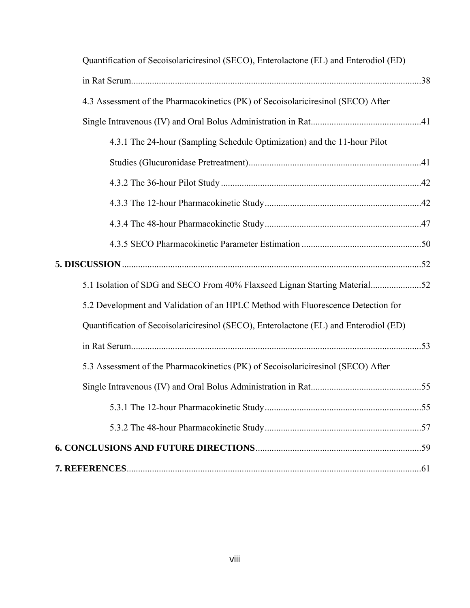| Quantification of Secoisolariciresinol (SECO), Enterolactone (EL) and Enterodiol (ED) |  |
|---------------------------------------------------------------------------------------|--|
|                                                                                       |  |
| 4.3 Assessment of the Pharmacokinetics (PK) of Secoisolariciresinol (SECO) After      |  |
|                                                                                       |  |
| 4.3.1 The 24-hour (Sampling Schedule Optimization) and the 11-hour Pilot              |  |
|                                                                                       |  |
|                                                                                       |  |
|                                                                                       |  |
|                                                                                       |  |
|                                                                                       |  |
|                                                                                       |  |
| 5.1 Isolation of SDG and SECO From 40% Flaxseed Lignan Starting Material52            |  |
| 5.2 Development and Validation of an HPLC Method with Fluorescence Detection for      |  |
| Quantification of Secoisolariciresinol (SECO), Enterolactone (EL) and Enterodiol (ED) |  |
|                                                                                       |  |
| 5.3 Assessment of the Pharmacokinetics (PK) of Secoisolariciresinol (SECO) After      |  |
|                                                                                       |  |
|                                                                                       |  |
|                                                                                       |  |
|                                                                                       |  |
|                                                                                       |  |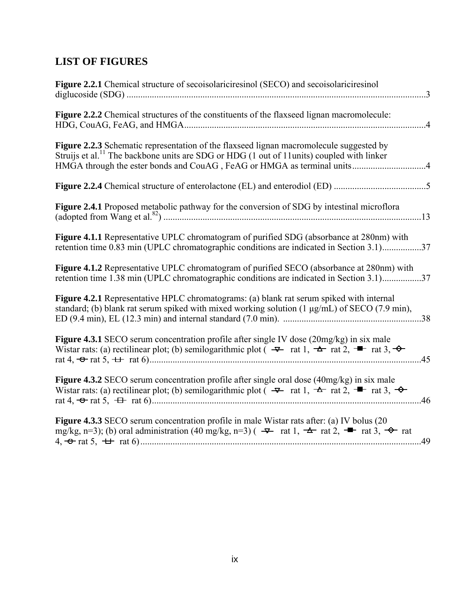# **LIST OF FIGURES**

| Figure 2.2.1 Chemical structure of secoisolariciresinol (SECO) and secoisolariciresinol<br>$\ldots$ 3                                                                                                                                                                           |
|---------------------------------------------------------------------------------------------------------------------------------------------------------------------------------------------------------------------------------------------------------------------------------|
| Figure 2.2.2 Chemical structures of the constituents of the flaxseed lignan macromolecule:<br>$\ldots$ 4                                                                                                                                                                        |
| <b>Figure 2.2.3</b> Schematic representation of the flaxseed lignan macromolecule suggested by<br>Struijs et al. <sup>11</sup> The backbone units are SDG or HDG (1 out of 11 units) coupled with linker                                                                        |
|                                                                                                                                                                                                                                                                                 |
| Figure 2.4.1 Proposed metabolic pathway for the conversion of SDG by intestinal microflora                                                                                                                                                                                      |
| Figure 4.1.1 Representative UPLC chromatogram of purified SDG (absorbance at 280nm) with<br>retention time 0.83 min (UPLC chromatographic conditions are indicated in Section 3.1)37                                                                                            |
| Figure 4.1.2 Representative UPLC chromatogram of purified SECO (absorbance at 280nm) with<br>retention time 1.38 min (UPLC chromatographic conditions are indicated in Section 3.1)37                                                                                           |
| Figure 4.2.1 Representative HPLC chromatograms: (a) blank rat serum spiked with internal<br>standard; (b) blank rat serum spiked with mixed working solution $(1 \mu g/mL)$ of SECO $(7.9 \text{ min})$ ,                                                                       |
| <b>Figure 4.3.1</b> SECO serum concentration profile after single IV dose (20mg/kg) in six male<br>Wistar rats: (a) rectilinear plot; (b) semilogarithmic plot $(\overline{\bullet}$ rat 1, $\overline{\bullet}$ rat 2, $\overline{\bullet}$ rat 3, $\overline{\bullet}$<br>.45 |
| <b>Figure 4.3.2</b> SECO serum concentration profile after single oral dose (40mg/kg) in six male<br>Wistar rats: (a) rectilinear plot; (b) semilogarithmic plot $(\overline{\ast})$ rat 1, $\overline{\ast}$ rat 2, $\overline{\ast}$ rat 3, $\overline{\ast}$<br>.46          |
| <b>Figure 4.3.3</b> SECO serum concentration profile in male Wistar rats after: (a) IV bolus (20)<br>mg/kg, n=3); (b) oral administration (40 mg/kg, n=3) ( $\rightarrow$ rat 1, $\rightarrow$ rat 2, $\rightarrow$ rat 3, $\rightarrow$ rat                                    |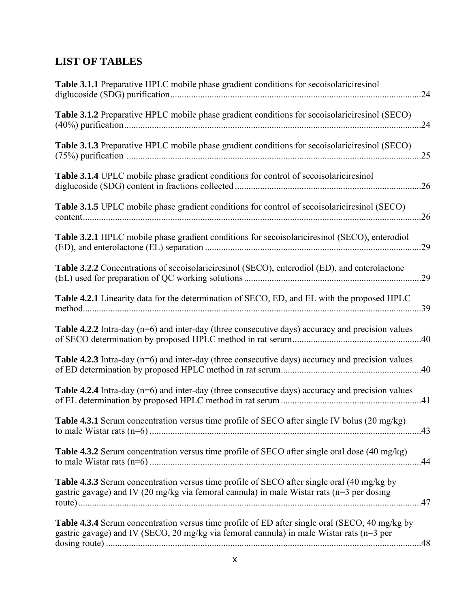# **LIST OF TABLES**

| Table 3.1.1 Preparative HPLC mobile phase gradient conditions for secoisolariciresinol                                                                                                            | .24 |
|---------------------------------------------------------------------------------------------------------------------------------------------------------------------------------------------------|-----|
| Table 3.1.2 Preparative HPLC mobile phase gradient conditions for secoisolariciresinol (SECO)                                                                                                     | .24 |
| Table 3.1.3 Preparative HPLC mobile phase gradient conditions for secoisolariciresinol (SECO)                                                                                                     | .25 |
| <b>Table 3.1.4</b> UPLC mobile phase gradient conditions for control of secoisolariciresinol                                                                                                      | .26 |
| Table 3.1.5 UPLC mobile phase gradient conditions for control of secoisolariciresinol (SECO)                                                                                                      | .26 |
| Table 3.2.1 HPLC mobile phase gradient conditions for secoisolariciresinol (SECO), enterodiol                                                                                                     | 29  |
| <b>Table 3.2.2</b> Concentrations of secoisolariciresinol (SECO), enterodiol (ED), and enterolactone                                                                                              | .29 |
| Table 4.2.1 Linearity data for the determination of SECO, ED, and EL with the proposed HPLC<br>method                                                                                             | .39 |
| <b>Table 4.2.2</b> Intra-day $(n=6)$ and inter-day (three consecutive days) accuracy and precision values                                                                                         |     |
| <b>Table 4.2.3</b> Intra-day $(n=6)$ and inter-day (three consecutive days) accuracy and precision values                                                                                         |     |
| <b>Table 4.2.4</b> Intra-day $(n=6)$ and inter-day (three consecutive days) accuracy and precision values                                                                                         |     |
| Table 4.3.1 Serum concentration versus time profile of SECO after single IV bolus (20 mg/kg)                                                                                                      |     |
| <b>Table 4.3.2</b> Serum concentration versus time profile of SECO after single oral dose (40 mg/kg)                                                                                              |     |
| Table 4.3.3 Serum concentration versus time profile of SECO after single oral (40 mg/kg by<br>gastric gavage) and IV (20 mg/kg via femoral cannula) in male Wistar rats ( $n=3$ per dosing        |     |
| <b>Table 4.3.4</b> Serum concentration versus time profile of ED after single oral (SECO, 40 mg/kg by<br>gastric gavage) and IV (SECO, 20 mg/kg via femoral cannula) in male Wistar rats (n=3 per |     |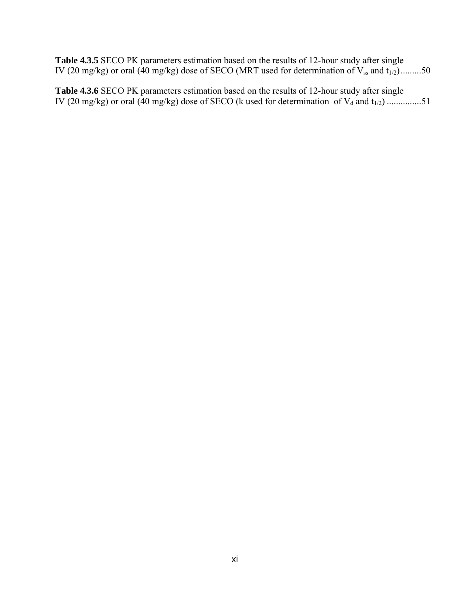**Table 4.3.5** SECO PK parameters estimation based on the results of 12-hour study after single IV (20 mg/kg) or oral (40 mg/kg) dose of SECO (MRT used for determination of  $V_{ss}$  and  $t_{1/2}$ ).........50

**Table 4.3.6** SECO PK parameters estimation based on the results of 12-hour study after single IV (20 mg/kg) or oral (40 mg/kg) dose of SECO (k used for determination of  $V_d$  and  $t_{1/2})$  ................51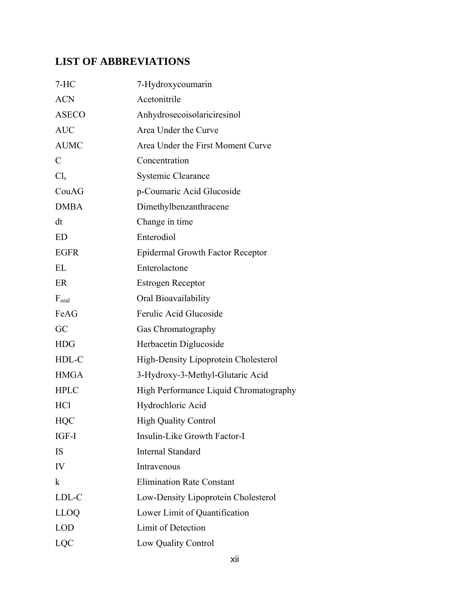# **LIST OF ABBREVIATIONS**

| $7-HC$           | 7-Hydroxycoumarin                       |
|------------------|-----------------------------------------|
| <b>ACN</b>       | Acetonitrile                            |
| <b>ASECO</b>     | Anhydrosecoisolariciresinol             |
| <b>AUC</b>       | Area Under the Curve                    |
| <b>AUMC</b>      | Area Under the First Moment Curve       |
| $\mathcal{C}$    | Concentration                           |
| Cl <sub>s</sub>  | <b>Systemic Clearance</b>               |
| CouAG            | p-Coumaric Acid Glucoside               |
| <b>DMBA</b>      | Dimethylbenzanthracene                  |
| dt               | Change in time                          |
| <b>ED</b>        | Enterodiol                              |
| <b>EGFR</b>      | <b>Epidermal Growth Factor Receptor</b> |
| EL               | Enterolactone                           |
| ER               | <b>Estrogen Receptor</b>                |
| $F_{\alpha r a}$ | Oral Bioavailability                    |
| FeAG             | Ferulic Acid Glucoside                  |
| GC               | Gas Chromatography                      |
| <b>HDG</b>       | Herbacetin Diglucoside                  |
| HDL-C            | High-Density Lipoprotein Cholesterol    |
| <b>HMGA</b>      | 3-Hydroxy-3-Methyl-Glutaric Acid        |
| <b>HPLC</b>      | High Performance Liquid Chromatography  |
| HC <sub>1</sub>  | Hydrochloric Acid                       |
| HQC              | <b>High Quality Control</b>             |
| IGF-I            | Insulin-Like Growth Factor-I            |
| IS               | <b>Internal Standard</b>                |
| IV               | Intravenous                             |
| $\bf k$          | <b>Elimination Rate Constant</b>        |
| LDL-C            | Low-Density Lipoprotein Cholesterol     |
| <b>LLOQ</b>      | Lower Limit of Quantification           |
| <b>LOD</b>       | Limit of Detection                      |
| <b>LQC</b>       | Low Quality Control                     |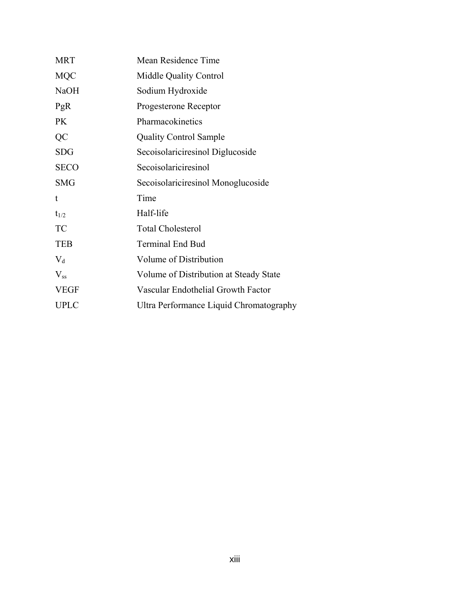| <b>MRT</b>  | Mean Residence Time                     |
|-------------|-----------------------------------------|
| <b>MQC</b>  | Middle Quality Control                  |
| <b>NaOH</b> | Sodium Hydroxide                        |
| PgR         | Progesterone Receptor                   |
| <b>PK</b>   | Pharmacokinetics                        |
| QC          | <b>Quality Control Sample</b>           |
| <b>SDG</b>  | Secoisolariciresinol Diglucoside        |
| <b>SECO</b> | Secoisolariciresinol                    |
| <b>SMG</b>  | Secoisolariciresinol Monoglucoside      |
| t           | Time                                    |
| $t_{1/2}$   | Half-life                               |
| <b>TC</b>   | <b>Total Cholesterol</b>                |
| <b>TEB</b>  | <b>Terminal End Bud</b>                 |
| $V_d$       | Volume of Distribution                  |
| $V_{ss}$    | Volume of Distribution at Steady State  |
| <b>VEGF</b> | Vascular Endothelial Growth Factor      |
| <b>UPLC</b> | Ultra Performance Liquid Chromatography |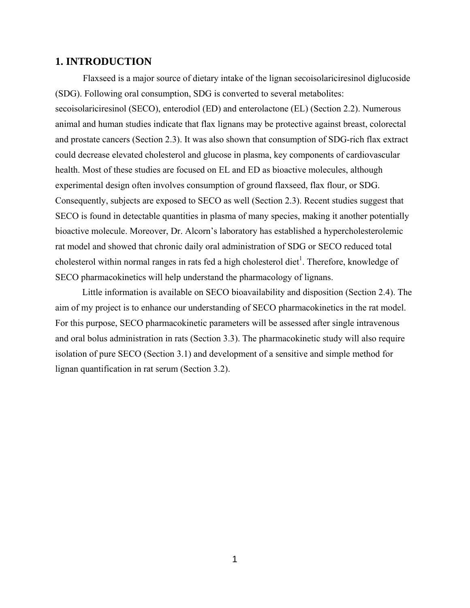#### **1. INTRODUCTION**

Flaxseed is a major source of dietary intake of the lignan secoisolariciresinol diglucoside (SDG). Following oral consumption, SDG is converted to several metabolites: secoisolariciresinol (SECO), enterodiol (ED) and enterolactone (EL) (Section 2.2). Numerous animal and human studies indicate that flax lignans may be protective against breast, colorectal and prostate cancers (Section 2.3). It was also shown that consumption of SDG-rich flax extract could decrease elevated cholesterol and glucose in plasma, key components of cardiovascular health. Most of these studies are focused on EL and ED as bioactive molecules, although experimental design often involves consumption of ground flaxseed, flax flour, or SDG. Consequently, subjects are exposed to SECO as well (Section 2.3). Recent studies suggest that SECO is found in detectable quantities in plasma of many species, making it another potentially bioactive molecule. Moreover, Dr. Alcorn's laboratory has established a hypercholesterolemic rat model and showed that chronic daily oral administration of SDG or SECO reduced total cholesterol within normal ranges in rats fed a high cholesterol diet<sup>1</sup>. Therefore, knowledge of SECO pharmacokinetics will help understand the pharmacology of lignans.

Little information is available on SECO bioavailability and disposition (Section 2.4). The aim of my project is to enhance our understanding of SECO pharmacokinetics in the rat model. For this purpose, SECO pharmacokinetic parameters will be assessed after single intravenous and oral bolus administration in rats (Section 3.3). The pharmacokinetic study will also require isolation of pure SECO (Section 3.1) and development of a sensitive and simple method for lignan quantification in rat serum (Section 3.2).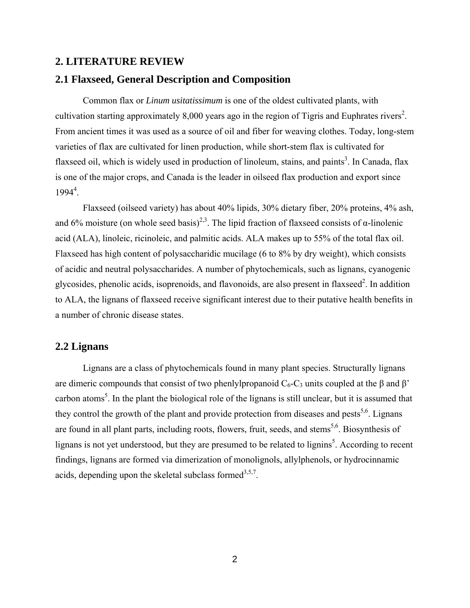#### **2. LITERATURE REVIEW**

# **2.1 Flaxseed, General Description and Composition**

Common flax or *Linum usitatissimum* is one of the oldest cultivated plants, with cultivation starting approximately 8,000 years ago in the region of Tigris and Euphrates rivers<sup>2</sup>. From ancient times it was used as a source of oil and fiber for weaving clothes. Today, long-stem varieties of flax are cultivated for linen production, while short-stem flax is cultivated for flaxseed oil, which is widely used in production of linoleum, stains, and paints<sup>3</sup>. In Canada, flax is one of the major crops, and Canada is the leader in oilseed flax production and export since  $1994<sup>4</sup>$ .

Flaxseed (oilseed variety) has about 40% lipids, 30% dietary fiber, 20% proteins, 4% ash, and 6% moisture (on whole seed basis)<sup>2,3</sup>. The lipid fraction of flaxseed consists of  $\alpha$ -linolenic acid (ALA), linoleic, ricinoleic, and palmitic acids. ALA makes up to 55% of the total flax oil. Flaxseed has high content of polysaccharidic mucilage (6 to 8% by dry weight), which consists of acidic and neutral polysaccharides. A number of phytochemicals, such as lignans, cyanogenic glycosides, phenolic acids, isoprenoids, and flavonoids, are also present in flaxseed<sup>2</sup>. In addition to ALA, the lignans of flaxseed receive significant interest due to their putative health benefits in a number of chronic disease states.

# **2.2 Lignans**

Lignans are a class of phytochemicals found in many plant species. Structurally lignans are dimeric compounds that consist of two phenlylpropanoid  $C_6$ -C<sub>3</sub> units coupled at the β and β' carbon atoms<sup>5</sup>. In the plant the biological role of the lignans is still unclear, but it is assumed that they control the growth of the plant and provide protection from diseases and pests<sup>5,6</sup>. Lignans are found in all plant parts, including roots, flowers, fruit, seeds, and stems<sup>5,6</sup>. Biosynthesis of lignans is not yet understood, but they are presumed to be related to lignins<sup>5</sup>. According to recent findings, lignans are formed via dimerization of monolignols, allylphenols, or hydrocinnamic acids, depending upon the skeletal subclass formed<sup>3,5,7</sup>.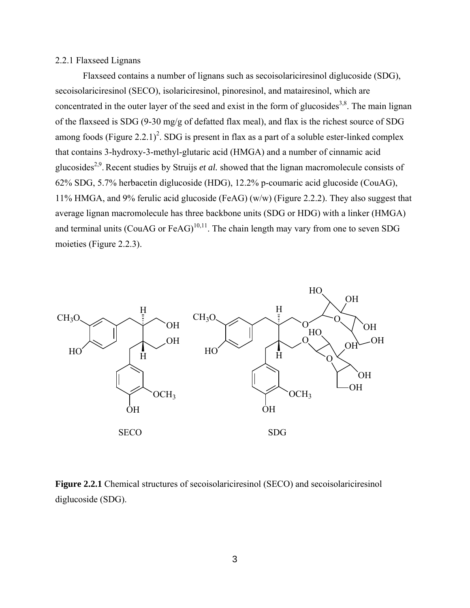#### 2.2.1 Flaxseed Lignans

Flaxseed contains a number of lignans such as secoisolariciresinol diglucoside (SDG), secoisolariciresinol (SECO), isolariciresinol, pinoresinol, and matairesinol, which are concentrated in the outer layer of the seed and exist in the form of glucosides<sup>3,8</sup>. The main lignan of the flaxseed is SDG (9-30 mg/g of defatted flax meal), and flax is the richest source of SDG among foods (Figure 2.2.1)<sup>2</sup>. SDG is present in flax as a part of a soluble ester-linked complex that contains 3-hydroxy-3-methyl-glutaric acid (HMGA) and a number of cinnamic acid glucosides2,9.Recent studies by Struijs *et al.* showed that the lignan macromolecule consists of 62% SDG, 5.7% herbacetin diglucoside (HDG), 12.2% p-coumaric acid glucoside (CouAG), 11% HMGA, and 9% ferulic acid glucoside (FeAG) (w/w) (Figure 2.2.2). They also suggest that average lignan macromolecule has three backbone units (SDG or HDG) with a linker (HMGA) and terminal units (CouAG or FeAG)<sup>10,11</sup>. The chain length may vary from one to seven SDG moieties (Figure 2.2.3).



**Figure 2.2.1** Chemical structures of secoisolariciresinol (SECO) and secoisolariciresinol diglucoside (SDG).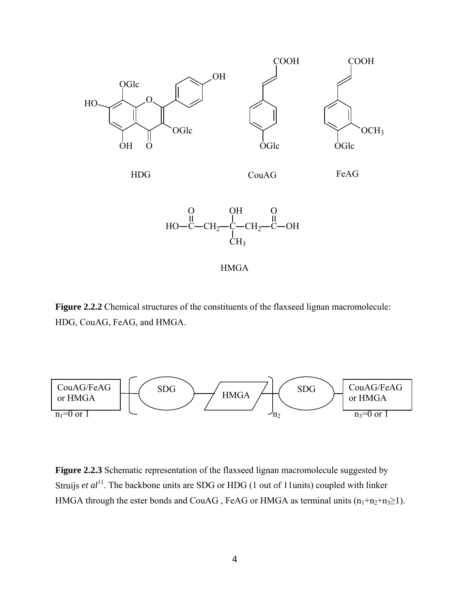



HMGA

Figure 2.2.2 Chemical structures of the constituents of the flaxseed lignan macromolecule: HDG, CouAG, FeAG, and HMGA.



**Figure 2.2.3** Schematic representation of the flaxseed lignan macromolecule suggested by Struijs *et al*<sup>11</sup>. The backbone units are SDG or HDG (1 out of 11units) coupled with linker HMGA through the ester bonds and CouAG, FeAG or HMGA as terminal units  $(n_1+n_2+n_3\geq 1)$ .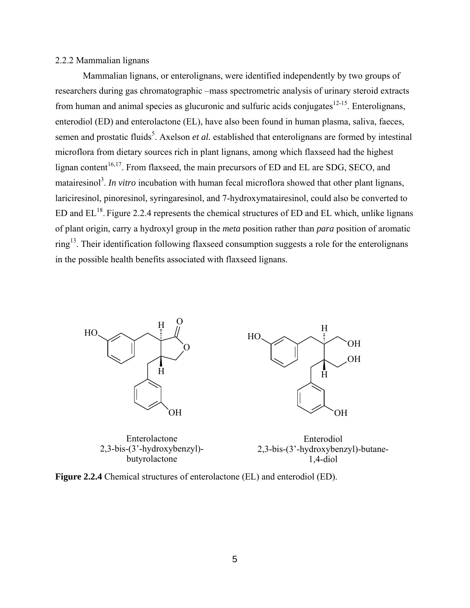#### 2.2.2 Mammalian lignans

Mammalian lignans, or enterolignans, were identified independently by two groups of researchers during gas chromatographic –mass spectrometric analysis of urinary steroid extracts from human and animal species as glucuronic and sulfuric acids conjugates<sup>12-15</sup>. Enterolignans, enterodiol (ED) and enterolactone (EL), have also been found in human plasma, saliva, faeces, semen and prostatic fluids<sup>5</sup>. Axelson *et al.* established that enterolignans are formed by intestinal microflora from dietary sources rich in plant lignans, among which flaxseed had the highest lignan content<sup>16,17</sup>. From flaxseed, the main precursors of ED and EL are SDG, SECO, and matairesinol<sup>3</sup>. In vitro incubation with human fecal microflora showed that other plant lignans, lariciresinol, pinoresinol, syringaresinol, and 7-hydroxymatairesinol, could also be converted to ED and  $EL^{18}$ . Figure 2.2.4 represents the chemical structures of ED and EL which, unlike lignans of plant origin, carry a hydroxyl group in the *meta* position rather than *para* position of aromatic ring<sup>13</sup>. Their identification following flaxseed consumption suggests a role for the enterolignans in the possible health benefits associated with flaxseed lignans.



Enterolactone 2,3-bis-(3'-hydroxybenzyl) butyrolactone

Enterodiol 2,3-bis-(3'-hydroxybenzyl)-butane-1,4-diol

H

 $\bar{H}$ 

OH

OH

OH



5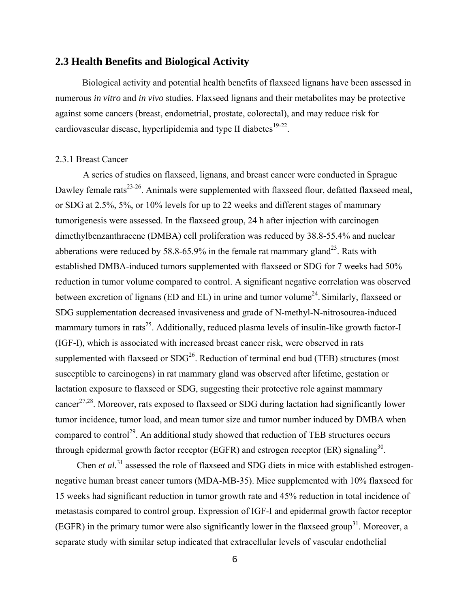# **2.3 Health Benefits and Biological Activity**

Biological activity and potential health benefits of flaxseed lignans have been assessed in numerous *in vitro* and *in vivo* studies. Flaxseed lignans and their metabolites may be protective against some cancers (breast, endometrial, prostate, colorectal), and may reduce risk for cardiovascular disease, hyperlipidemia and type II diabetes<sup>19-22</sup>.

#### 2.3.1 Breast Cancer

A series of studies on flaxseed, lignans, and breast cancer were conducted in Sprague Dawley female rats<sup>23-26</sup>. Animals were supplemented with flaxseed flour, defatted flaxseed meal, or SDG at 2.5%, 5%, or 10% levels for up to 22 weeks and different stages of mammary tumorigenesis were assessed. In the flaxseed group, 24 h after injection with carcinogen dimethylbenzanthracene (DMBA) cell proliferation was reduced by 38.8-55.4% and nuclear abberations were reduced by 58.8-65.9% in the female rat mammary gland<sup>23</sup>. Rats with established DMBA-induced tumors supplemented with flaxseed or SDG for 7 weeks had 50% reduction in tumor volume compared to control. A significant negative correlation was observed between excretion of lignans (ED and EL) in urine and tumor volume<sup>24</sup>. Similarly, flaxseed or SDG supplementation decreased invasiveness and grade of N-methyl-N-nitrosourea-induced mammary tumors in rats<sup>25</sup>. Additionally, reduced plasma levels of insulin-like growth factor-I (IGF-I), which is associated with increased breast cancer risk, were observed in rats supplemented with flaxseed or  $SDG<sup>26</sup>$ . Reduction of terminal end bud (TEB) structures (most susceptible to carcinogens) in rat mammary gland was observed after lifetime, gestation or lactation exposure to flaxseed or SDG, suggesting their protective role against mammary cancer<sup>27,28</sup>. Moreover, rats exposed to flaxseed or SDG during lactation had significantly lower tumor incidence, tumor load, and mean tumor size and tumor number induced by DMBA when compared to control<sup>29</sup>. An additional study showed that reduction of TEB structures occurs through epidermal growth factor receptor (EGFR) and estrogen receptor (ER) signaling<sup>30</sup>.

Chen *et al.*<sup>31</sup> assessed the role of flaxseed and SDG diets in mice with established estrogennegative human breast cancer tumors (MDA-MB-35). Mice supplemented with 10% flaxseed for 15 weeks had significant reduction in tumor growth rate and 45% reduction in total incidence of metastasis compared to control group. Expression of IGF-I and epidermal growth factor receptor (EGFR) in the primary tumor were also significantly lower in the flaxseed group<sup>31</sup>. Moreover, a separate study with similar setup indicated that extracellular levels of vascular endothelial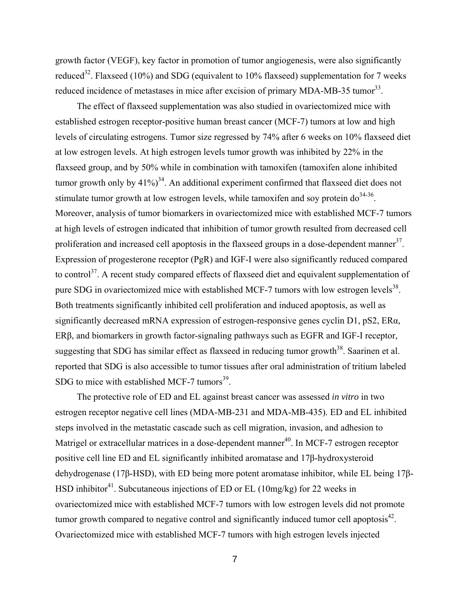growth factor (VEGF), key factor in promotion of tumor angiogenesis, were also significantly reduced<sup>32</sup>. Flaxseed (10%) and SDG (equivalent to 10% flaxseed) supplementation for 7 weeks reduced incidence of metastases in mice after excision of primary MDA-MB-35 tumor<sup>33</sup>.

The effect of flaxseed supplementation was also studied in ovariectomized mice with established estrogen receptor-positive human breast cancer (MCF-7) tumors at low and high levels of circulating estrogens. Tumor size regressed by 74% after 6 weeks on 10% flaxseed diet at low estrogen levels. At high estrogen levels tumor growth was inhibited by 22% in the flaxseed group, and by 50% while in combination with tamoxifen (tamoxifen alone inhibited tumor growth only by  $41\%$ <sup>34</sup>. An additional experiment confirmed that flaxseed diet does not stimulate tumor growth at low estrogen levels, while tamoxifen and soy protein  $d\sigma^{34-36}$ . Moreover, analysis of tumor biomarkers in ovariectomized mice with established MCF-7 tumors at high levels of estrogen indicated that inhibition of tumor growth resulted from decreased cell proliferation and increased cell apoptosis in the flaxseed groups in a dose-dependent manner $3^7$ . Expression of progesterone receptor (PgR) and IGF-I were also significantly reduced compared to control<sup>37</sup>. A recent study compared effects of flaxseed diet and equivalent supplementation of pure SDG in ovariectomized mice with established MCF-7 tumors with low estrogen levels<sup>38</sup>. Both treatments significantly inhibited cell proliferation and induced apoptosis, as well as significantly decreased mRNA expression of estrogen-responsive genes cyclin D1, pS2, ERα, ERβ, and biomarkers in growth factor-signaling pathways such as EGFR and IGF-I receptor, suggesting that SDG has similar effect as flaxseed in reducing tumor growth<sup>38</sup>. Saarinen et al. reported that SDG is also accessible to tumor tissues after oral administration of tritium labeled SDG to mice with established MCF-7 tumors $^{39}$ .

The protective role of ED and EL against breast cancer was assessed *in vitro* in two estrogen receptor negative cell lines (MDA-MB-231 and MDA-MB-435). ED and EL inhibited steps involved in the metastatic cascade such as cell migration, invasion, and adhesion to Matrigel or extracellular matrices in a dose-dependent manner<sup>40</sup>. In MCF-7 estrogen receptor positive cell line ED and EL significantly inhibited aromatase and 17β-hydroxysteroid dehydrogenase (17β-HSD), with ED being more potent aromatase inhibitor, while EL being 17β-HSD inhibitor<sup>41</sup>. Subcutaneous injections of ED or EL (10mg/kg) for 22 weeks in ovariectomized mice with established MCF-7 tumors with low estrogen levels did not promote tumor growth compared to negative control and significantly induced tumor cell apoptosis $42$ . Ovariectomized mice with established MCF-7 tumors with high estrogen levels injected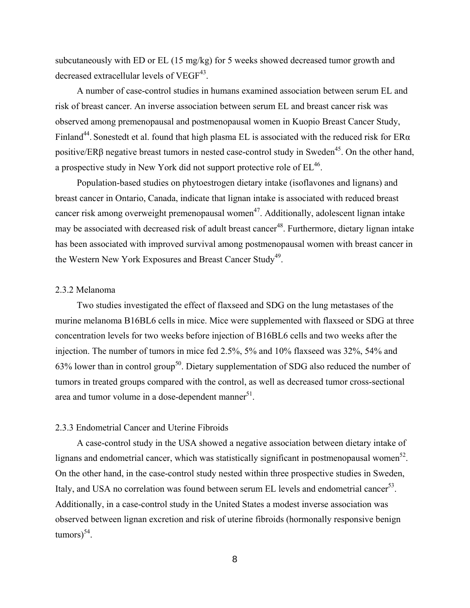subcutaneously with ED or EL (15 mg/kg) for 5 weeks showed decreased tumor growth and decreased extracellular levels of VEGF<sup>43</sup>.

A number of case-control studies in humans examined association between serum EL and risk of breast cancer. An inverse association between serum EL and breast cancer risk was observed among premenopausal and postmenopausal women in Kuopio Breast Cancer Study, Finland<sup>44</sup>. Sonestedt et al. found that high plasma EL is associated with the reduced risk for  $ER\alpha$ positive/ER $\beta$  negative breast tumors in nested case-control study in Sweden<sup>45</sup>. On the other hand, a prospective study in New York did not support protective role of  $EL^{46}$ .

Population-based studies on phytoestrogen dietary intake (isoflavones and lignans) and breast cancer in Ontario, Canada, indicate that lignan intake is associated with reduced breast cancer risk among overweight premenopausal women<sup>47</sup>. Additionally, adolescent lignan intake may be associated with decreased risk of adult breast cancer<sup>48</sup>. Furthermore, dietary lignan intake has been associated with improved survival among postmenopausal women with breast cancer in the Western New York Exposures and Breast Cancer Study<sup>49</sup>.

#### 2.3.2 Melanoma

Two studies investigated the effect of flaxseed and SDG on the lung metastases of the murine melanoma B16BL6 cells in mice. Mice were supplemented with flaxseed or SDG at three concentration levels for two weeks before injection of B16BL6 cells and two weeks after the injection. The number of tumors in mice fed 2.5%, 5% and 10% flaxseed was 32%, 54% and 63% lower than in control group<sup>50</sup>. Dietary supplementation of SDG also reduced the number of tumors in treated groups compared with the control, as well as decreased tumor cross-sectional area and tumor volume in a dose-dependent manner<sup>51</sup>.

#### 2.3.3 Endometrial Cancer and Uterine Fibroids

A case-control study in the USA showed a negative association between dietary intake of lignans and endometrial cancer, which was statistically significant in postmenopausal women<sup>52</sup>. On the other hand, in the case-control study nested within three prospective studies in Sweden, Italy, and USA no correlation was found between serum EL levels and endometrial cancer<sup>53</sup>. Additionally, in a case-control study in the United States a modest inverse association was observed between lignan excretion and risk of uterine fibroids (hormonally responsive benign  $\text{tumors}^{54}$ .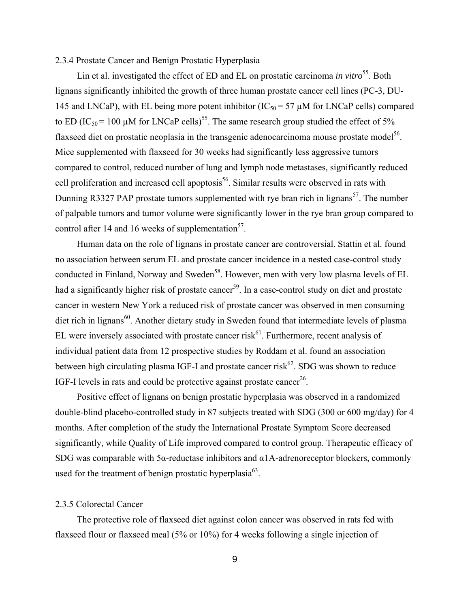#### 2.3.4 Prostate Cancer and Benign Prostatic Hyperplasia

Lin et al. investigated the effect of ED and EL on prostatic carcinoma *in vitro*<sup>55</sup>. Both lignans significantly inhibited the growth of three human prostate cancer cell lines (PC-3, DU-145 and LNCaP), with EL being more potent inhibitor ( $IC_{50} = 57 \mu M$  for LNCaP cells) compared to ED (IC<sub>50</sub> = 100 µM for LNCaP cells)<sup>55</sup>. The same research group studied the effect of 5% flaxseed diet on prostatic neoplasia in the transgenic adenocarcinoma mouse prostate model<sup>56</sup>. Mice supplemented with flaxseed for 30 weeks had significantly less aggressive tumors compared to control, reduced number of lung and lymph node metastases, significantly reduced cell proliferation and increased cell apoptosis<sup>56</sup>. Similar results were observed in rats with Dunning R3327 PAP prostate tumors supplemented with rye bran rich in lignans<sup>57</sup>. The number of palpable tumors and tumor volume were significantly lower in the rye bran group compared to control after 14 and 16 weeks of supplementation<sup>57</sup>.

Human data on the role of lignans in prostate cancer are controversial. Stattin et al. found no association between serum EL and prostate cancer incidence in a nested case-control study conducted in Finland, Norway and Sweden<sup>58</sup>. However, men with very low plasma levels of EL had a significantly higher risk of prostate cancer<sup>59</sup>. In a case-control study on diet and prostate cancer in western New York a reduced risk of prostate cancer was observed in men consuming diet rich in lignans<sup>60</sup>. Another dietary study in Sweden found that intermediate levels of plasma EL were inversely associated with prostate cancer risk $^{61}$ . Furthermore, recent analysis of individual patient data from 12 prospective studies by Roddam et al. found an association between high circulating plasma IGF-I and prostate cancer risk $62$ . SDG was shown to reduce IGF-I levels in rats and could be protective against prostate cancer<sup>26</sup>.

Positive effect of lignans on benign prostatic hyperplasia was observed in a randomized double-blind placebo-controlled study in 87 subjects treated with SDG (300 or 600 mg/day) for 4 months. After completion of the study the International Prostate Symptom Score decreased significantly, while Quality of Life improved compared to control group. Therapeutic efficacy of SDG was comparable with 5 $\alpha$ -reductase inhibitors and  $\alpha$ 1A-adrenoreceptor blockers, commonly used for the treatment of benign prostatic hyperplasia<sup>63</sup>.

#### 2.3.5 Colorectal Cancer

The protective role of flaxseed diet against colon cancer was observed in rats fed with flaxseed flour or flaxseed meal (5% or 10%) for 4 weeks following a single injection of

9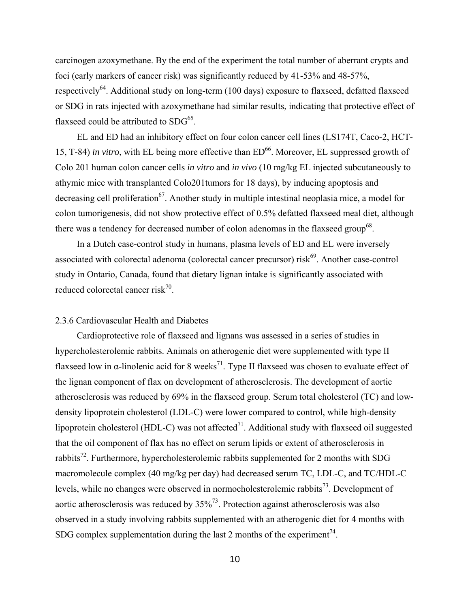carcinogen azoxymethane. By the end of the experiment the total number of aberrant crypts and foci (early markers of cancer risk) was significantly reduced by 41-53% and 48-57%, respectively<sup>64</sup>. Additional study on long-term (100 days) exposure to flaxseed, defatted flaxseed or SDG in rats injected with azoxymethane had similar results, indicating that protective effect of flaxseed could be attributed to  $SDG<sup>65</sup>$ .

EL and ED had an inhibitory effect on four colon cancer cell lines (LS174T, Caco-2, HCT-15, T-84) *in vitro*, with EL being more effective than ED<sup>66</sup>. Moreover, EL suppressed growth of Colo 201 human colon cancer cells *in vitro* and *in vivo* (10 mg/kg EL injected subcutaneously to athymic mice with transplanted Colo201tumors for 18 days), by inducing apoptosis and decreasing cell proliferation<sup>67</sup>. Another study in multiple intestinal neoplasia mice, a model for colon tumorigenesis, did not show protective effect of 0.5% defatted flaxseed meal diet, although there was a tendency for decreased number of colon adenomas in the flaxseed group<sup>68</sup>.

In a Dutch case-control study in humans, plasma levels of ED and EL were inversely associated with colorectal adenoma (colorectal cancer precursor) risk $^{69}$ . Another case-control study in Ontario, Canada, found that dietary lignan intake is significantly associated with reduced colorectal cancer risk<sup>70</sup>.

#### 2.3.6 Cardiovascular Health and Diabetes

Cardioprotective role of flaxseed and lignans was assessed in a series of studies in hypercholesterolemic rabbits. Animals on atherogenic diet were supplemented with type II flaxseed low in  $\alpha$ -linolenic acid for 8 weeks<sup>71</sup>. Type II flaxseed was chosen to evaluate effect of the lignan component of flax on development of atherosclerosis. The development of aortic atherosclerosis was reduced by 69% in the flaxseed group. Serum total cholesterol (TC) and lowdensity lipoprotein cholesterol (LDL-C) were lower compared to control, while high-density lipoprotein cholesterol (HDL-C) was not affected<sup>71</sup>. Additional study with flaxseed oil suggested that the oil component of flax has no effect on serum lipids or extent of atherosclerosis in rabbits<sup>72</sup>. Furthermore, hypercholesterolemic rabbits supplemented for 2 months with SDG macromolecule complex (40 mg/kg per day) had decreased serum TC, LDL-C, and TC/HDL-C levels, while no changes were observed in normocholesterolemic rabbits<sup>73</sup>. Development of aortic atherosclerosis was reduced by  $35\%^{73}$ . Protection against atherosclerosis was also observed in a study involving rabbits supplemented with an atherogenic diet for 4 months with SDG complex supplementation during the last 2 months of the experiment<sup>74</sup>.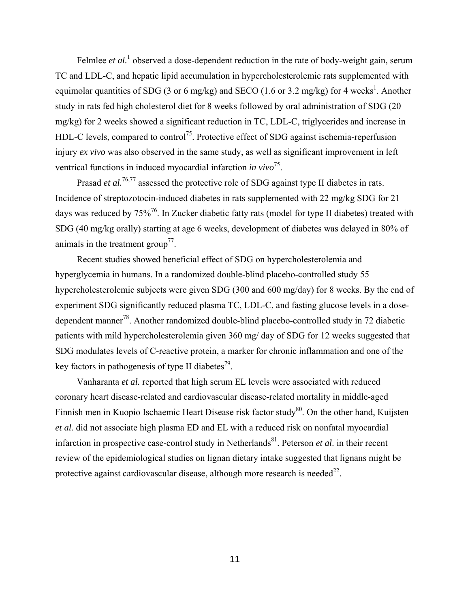Felmlee *et al.*<sup>1</sup> observed a dose-dependent reduction in the rate of body-weight gain, serum TC and LDL-C, and hepatic lipid accumulation in hypercholesterolemic rats supplemented with equimolar quantities of SDG (3 or 6 mg/kg) and SECO (1.6 or 3.2 mg/kg) for 4 weeks<sup>1</sup>. Another study in rats fed high cholesterol diet for 8 weeks followed by oral administration of SDG (20 mg/kg) for 2 weeks showed a significant reduction in TC, LDL-C, triglycerides and increase in HDL-C levels, compared to control<sup>75</sup>. Protective effect of SDG against ischemia-reperfusion injury *ex vivo* was also observed in the same study, as well as significant improvement in left ventrical functions in induced myocardial infarction *in vivo*<sup>75</sup>.

Prasad *et al.*<sup>76,77</sup> assessed the protective role of SDG against type II diabetes in rats. Incidence of streptozotocin-induced diabetes in rats supplemented with 22 mg/kg SDG for 21 days was reduced by 75%<sup>76</sup>. In Zucker diabetic fatty rats (model for type II diabetes) treated with SDG (40 mg/kg orally) starting at age 6 weeks, development of diabetes was delayed in 80% of animals in the treatment group<sup> $77$ </sup>.

Recent studies showed beneficial effect of SDG on hypercholesterolemia and hyperglycemia in humans. In a randomized double-blind placebo-controlled study 55 hypercholesterolemic subjects were given SDG (300 and 600 mg/day) for 8 weeks. By the end of experiment SDG significantly reduced plasma TC, LDL-C, and fasting glucose levels in a dosedependent manner<sup>78</sup>. Another randomized double-blind placebo-controlled study in 72 diabetic patients with mild hypercholesterolemia given 360 mg/ day of SDG for 12 weeks suggested that SDG modulates levels of C-reactive protein, a marker for chronic inflammation and one of the key factors in pathogenesis of type II diabetes<sup>79</sup>.

Vanharanta *et al.* reported that high serum EL levels were associated with reduced coronary heart disease-related and cardiovascular disease-related mortality in middle-aged Finnish men in Kuopio Ischaemic Heart Disease risk factor study<sup>80</sup>. On the other hand, Kuijsten *et al.* did not associate high plasma ED and EL with a reduced risk on nonfatal myocardial infarction in prospective case-control study in Netherlands<sup>81</sup>. Peterson *et al.* in their recent review of the epidemiological studies on lignan dietary intake suggested that lignans might be protective against cardiovascular disease, although more research is needed<sup>22</sup>.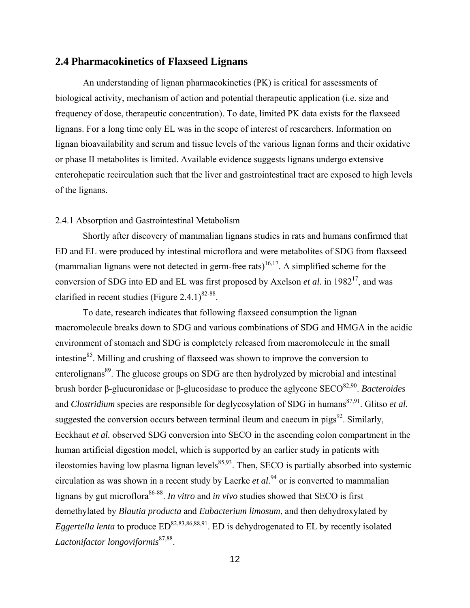# **2.4 Pharmacokinetics of Flaxseed Lignans**

An understanding of lignan pharmacokinetics (PK) is critical for assessments of biological activity, mechanism of action and potential therapeutic application (i.e. size and frequency of dose, therapeutic concentration). To date, limited PK data exists for the flaxseed lignans. For a long time only EL was in the scope of interest of researchers. Information on lignan bioavailability and serum and tissue levels of the various lignan forms and their oxidative or phase II metabolites is limited. Available evidence suggests lignans undergo extensive enterohepatic recirculation such that the liver and gastrointestinal tract are exposed to high levels of the lignans.

#### 2.4.1 Absorption and Gastrointestinal Metabolism

Shortly after discovery of mammalian lignans studies in rats and humans confirmed that ED and EL were produced by intestinal microflora and were metabolites of SDG from flaxseed (mammalian lignans were not detected in germ-free rats)<sup>16,17</sup>. A simplified scheme for the conversion of SDG into ED and EL was first proposed by Axelson *et al.* in 1982<sup>17</sup>, and was clarified in recent studies (Figure 2.4.1) $82-88$ .

To date, research indicates that following flaxseed consumption the lignan macromolecule breaks down to SDG and various combinations of SDG and HMGA in the acidic environment of stomach and SDG is completely released from macromolecule in the small intestine<sup>85</sup>. Milling and crushing of flaxseed was shown to improve the conversion to enterolignans<sup>89</sup>. The glucose groups on SDG are then hydrolyzed by microbial and intestinal brush border β-glucuronidase or β-glucosidase to produce the aglycone SECO82,90. *Bacteroides* and *Clostridium* species are responsible for deglycosylation of SDG in humans<sup>87,91</sup>. Glitso *et al.* suggested the conversion occurs between terminal ileum and caecum in pigs $92$ . Similarly, Eeckhaut *et al.* observed SDG conversion into SECO in the ascending colon compartment in the human artificial digestion model, which is supported by an earlier study in patients with ileostomies having low plasma lignan levels $^{85,93}$ . Then, SECO is partially absorbed into systemic circulation as was shown in a recent study by Laerke *et al.*94 or is converted to mammalian lignans by gut microflora<sup>86-88</sup>. *In vitro* and *in vivo* studies showed that SECO is first demethylated by *Blautia producta* and *Eubacterium limosum*, and then dehydroxylated by *Eggertella lenta* to produce  $ED^{82,83,86,88,91}$ . ED is dehydrogenated to EL by recently isolated *Lactonifactor longoviformis*87,88.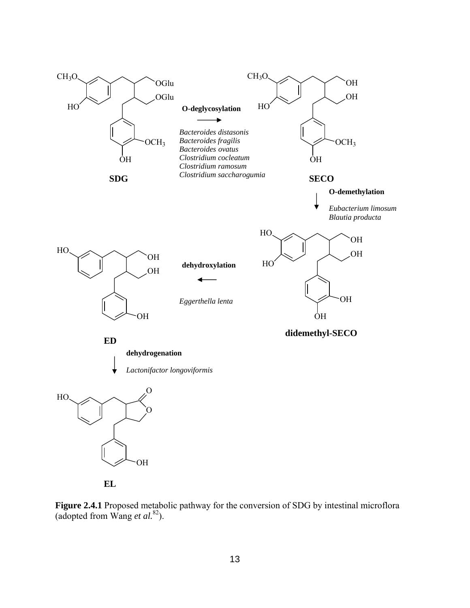



**Figure 2.4.1** Proposed metabolic pathway for the conversion of SDG by intestinal microflora (adopted from Wang *et al.*82).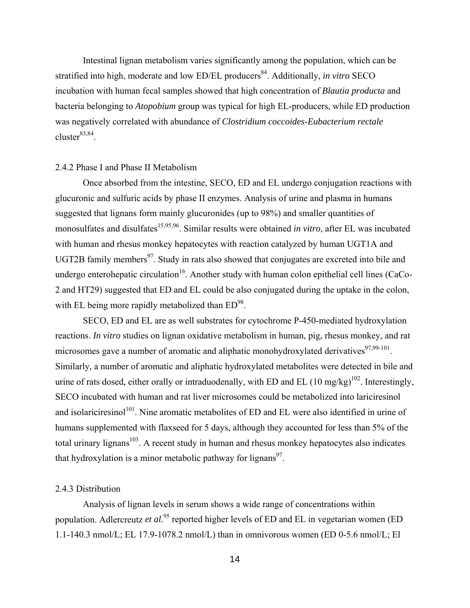Intestinal lignan metabolism varies significantly among the population, which can be stratified into high, moderate and low ED/EL producers<sup>84</sup>. Additionally, *in vitro* SECO incubation with human fecal samples showed that high concentration of *Blautia producta* and bacteria belonging to *Atopobium* group was typical for high EL-producers, while ED production was negatively correlated with abundance of *Clostridium coccoides*-*Eubacterium rectale* cluster $83,84$ .

#### 2.4.2 Phase I and Phase II Metabolism

Once absorbed from the intestine, SECO, ED and EL undergo conjugation reactions with glucuronic and sulfuric acids by phase II enzymes. Analysis of urine and plasma in humans suggested that lignans form mainly glucuronides (up to 98%) and smaller quantities of monosulfates and disulfates<sup>15,95,96</sup>. Similar results were obtained *in vitro*, after EL was incubated with human and rhesus monkey hepatocytes with reaction catalyzed by human UGT1A and UGT2B family members $97$ . Study in rats also showed that conjugates are excreted into bile and undergo enterohepatic circulation<sup>16</sup>. Another study with human colon epithelial cell lines (CaCo-2 and HT29) suggested that ED and EL could be also conjugated during the uptake in the colon, with EL being more rapidly metabolized than  $ED^{98}$ .

SECO, ED and EL are as well substrates for cytochrome P-450-mediated hydroxylation reactions. *In vitro* studies on lignan oxidative metabolism in human, pig, rhesus monkey, and rat microsomes gave a number of aromatic and aliphatic monohydroxylated derivatives $97,99-101$ . Similarly, a number of aromatic and aliphatic hydroxylated metabolites were detected in bile and urine of rats dosed, either orally or intraduodenally, with ED and EL  $(10 \text{ mg/kg})^{102}$ . Interestingly, SECO incubated with human and rat liver microsomes could be metabolized into lariciresinol and isolariciresinol<sup>101</sup>. Nine aromatic metabolites of ED and EL were also identified in urine of humans supplemented with flaxseed for 5 days, although they accounted for less than 5% of the total urinary lignans<sup>103</sup>. A recent study in human and rhesus monkey hepatocytes also indicates that hydroxylation is a minor metabolic pathway for lignans<sup>97</sup>.

#### 2.4.3 Distribution

Analysis of lignan levels in serum shows a wide range of concentrations within population. Adlercreutz *et al.*<sup>95</sup> reported higher levels of ED and EL in vegetarian women (ED 1.1-140.3 nmol/L; EL 17.9-1078.2 nmol/L) than in omnivorous women (ED 0-5.6 nmol/L; El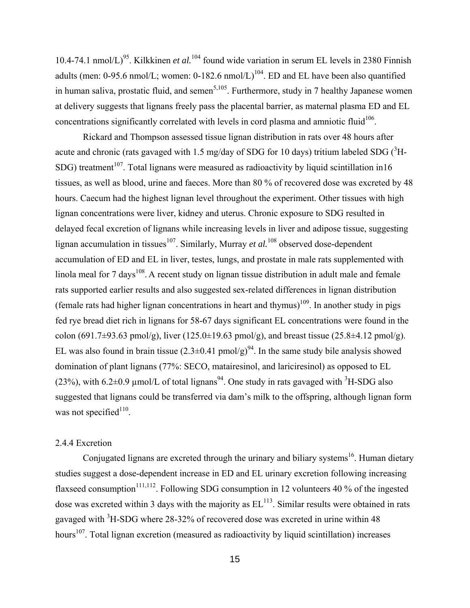10.4-74.1 nmol/L)<sup>95</sup>. Kilkkinen *et al.*<sup>104</sup> found wide variation in serum EL levels in 2380 Finnish adults (men:  $0-95.6$  nmol/L; women:  $0-182.6$  nmol/L)<sup>104</sup>. ED and EL have been also quantified in human saliva, prostatic fluid, and semen<sup>5,105</sup>. Furthermore, study in 7 healthy Japanese women at delivery suggests that lignans freely pass the placental barrier, as maternal plasma ED and EL concentrations significantly correlated with levels in cord plasma and amniotic fluid<sup>106</sup>.

Rickard and Thompson assessed tissue lignan distribution in rats over 48 hours after acute and chronic (rats gavaged with 1.5 mg/day of SDG for 10 days) tritium labeled SDG ( ${}^{3}$ H-SDG) treatment<sup>107</sup>. Total lignans were measured as radioactivity by liquid scintillation in16 tissues, as well as blood, urine and faeces. More than 80 % of recovered dose was excreted by 48 hours. Caecum had the highest lignan level throughout the experiment. Other tissues with high lignan concentrations were liver, kidney and uterus. Chronic exposure to SDG resulted in delayed fecal excretion of lignans while increasing levels in liver and adipose tissue, suggesting lignan accumulation in tissues<sup>107</sup>. Similarly, Murray *et al.*<sup>108</sup> observed dose-dependent accumulation of ED and EL in liver, testes, lungs, and prostate in male rats supplemented with linola meal for 7 days<sup>108</sup>. A recent study on lignan tissue distribution in adult male and female rats supported earlier results and also suggested sex-related differences in lignan distribution (female rats had higher lignan concentrations in heart and thymus)<sup>109</sup>. In another study in pigs fed rye bread diet rich in lignans for 58-67 days significant EL concentrations were found in the colon (691.7±93.63 pmol/g), liver (125.0±19.63 pmol/g), and breast tissue (25.8±4.12 pmol/g). EL was also found in brain tissue  $(2.3\pm0.41 \text{ pmol/g})^{94}$ . In the same study bile analysis showed domination of plant lignans (77%: SECO, matairesinol, and lariciresinol) as opposed to EL (23%), with 6.2 $\pm$ 0.9 µmol/L of total lignans<sup>94</sup>. One study in rats gavaged with <sup>3</sup>H-SDG also suggested that lignans could be transferred via dam's milk to the offspring, although lignan form was not specified $110$ .

#### 2.4.4 Excretion

Conjugated lignans are excreted through the urinary and biliary systems<sup>16</sup>. Human dietary studies suggest a dose-dependent increase in ED and EL urinary excretion following increasing flaxseed consumption<sup>111,112</sup>. Following SDG consumption in 12 volunteers 40 % of the ingested dose was excreted within 3 days with the majority as  $EL^{113}$ . Similar results were obtained in rats gavaged with  ${}^{3}$ H-SDG where 28-32% of recovered dose was excreted in urine within 48 hours<sup>107</sup>. Total lignan excretion (measured as radioactivity by liquid scintillation) increases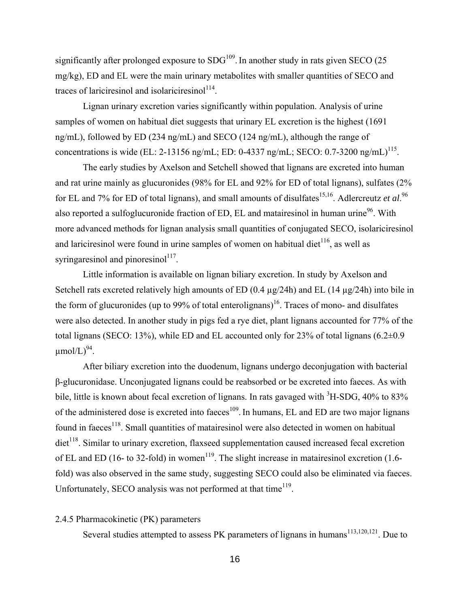significantly after prolonged exposure to  $SDG<sup>109</sup>$ . In another study in rats given SECO (25 mg/kg), ED and EL were the main urinary metabolites with smaller quantities of SECO and traces of lariciresinol and isolariciresinol<sup>114</sup>.

Lignan urinary excretion varies significantly within population. Analysis of urine samples of women on habitual diet suggests that urinary EL excretion is the highest (1691) ng/mL), followed by ED (234 ng/mL) and SECO (124 ng/mL), although the range of concentrations is wide (EL: 2-13156 ng/mL; ED: 0-4337 ng/mL; SECO: 0.7-3200 ng/mL)<sup>115</sup>.

The early studies by Axelson and Setchell showed that lignans are excreted into human and rat urine mainly as glucuronides (98% for EL and 92% for ED of total lignans), sulfates (2% for EL and 7% for ED of total lignans), and small amounts of disulfates<sup>15,16</sup>. Adlercreutz *et al.*<sup>96</sup> also reported a sulfoglucuronide fraction of ED, EL and matairesinol in human urine<sup>96</sup>. With more advanced methods for lignan analysis small quantities of conjugated SECO, isolariciresinol and lariciresinol were found in urine samples of women on habitual diet<sup>116</sup>, as well as syringaresinol and pinoresinol $117$ .

Little information is available on lignan biliary excretion. In study by Axelson and Setchell rats excreted relatively high amounts of ED (0.4  $\mu$ g/24h) and EL (14  $\mu$ g/24h) into bile in the form of glucuronides (up to 99% of total enterolignans)<sup>16</sup>. Traces of mono- and disulfates were also detected. In another study in pigs fed a rye diet, plant lignans accounted for 77% of the total lignans (SECO: 13%), while ED and EL accounted only for 23% of total lignans  $(6.2\pm0.9)$  $\mu$ mol/L)<sup>94</sup>.

After biliary excretion into the duodenum, lignans undergo deconjugation with bacterial β-glucuronidase. Unconjugated lignans could be reabsorbed or be excreted into faeces. As with bile, little is known about fecal excretion of lignans. In rats gavaged with  ${}^{3}$ H-SDG, 40% to 83% of the administered dose is excreted into faeces<sup>109</sup>. In humans, EL and ED are two major lignans found in faeces<sup>118</sup>. Small quantities of matairesinol were also detected in women on habitual  $\text{dist}^{118}$ . Similar to urinary excretion, flaxseed supplementation caused increased fecal excretion of EL and ED (16- to 32-fold) in women<sup>119</sup>. The slight increase in matairesinol excretion (1.6fold) was also observed in the same study, suggesting SECO could also be eliminated via faeces. Unfortunately, SECO analysis was not performed at that time $119$ .

#### 2.4.5 Pharmacokinetic (PK) parameters

Several studies attempted to assess PK parameters of lignans in humans<sup>113,120,121</sup>. Due to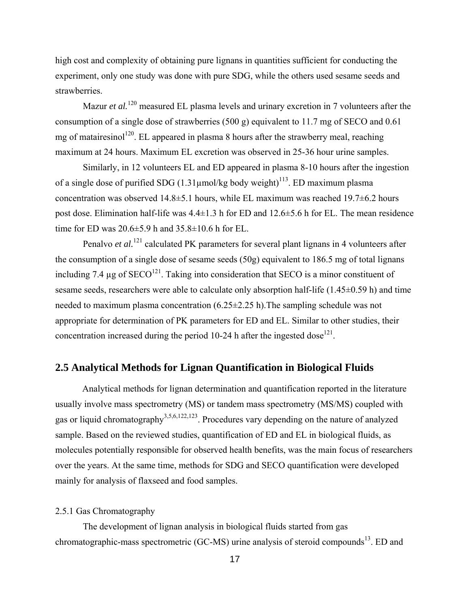high cost and complexity of obtaining pure lignans in quantities sufficient for conducting the experiment, only one study was done with pure SDG, while the others used sesame seeds and strawberries.

Mazur *et al.*<sup>120</sup> measured EL plasma levels and urinary excretion in 7 volunteers after the consumption of a single dose of strawberries (500 g) equivalent to 11.7 mg of SECO and 0.61 mg of matairesinol<sup>120</sup>. EL appeared in plasma 8 hours after the strawberry meal, reaching maximum at 24 hours. Maximum EL excretion was observed in 25-36 hour urine samples.

Similarly, in 12 volunteers EL and ED appeared in plasma 8-10 hours after the ingestion of a single dose of purified SDG (1.31µmol/kg body weight)<sup>113</sup>. ED maximum plasma concentration was observed 14.8±5.1 hours, while EL maximum was reached 19.7±6.2 hours post dose. Elimination half-life was  $4.4\pm1.3$  h for ED and  $12.6\pm5.6$  h for EL. The mean residence time for ED was  $20.6 \pm 5.9$  h and  $35.8 \pm 10.6$  h for EL.

Penalvo *et al.*<sup>121</sup> calculated PK parameters for several plant lignans in 4 volunteers after the consumption of a single dose of sesame seeds (50g) equivalent to 186.5 mg of total lignans including 7.4  $\mu$ g of SECO<sup>121</sup>. Taking into consideration that SECO is a minor constituent of sesame seeds, researchers were able to calculate only absorption half-life (1.45±0.59 h) and time needed to maximum plasma concentration (6.25±2.25 h).The sampling schedule was not appropriate for determination of PK parameters for ED and EL. Similar to other studies, their concentration increased during the period 10-24 h after the ingested dose<sup>121</sup>.

# **2.5 Analytical Methods for Lignan Quantification in Biological Fluids**

Analytical methods for lignan determination and quantification reported in the literature usually involve mass spectrometry (MS) or tandem mass spectrometry (MS/MS) coupled with gas or liquid chromatography<sup>3,5,6,122,123</sup>. Procedures vary depending on the nature of analyzed sample. Based on the reviewed studies, quantification of ED and EL in biological fluids, as molecules potentially responsible for observed health benefits, was the main focus of researchers over the years. At the same time, methods for SDG and SECO quantification were developed mainly for analysis of flaxseed and food samples.

#### 2.5.1 Gas Chromatography

The development of lignan analysis in biological fluids started from gas chromatographic-mass spectrometric (GC-MS) urine analysis of steroid compounds<sup>13</sup>. ED and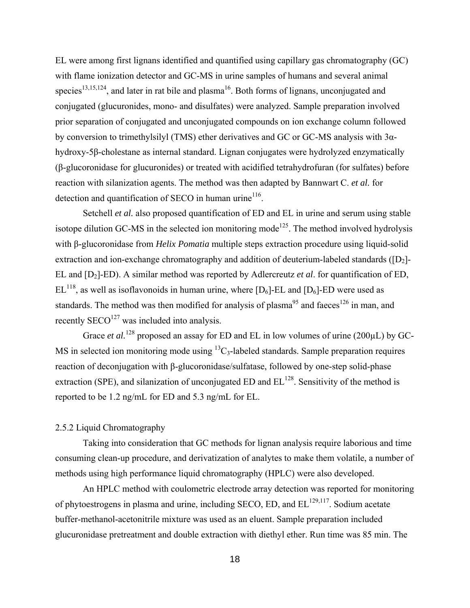EL were among first lignans identified and quantified using capillary gas chromatography (GC) with flame ionization detector and GC-MS in urine samples of humans and several animal species<sup>13,15,124</sup>, and later in rat bile and plasma<sup>16</sup>. Both forms of lignans, unconjugated and conjugated (glucuronides, mono- and disulfates) were analyzed. Sample preparation involved prior separation of conjugated and unconjugated compounds on ion exchange column followed by conversion to trimethylsilyl (TMS) ether derivatives and GC or GC-MS analysis with 3αhydroxy-5β-cholestane as internal standard. Lignan conjugates were hydrolyzed enzymatically (β-glucoronidase for glucuronides) or treated with acidified tetrahydrofuran (for sulfates) before reaction with silanization agents. The method was then adapted by Bannwart C. *et al.* for detection and quantification of SECO in human urine $116$ .

Setchell *et al.* also proposed quantification of ED and EL in urine and serum using stable isotope dilution GC-MS in the selected ion monitoring mode<sup>125</sup>. The method involved hydrolysis with β-glucoronidase from *Helix Pomatia* multiple steps extraction procedure using liquid-solid extraction and ion-exchange chromatography and addition of deuterium-labeled standards ( $[D_2]$ -EL and [D2]-ED). A similar method was reported by Adlercreutz *et al*. for quantification of ED,  $EL^{118}$ , as well as isoflavonoids in human urine, where  $[D_6]$ -EL and  $[D_6]$ -ED were used as standards. The method was then modified for analysis of plasma<sup>95</sup> and faeces<sup>126</sup> in man, and recently  $\text{SECO}^{127}$  was included into analysis.

Grace *et al.*<sup>128</sup> proposed an assay for ED and EL in low volumes of urine (200µL) by GC-MS in selected ion monitoring mode using  ${}^{13}C_3$ -labeled standards. Sample preparation requires reaction of deconjugation with β-glucoronidase/sulfatase, followed by one-step solid-phase extraction (SPE), and silanization of unconjugated ED and  $EL^{128}$ . Sensitivity of the method is reported to be 1.2 ng/mL for ED and 5.3 ng/mL for EL.

#### 2.5.2 Liquid Chromatography

Taking into consideration that GC methods for lignan analysis require laborious and time consuming clean-up procedure, and derivatization of analytes to make them volatile, a number of methods using high performance liquid chromatography (HPLC) were also developed.

An HPLC method with coulometric electrode array detection was reported for monitoring of phytoestrogens in plasma and urine, including SECO, ED, and  $EL^{129,117}$ . Sodium acetate buffer-methanol-acetonitrile mixture was used as an eluent. Sample preparation included glucuronidase pretreatment and double extraction with diethyl ether. Run time was 85 min. The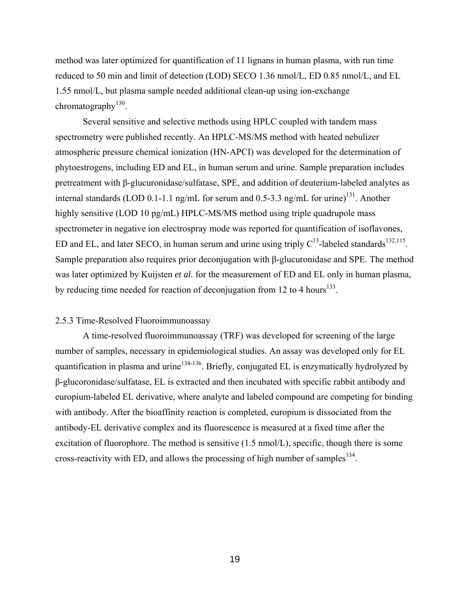method was later optimized for quantification of 11 lignans in human plasma, with run time reduced to 50 min and limit of detection (LOD) SECO 1.36 nmol/L, ED 0.85 nmol/L, and EL 1.55 nmol/L, but plasma sample needed additional clean-up using ion-exchange chromatography<sup>130</sup>.

Several sensitive and selective methods using HPLC coupled with tandem mass spectrometry were published recently. An HPLC-MS/MS method with heated nebulizer atmospheric pressure chemical ionization (HN-APCI) was developed for the determination of phytoestrogens, including ED and EL, in human serum and urine. Sample preparation includes pretreatment with β-glucuronidase/sulfatase, SPE, and addition of deuterium-labeled analytes as internal standards (LOD 0.1-1.1 ng/mL for serum and 0.5-3.3 ng/mL for urine)<sup>131</sup>. Another highly sensitive (LOD 10 pg/mL) HPLC-MS/MS method using triple quadrupole mass spectrometer in negative ion electrospray mode was reported for quantification of isoflavones, ED and EL, and later SECO, in human serum and urine using triply  $C^{13}$ -labeled standards<sup>132,115</sup>. Sample preparation also requires prior deconjugation with β-glucuronidase and SPE. The method was later optimized by Kuijsten *et al.* for the measurement of ED and EL only in human plasma, by reducing time needed for reaction of deconjugation from 12 to 4 hours<sup>133</sup>.

#### 2.5.3 Time-Resolved Fluoroimmunoassay

A time-resolved fluoroimmunoassay (TRF) was developed for screening of the large number of samples, necessary in epidemiological studies. An assay was developed only for EL quantification in plasma and urine<sup>134-136</sup>. Briefly, conjugated EL is enzymatically hydrolyzed by β-glucoronidase/sulfatase, EL is extracted and then incubated with specific rabbit antibody and europium-labeled EL derivative, where analyte and labeled compound are competing for binding with antibody. After the bioaffinity reaction is completed, europium is dissociated from the antibody-EL derivative complex and its fluorescence is measured at a fixed time after the excitation of fluorophore. The method is sensitive (1.5 nmol/L), specific, though there is some cross-reactivity with ED, and allows the processing of high number of samples<sup>134</sup>.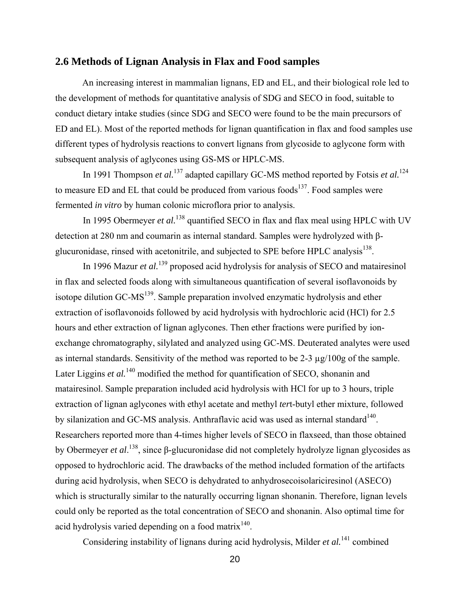# **2.6 Methods of Lignan Analysis in Flax and Food samples**

An increasing interest in mammalian lignans, ED and EL, and their biological role led to the development of methods for quantitative analysis of SDG and SECO in food, suitable to conduct dietary intake studies (since SDG and SECO were found to be the main precursors of ED and EL). Most of the reported methods for lignan quantification in flax and food samples use different types of hydrolysis reactions to convert lignans from glycoside to aglycone form with subsequent analysis of aglycones using GS-MS or HPLC-MS.

In 1991 Thompson *et al.*<sup>137</sup> adapted capillary GC-MS method reported by Fotsis *et al.*<sup>124</sup> to measure ED and EL that could be produced from various foods<sup>137</sup>. Food samples were fermented *in vitro* by human colonic microflora prior to analysis.

In 1995 Obermeyer *et al.*<sup>138</sup> quantified SECO in flax and flax meal using HPLC with UV detection at 280 nm and coumarin as internal standard. Samples were hydrolyzed with βglucuronidase, rinsed with acetonitrile, and subjected to SPE before HPLC analysis<sup>138</sup>.

In 1996 Mazur *et al.*139 proposed acid hydrolysis for analysis of SECO and matairesinol in flax and selected foods along with simultaneous quantification of several isoflavonoids by isotope dilution GC-MS<sup>139</sup>. Sample preparation involved enzymatic hydrolysis and ether extraction of isoflavonoids followed by acid hydrolysis with hydrochloric acid (HCl) for 2.5 hours and ether extraction of lignan aglycones. Then ether fractions were purified by ionexchange chromatography, silylated and analyzed using GC-MS. Deuterated analytes were used as internal standards. Sensitivity of the method was reported to be  $2-3 \mu g/100g$  of the sample. Later Liggins *et al.*<sup>140</sup> modified the method for quantification of SECO, shonanin and matairesinol. Sample preparation included acid hydrolysis with HCl for up to 3 hours, triple extraction of lignan aglycones with ethyl acetate and methyl *ter*t-butyl ether mixture, followed by silanization and GC-MS analysis. Anthraflavic acid was used as internal standard<sup>140</sup>. Researchers reported more than 4-times higher levels of SECO in flaxseed, than those obtained by Obermeyer *et al*. 138, since β-glucuronidase did not completely hydrolyze lignan glycosides as opposed to hydrochloric acid. The drawbacks of the method included formation of the artifacts during acid hydrolysis, when SECO is dehydrated to anhydrosecoisolariciresinol (ASECO) which is structurally similar to the naturally occurring lignan shonanin. Therefore, lignan levels could only be reported as the total concentration of SECO and shonanin. Also optimal time for acid hydrolysis varied depending on a food matrix<sup>140</sup>.

Considering instability of lignans during acid hydrolysis, Milder *et al.*<sup>141</sup> combined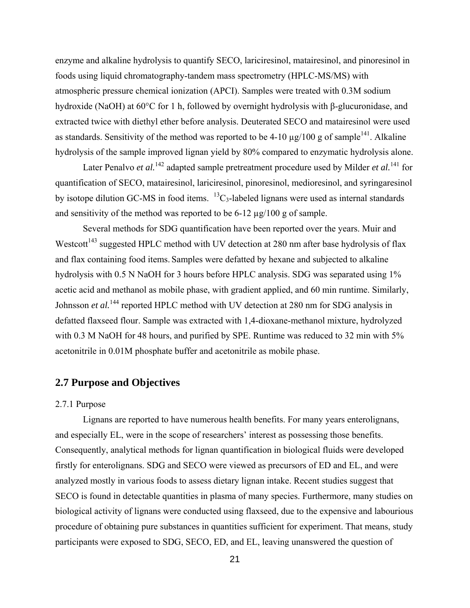enzyme and alkaline hydrolysis to quantify SECO, lariciresinol, matairesinol, and pinoresinol in foods using liquid chromatography-tandem mass spectrometry (HPLC-MS/MS) with atmospheric pressure chemical ionization (APCI). Samples were treated with 0.3M sodium hydroxide (NaOH) at 60°C for 1 h, followed by overnight hydrolysis with β-glucuronidase, and extracted twice with diethyl ether before analysis. Deuterated SECO and matairesinol were used as standards. Sensitivity of the method was reported to be 4-10  $\mu$ g/100 g of sample<sup>141</sup>. Alkaline hydrolysis of the sample improved lignan yield by 80% compared to enzymatic hydrolysis alone.

Later Penalvo *et al.*142 adapted sample pretreatment procedure used by Milder *et al.*141 for quantification of SECO, matairesinol, lariciresinol, pinoresinol, medioresinol, and syringaresinol by isotope dilution GC-MS in food items.  ${}^{13}C_3$ -labeled lignans were used as internal standards and sensitivity of the method was reported to be 6-12 µg/100 g of sample.

Several methods for SDG quantification have been reported over the years. Muir and Westcott<sup>143</sup> suggested HPLC method with UV detection at 280 nm after base hydrolysis of flax and flax containing food items. Samples were defatted by hexane and subjected to alkaline hydrolysis with 0.5 N NaOH for 3 hours before HPLC analysis. SDG was separated using 1% acetic acid and methanol as mobile phase, with gradient applied, and 60 min runtime. Similarly, Johnsson *et al.*<sup>144</sup> reported HPLC method with UV detection at 280 nm for SDG analysis in defatted flaxseed flour. Sample was extracted with 1,4-dioxane-methanol mixture, hydrolyzed with 0.3 M NaOH for 48 hours, and purified by SPE. Runtime was reduced to 32 min with 5% acetonitrile in 0.01M phosphate buffer and acetonitrile as mobile phase.

# **2.7 Purpose and Objectives**

#### 2.7.1 Purpose

Lignans are reported to have numerous health benefits. For many years enterolignans, and especially EL, were in the scope of researchers' interest as possessing those benefits. Consequently, analytical methods for lignan quantification in biological fluids were developed firstly for enterolignans. SDG and SECO were viewed as precursors of ED and EL, and were analyzed mostly in various foods to assess dietary lignan intake. Recent studies suggest that SECO is found in detectable quantities in plasma of many species. Furthermore, many studies on biological activity of lignans were conducted using flaxseed, due to the expensive and labourious procedure of obtaining pure substances in quantities sufficient for experiment. That means, study participants were exposed to SDG, SECO, ED, and EL, leaving unanswered the question of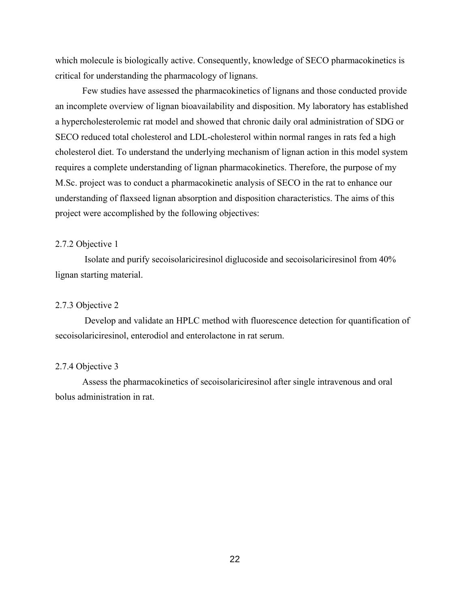which molecule is biologically active. Consequently, knowledge of SECO pharmacokinetics is critical for understanding the pharmacology of lignans.

Few studies have assessed the pharmacokinetics of lignans and those conducted provide an incomplete overview of lignan bioavailability and disposition. My laboratory has established a hypercholesterolemic rat model and showed that chronic daily oral administration of SDG or SECO reduced total cholesterol and LDL-cholesterol within normal ranges in rats fed a high cholesterol diet. To understand the underlying mechanism of lignan action in this model system requires a complete understanding of lignan pharmacokinetics. Therefore, the purpose of my M.Sc. project was to conduct a pharmacokinetic analysis of SECO in the rat to enhance our understanding of flaxseed lignan absorption and disposition characteristics. The aims of this project were accomplished by the following objectives:

#### 2.7.2 Objective 1

 Isolate and purify secoisolariciresinol diglucoside and secoisolariciresinol from 40% lignan starting material.

#### 2.7.3 Objective 2

 Develop and validate an HPLC method with fluorescence detection for quantification of secoisolariciresinol, enterodiol and enterolactone in rat serum.

#### 2.7.4 Objective 3

Assess the pharmacokinetics of secoisolariciresinol after single intravenous and oral bolus administration in rat.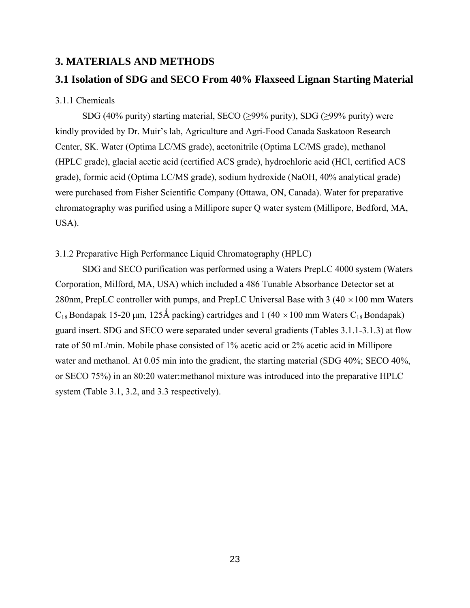### **3. MATERIALS AND METHODS**

## **3.1 Isolation of SDG and SECO From 40% Flaxseed Lignan Starting Material**

#### 3.1.1 Chemicals

SDG (40% purity) starting material, SECO ( $\geq$ 99% purity), SDG ( $\geq$ 99% purity) were kindly provided by Dr. Muir's lab, Agriculture and Agri-Food Canada Saskatoon Research Center, SK. Water (Optima LC/MS grade), acetonitrile (Optima LC/MS grade), methanol (HPLC grade), glacial acetic acid (certified ACS grade), hydrochloric acid (HCl, certified ACS grade), formic acid (Optima LC/MS grade), sodium hydroxide (NaOH, 40% analytical grade) were purchased from Fisher Scientific Company (Ottawa, ON, Canada). Water for preparative chromatography was purified using a Millipore super Q water system (Millipore, Bedford, MA, USA).

### 3.1.2 Preparative High Performance Liquid Chromatography (HPLC)

SDG and SECO purification was performed using a Waters PrepLC 4000 system (Waters Corporation, Milford, MA, USA) which included a 486 Tunable Absorbance Detector set at 280nm, PrepLC controller with pumps, and PrepLC Universal Base with 3 (40  $\times$  100 mm Waters  $C_{18}$  Bondapak 15-20 μm, 125Å packing) cartridges and 1 (40  $\times$  100 mm Waters C<sub>18</sub> Bondapak) guard insert. SDG and SECO were separated under several gradients (Tables 3.1.1-3.1.3) at flow rate of 50 mL/min. Mobile phase consisted of 1% acetic acid or 2% acetic acid in Millipore water and methanol. At 0.05 min into the gradient, the starting material (SDG 40%; SECO 40%, or SECO 75%) in an 80:20 water:methanol mixture was introduced into the preparative HPLC system (Table 3.1, 3.2, and 3.3 respectively).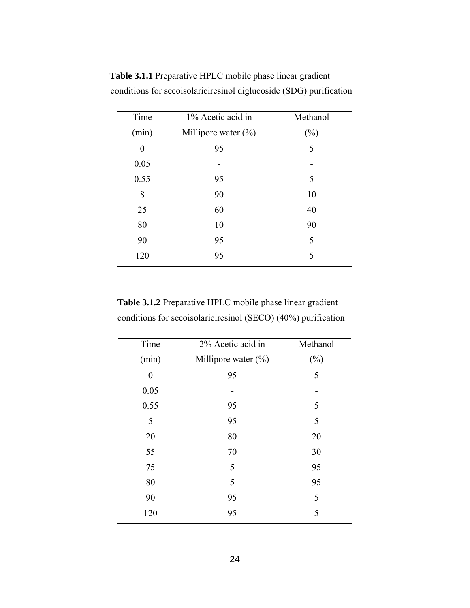| Time  | 1% Acetic acid in      | Methanol |
|-------|------------------------|----------|
| (min) | Millipore water $(\%)$ | $(\%)$   |
| 0     | 95                     | 5        |
| 0.05  |                        |          |
| 0.55  | 95                     | 5        |
| 8     | 90                     | 10       |
| 25    | 60                     | 40       |
| 80    | 10                     | 90       |
| 90    | 95                     | 5        |
| 120   | 95                     | 5        |
|       |                        |          |

**Table 3.1.1** Preparative HPLC mobile phase linear gradient conditions for secoisolariciresinol diglucoside (SDG) purification

**Table 3.1.2** Preparative HPLC mobile phase linear gradient conditions for secoisolariciresinol (SECO) (40%) purification

| Time           | 2% Acetic acid in      | Methanol |
|----------------|------------------------|----------|
| (min)          | Millipore water $(\%)$ | $(\%)$   |
| $\overline{0}$ | 95                     | 5        |
| 0.05           |                        |          |
| 0.55           | 95                     | 5        |
| 5              | 95                     | 5        |
| 20             | 80                     | 20       |
| 55             | 70                     | 30       |
| 75             | 5                      | 95       |
| 80             | 5                      | 95       |
| 90             | 95                     | 5        |
| 120            | 95                     | 5        |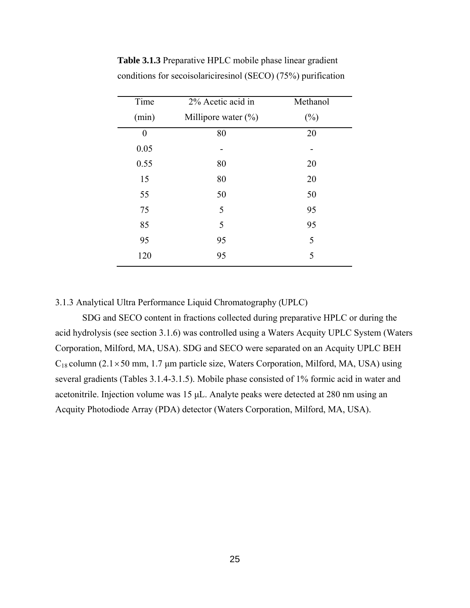| Time     | 2% Acetic acid in      | Methanol |
|----------|------------------------|----------|
| (min)    | Millipore water $(\%)$ | $(\%)$   |
| $\Omega$ | 80                     | 20       |
| 0.05     |                        |          |
| 0.55     | 80                     | 20       |
| 15       | 80                     | 20       |
| 55       | 50                     | 50       |
| 75       | 5                      | 95       |
| 85       | 5                      | 95       |
| 95       | 95                     | 5        |
| 120      | 95                     | 5        |
|          |                        |          |

**Table 3.1.3** Preparative HPLC mobile phase linear gradient conditions for secoisolariciresinol (SECO) (75%) purification

3.1.3 Analytical Ultra Performance Liquid Chromatography (UPLC)

SDG and SECO content in fractions collected during preparative HPLC or during the acid hydrolysis (see section 3.1.6) was controlled using a Waters Acquity UPLC System (Waters Corporation, Milford, MA, USA). SDG and SECO were separated on an Acquity UPLC BEH  $C_{18}$  column (2.1×50 mm, 1.7 µm particle size, Waters Corporation, Milford, MA, USA) using several gradients (Tables 3.1.4-3.1.5). Mobile phase consisted of 1% formic acid in water and acetonitrile. Injection volume was 15 μL. Analyte peaks were detected at 280 nm using an Acquity Photodiode Array (PDA) detector (Waters Corporation, Milford, MA, USA).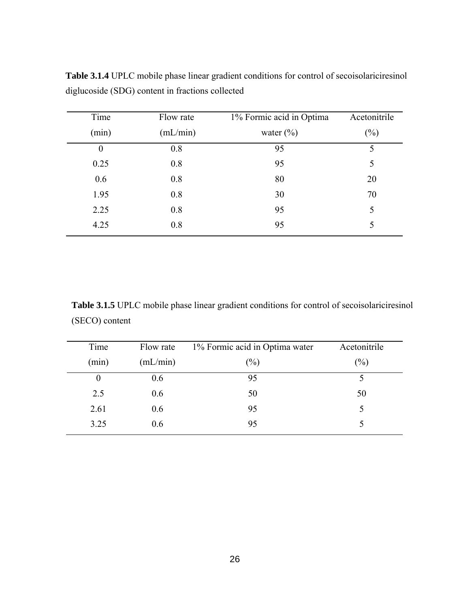| Time     | Flow rate | 1% Formic acid in Optima | Acetonitrile |
|----------|-----------|--------------------------|--------------|
| (min)    | (mL/min)  | water $(\%)$             | $(\%)$       |
| $\theta$ | 0.8       | 95                       | 5            |
| 0.25     | 0.8       | 95                       | 5            |
| 0.6      | 0.8       | 80                       | 20           |
| 1.95     | 0.8       | 30                       | 70           |
| 2.25     | 0.8       | 95                       | 5            |
| 4.25     | 0.8       | 95                       | 5            |
|          |           |                          |              |

**Table 3.1.4** UPLC mobile phase linear gradient conditions for control of secoisolariciresinol diglucoside (SDG) content in fractions collected

**Table 3.1.5** UPLC mobile phase linear gradient conditions for control of secoisolariciresinol (SECO) content

| Time     | Flow rate | 1% Formic acid in Optima water | Acetonitrile |
|----------|-----------|--------------------------------|--------------|
| (min)    | (mL/min)  | $(\%)$                         | $(\%)$       |
| $\theta$ | 0.6       | 95                             |              |
| 2.5      | 0.6       | 50                             | 50           |
| 2.61     | 0.6       | 95                             |              |
| 3.25     | 0.6       | 95                             |              |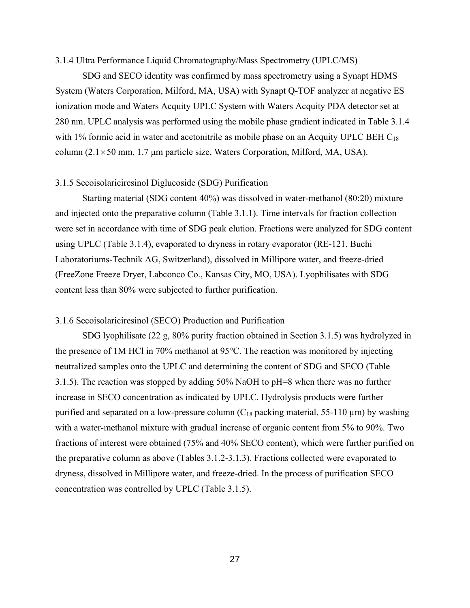#### 3.1.4 Ultra Performance Liquid Chromatography/Mass Spectrometry (UPLC/MS)

SDG and SECO identity was confirmed by mass spectrometry using a Synapt HDMS System (Waters Corporation, Milford, MA, USA) with Synapt Q-TOF analyzer at negative ES ionization mode and Waters Acquity UPLC System with Waters Acquity PDA detector set at 280 nm. UPLC analysis was performed using the mobile phase gradient indicated in Table 3.1.4 with 1% formic acid in water and acetonitrile as mobile phase on an Acquity UPLC BEH  $C_{18}$ column  $(2.1 \times 50$  mm, 1.7 µm particle size, Waters Corporation, Milford, MA, USA).

#### 3.1.5 Secoisolariciresinol Diglucoside (SDG) Purification

Starting material (SDG content 40%) was dissolved in water-methanol (80:20) mixture and injected onto the preparative column (Table 3.1.1). Time intervals for fraction collection were set in accordance with time of SDG peak elution. Fractions were analyzed for SDG content using UPLC (Table 3.1.4), evaporated to dryness in rotary evaporator (RE-121, Buchi Laboratoriums-Technik AG, Switzerland), dissolved in Millipore water, and freeze-dried (FreeZone Freeze Dryer, Labconco Co., Kansas City, MO, USA). Lyophilisates with SDG content less than 80% were subjected to further purification.

#### 3.1.6 Secoisolariciresinol (SECO) Production and Purification

SDG lyophilisate (22 g, 80% purity fraction obtained in Section 3.1.5) was hydrolyzed in the presence of 1M HCl in 70% methanol at 95°C. The reaction was monitored by injecting neutralized samples onto the UPLC and determining the content of SDG and SECO (Table 3.1.5). The reaction was stopped by adding 50% NaOH to pH=8 when there was no further increase in SECO concentration as indicated by UPLC. Hydrolysis products were further purified and separated on a low-pressure column  $(C_{18}$  packing material, 55-110  $\mu$ m) by washing with a water-methanol mixture with gradual increase of organic content from 5% to 90%. Two fractions of interest were obtained (75% and 40% SECO content), which were further purified on the preparative column as above (Tables 3.1.2-3.1.3). Fractions collected were evaporated to dryness, dissolved in Millipore water, and freeze-dried. In the process of purification SECO concentration was controlled by UPLC (Table 3.1.5).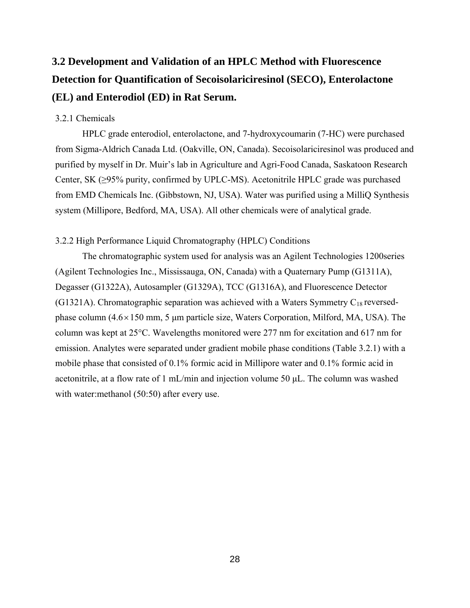# **3.2 Development and Validation of an HPLC Method with Fluorescence Detection for Quantification of Secoisolariciresinol (SECO), Enterolactone (EL) and Enterodiol (ED) in Rat Serum.**

### 3.2.1 Chemicals

HPLC grade enterodiol, enterolactone, and 7-hydroxycoumarin (7-HC) were purchased from Sigma-Aldrich Canada Ltd. (Oakville, ON, Canada). Secoisolariciresinol was produced and purified by myself in Dr. Muir's lab in Agriculture and Agri-Food Canada, Saskatoon Research Center, SK (≥95% purity, confirmed by UPLC-MS). Acetonitrile HPLC grade was purchased from EMD Chemicals Inc. (Gibbstown, NJ, USA). Water was purified using a MilliQ Synthesis system (Millipore, Bedford, MA, USA). All other chemicals were of analytical grade.

#### 3.2.2 High Performance Liquid Chromatography (HPLC) Conditions

The chromatographic system used for analysis was an Agilent Technologies 1200series (Agilent Technologies Inc., Mississauga, ON, Canada) with a Quaternary Pump (G1311A), Degasser (G1322A), Autosampler (G1329A), TCC (G1316A), and Fluorescence Detector (G1321A). Chromatographic separation was achieved with a Waters Symmetry  $C_{18}$  reversedphase column  $(4.6 \times 150 \text{ mm}, 5 \mu \text{m}$  particle size, Waters Corporation, Milford, MA, USA). The column was kept at 25°C. Wavelengths monitored were 277 nm for excitation and 617 nm for emission. Analytes were separated under gradient mobile phase conditions (Table 3.2.1) with a mobile phase that consisted of 0.1% formic acid in Millipore water and 0.1% formic acid in acetonitrile, at a flow rate of 1 mL/min and injection volume 50 μL. The column was washed with water: methanol (50:50) after every use.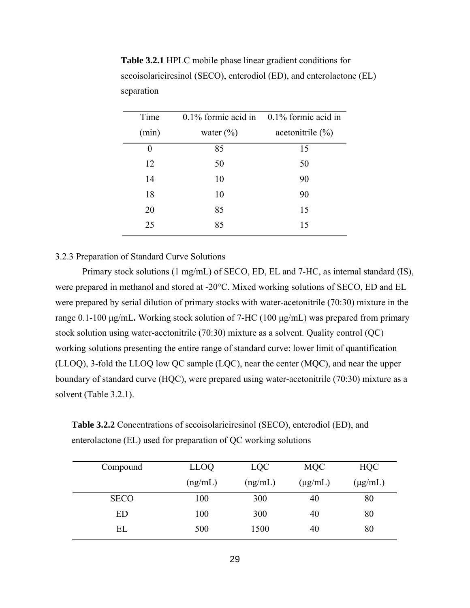| Time  |               | $0.1\%$ formic acid in 0.1% formic acid in |
|-------|---------------|--------------------------------------------|
| (min) | water $(\% )$ | acetonitrile $(\% )$                       |
| 0     | 85            | 15                                         |
| 12    | 50            | 50                                         |
| 14    | 10            | 90                                         |
| 18    | 10            | 90                                         |
| 20    | 85            | 15                                         |
| 25    | 85            | 15                                         |

**Table 3.2.1** HPLC mobile phase linear gradient conditions for secoisolariciresinol (SECO), enterodiol (ED), and enterolactone (EL) separation

#### 3.2.3 Preparation of Standard Curve Solutions

Primary stock solutions (1 mg/mL) of SECO, ED, EL and 7-HC, as internal standard (IS), were prepared in methanol and stored at -20°C. Mixed working solutions of SECO, ED and EL were prepared by serial dilution of primary stocks with water-acetonitrile (70:30) mixture in the range 0.1-100 μg/mL**.** Working stock solution of 7-HC (100 μg/mL) was prepared from primary stock solution using water-acetonitrile (70:30) mixture as a solvent. Quality control (QC) working solutions presenting the entire range of standard curve: lower limit of quantification (LLOQ), 3-fold the LLOQ low QC sample (LQC), near the center (MQC), and near the upper boundary of standard curve (HQC), were prepared using water-acetonitrile (70:30) mixture as a solvent (Table 3.2.1).

**Table 3.2.2** Concentrations of secoisolariciresinol (SECO), enterodiol (ED), and enterolactone (EL) used for preparation of QC working solutions

| Compound    | <b>LLOQ</b> | <b>LQC</b> | MQC          | <b>HQC</b>   |
|-------------|-------------|------------|--------------|--------------|
|             | (ng/mL)     | (ng/mL)    | $(\mu g/mL)$ | $(\mu g/mL)$ |
| <b>SECO</b> | 100         | 300        | 40           | 80           |
| ED          | 100         | 300        | 40           | 80           |
| EL          | 500         | 1500       | 40           | 80           |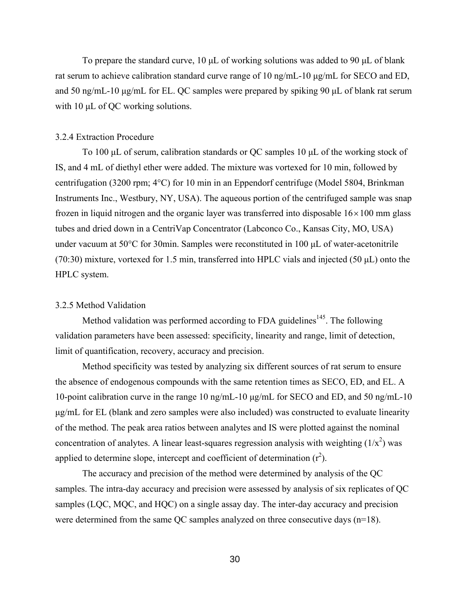To prepare the standard curve, 10 μL of working solutions was added to 90 μL of blank rat serum to achieve calibration standard curve range of 10 ng/mL-10 μg/mL for SECO and ED, and 50 ng/mL-10 μg/mL for EL. QC samples were prepared by spiking 90 μL of blank rat serum with 10 μL of QC working solutions.

#### 3.2.4 Extraction Procedure

To 100 μL of serum, calibration standards or QC samples 10 μL of the working stock of IS, and 4 mL of diethyl ether were added. The mixture was vortexed for 10 min, followed by centrifugation (3200 rpm; 4°C) for 10 min in an Eppendorf centrifuge (Model 5804, Brinkman Instruments Inc., Westbury, NY, USA). The aqueous portion of the centrifuged sample was snap frozen in liquid nitrogen and the organic layer was transferred into disposable  $16 \times 100$  mm glass tubes and dried down in a CentriVap Concentrator (Labconco Co., Kansas City, MO, USA) under vacuum at 50°C for 30min. Samples were reconstituted in 100 μL of water-acetonitrile (70:30) mixture, vortexed for 1.5 min, transferred into HPLC vials and injected (50 μL) onto the HPLC system.

#### 3.2.5 Method Validation

Method validation was performed according to FDA guidelines<sup>145</sup>. The following validation parameters have been assessed: specificity, linearity and range, limit of detection, limit of quantification, recovery, accuracy and precision.

Method specificity was tested by analyzing six different sources of rat serum to ensure the absence of endogenous compounds with the same retention times as SECO, ED, and EL. A 10-point calibration curve in the range 10 ng/mL-10 μg/mL for SECO and ED, and 50 ng/mL-10 μg/mL for EL (blank and zero samples were also included) was constructed to evaluate linearity of the method. The peak area ratios between analytes and IS were plotted against the nominal concentration of analytes. A linear least-squares regression analysis with weighting  $(1/x^2)$  was applied to determine slope, intercept and coefficient of determination  $(r^2)$ .

The accuracy and precision of the method were determined by analysis of the QC samples. The intra-day accuracy and precision were assessed by analysis of six replicates of QC samples (LQC, MQC, and HQC) on a single assay day. The inter-day accuracy and precision were determined from the same QC samples analyzed on three consecutive days (n=18).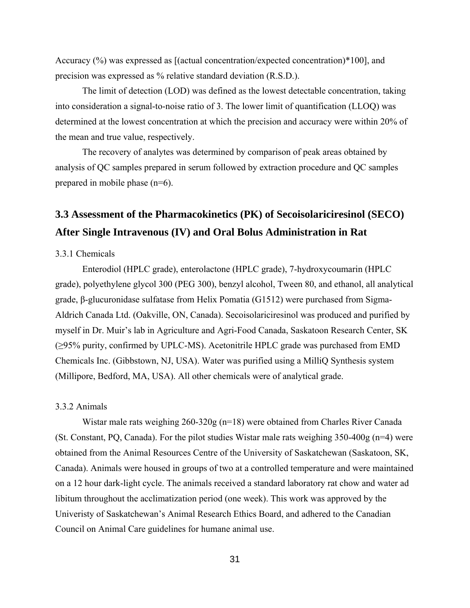Accuracy (%) was expressed as [(actual concentration/expected concentration)\*100], and precision was expressed as % relative standard deviation (R.S.D.).

The limit of detection (LOD) was defined as the lowest detectable concentration, taking into consideration a signal-to-noise ratio of 3. The lower limit of quantification (LLOQ) was determined at the lowest concentration at which the precision and accuracy were within 20% of the mean and true value, respectively.

The recovery of analytes was determined by comparison of peak areas obtained by analysis of QC samples prepared in serum followed by extraction procedure and QC samples prepared in mobile phase (n=6).

## **3.3 Assessment of the Pharmacokinetics (PK) of Secoisolariciresinol (SECO) After Single Intravenous (IV) and Oral Bolus Administration in Rat**

#### 3.3.1 Chemicals

Enterodiol (HPLC grade), enterolactone (HPLC grade), 7-hydroxycoumarin (HPLC grade), polyethylene glycol 300 (PEG 300), benzyl alcohol, Tween 80, and ethanol, all analytical grade, β-glucuronidase sulfatase from Helix Pomatia (G1512) were purchased from Sigma-Aldrich Canada Ltd. (Oakville, ON, Canada). Secoisolariciresinol was produced and purified by myself in Dr. Muir's lab in Agriculture and Agri-Food Canada, Saskatoon Research Center, SK (≥95% purity, confirmed by UPLC-MS). Acetonitrile HPLC grade was purchased from EMD Chemicals Inc. (Gibbstown, NJ, USA). Water was purified using a MilliQ Synthesis system (Millipore, Bedford, MA, USA). All other chemicals were of analytical grade.

#### 3.3.2 Animals

Wistar male rats weighing 260-320g (n=18) were obtained from Charles River Canada (St. Constant, PQ, Canada). For the pilot studies Wistar male rats weighing  $350-400g$  (n=4) were obtained from the Animal Resources Centre of the University of Saskatchewan (Saskatoon, SK, Canada). Animals were housed in groups of two at a controlled temperature and were maintained on a 12 hour dark-light cycle. The animals received a standard laboratory rat chow and water ad libitum throughout the acclimatization period (one week). This work was approved by the Univeristy of Saskatchewan's Animal Research Ethics Board, and adhered to the Canadian Council on Animal Care guidelines for humane animal use.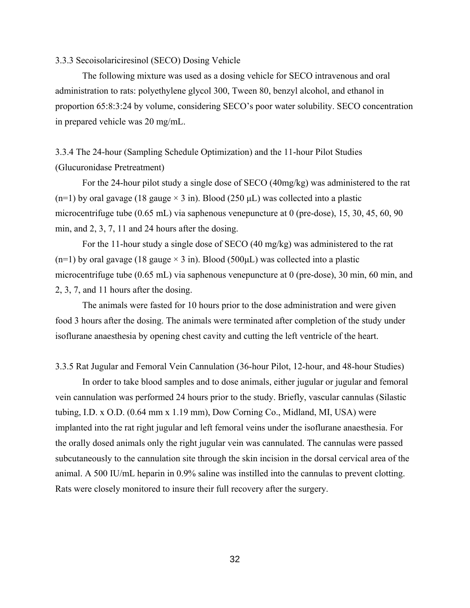#### 3.3.3 Secoisolariciresinol (SECO) Dosing Vehicle

The following mixture was used as a dosing vehicle for SECO intravenous and oral administration to rats: polyethylene glycol 300, Tween 80, benzyl alcohol, and ethanol in proportion 65:8:3:24 by volume, considering SECO's poor water solubility. SECO concentration in prepared vehicle was 20 mg/mL.

## 3.3.4 The 24-hour (Sampling Schedule Optimization) and the 11-hour Pilot Studies (Glucuronidase Pretreatment)

For the 24-hour pilot study a single dose of SECO (40mg/kg) was administered to the rat (n=1) by oral gavage (18 gauge  $\times$  3 in). Blood (250  $\mu$ L) was collected into a plastic microcentrifuge tube (0.65 mL) via saphenous venepuncture at 0 (pre-dose), 15, 30, 45, 60, 90 min, and 2, 3, 7, 11 and 24 hours after the dosing.

For the 11-hour study a single dose of SECO (40 mg/kg) was administered to the rat  $(n=1)$  by oral gavage (18 gauge  $\times$  3 in). Blood (500 $\mu$ L) was collected into a plastic microcentrifuge tube (0.65 mL) via saphenous venepuncture at 0 (pre-dose), 30 min, 60 min, and 2, 3, 7, and 11 hours after the dosing.

The animals were fasted for 10 hours prior to the dose administration and were given food 3 hours after the dosing. The animals were terminated after completion of the study under isoflurane anaesthesia by opening chest cavity and cutting the left ventricle of the heart.

3.3.5 Rat Jugular and Femoral Vein Cannulation (36-hour Pilot, 12-hour, and 48-hour Studies)

In order to take blood samples and to dose animals, either jugular or jugular and femoral vein cannulation was performed 24 hours prior to the study. Briefly, vascular cannulas (Silastic tubing, I.D. x O.D. (0.64 mm x 1.19 mm), Dow Corning Co., Midland, MI, USA) were implanted into the rat right jugular and left femoral veins under the isoflurane anaesthesia. For the orally dosed animals only the right jugular vein was cannulated. The cannulas were passed subcutaneously to the cannulation site through the skin incision in the dorsal cervical area of the animal. A 500 IU/mL heparin in 0.9% saline was instilled into the cannulas to prevent clotting. Rats were closely monitored to insure their full recovery after the surgery.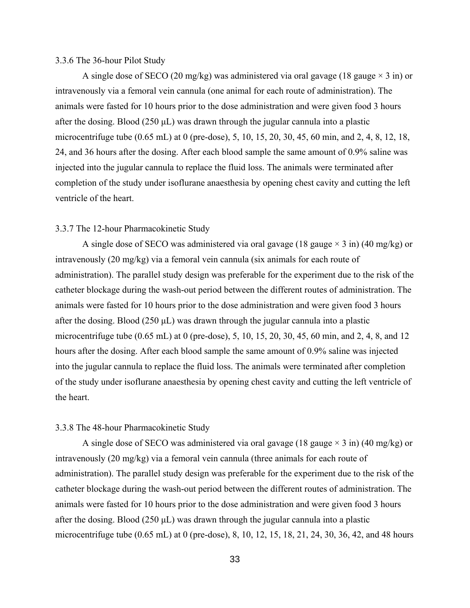#### 3.3.6 The 36-hour Pilot Study

A single dose of SECO (20 mg/kg) was administered via oral gavage (18 gauge  $\times$  3 in) or intravenously via a femoral vein cannula (one animal for each route of administration). The animals were fasted for 10 hours prior to the dose administration and were given food 3 hours after the dosing. Blood (250  $\mu$ L) was drawn through the jugular cannula into a plastic microcentrifuge tube (0.65 mL) at 0 (pre-dose), 5, 10, 15, 20, 30, 45, 60 min, and 2, 4, 8, 12, 18, 24, and 36 hours after the dosing. After each blood sample the same amount of 0.9% saline was injected into the jugular cannula to replace the fluid loss. The animals were terminated after completion of the study under isoflurane anaesthesia by opening chest cavity and cutting the left ventricle of the heart.

#### 3.3.7 The 12-hour Pharmacokinetic Study

A single dose of SECO was administered via oral gavage (18 gauge  $\times$  3 in) (40 mg/kg) or intravenously (20 mg/kg) via a femoral vein cannula (six animals for each route of administration). The parallel study design was preferable for the experiment due to the risk of the catheter blockage during the wash-out period between the different routes of administration. The animals were fasted for 10 hours prior to the dose administration and were given food 3 hours after the dosing. Blood (250  $\mu$ L) was drawn through the jugular cannula into a plastic microcentrifuge tube (0.65 mL) at 0 (pre-dose), 5, 10, 15, 20, 30, 45, 60 min, and 2, 4, 8, and 12 hours after the dosing. After each blood sample the same amount of 0.9% saline was injected into the jugular cannula to replace the fluid loss. The animals were terminated after completion of the study under isoflurane anaesthesia by opening chest cavity and cutting the left ventricle of the heart.

#### 3.3.8 The 48-hour Pharmacokinetic Study

A single dose of SECO was administered via oral gavage (18 gauge  $\times$  3 in) (40 mg/kg) or intravenously (20 mg/kg) via a femoral vein cannula (three animals for each route of administration). The parallel study design was preferable for the experiment due to the risk of the catheter blockage during the wash-out period between the different routes of administration. The animals were fasted for 10 hours prior to the dose administration and were given food 3 hours after the dosing. Blood (250 μL) was drawn through the jugular cannula into a plastic microcentrifuge tube (0.65 mL) at 0 (pre-dose), 8, 10, 12, 15, 18, 21, 24, 30, 36, 42, and 48 hours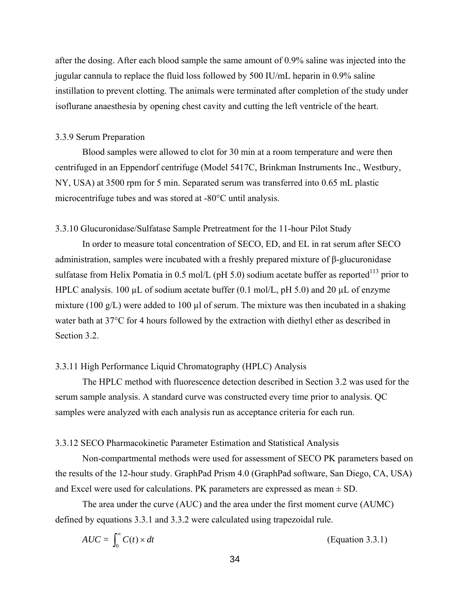after the dosing. After each blood sample the same amount of 0.9% saline was injected into the jugular cannula to replace the fluid loss followed by 500 IU/mL heparin in 0.9% saline instillation to prevent clotting. The animals were terminated after completion of the study under isoflurane anaesthesia by opening chest cavity and cutting the left ventricle of the heart.

#### 3.3.9 Serum Preparation

Blood samples were allowed to clot for 30 min at a room temperature and were then centrifuged in an Eppendorf centrifuge (Model 5417C, Brinkman Instruments Inc., Westbury, NY, USA) at 3500 rpm for 5 min. Separated serum was transferred into 0.65 mL plastic microcentrifuge tubes and was stored at -80°C until analysis.

#### 3.3.10 Glucuronidase/Sulfatase Sample Pretreatment for the 11-hour Pilot Study

In order to measure total concentration of SECO, ED, and EL in rat serum after SECO administration, samples were incubated with a freshly prepared mixture of β-glucuronidase sulfatase from Helix Pomatia in 0.5 mol/L (pH 5.0) sodium acetate buffer as reported<sup>113</sup> prior to HPLC analysis. 100  $\mu$ L of sodium acetate buffer (0.1 mol/L, pH 5.0) and 20  $\mu$ L of enzyme mixture (100 g/L) were added to 100  $\mu$ l of serum. The mixture was then incubated in a shaking water bath at 37°C for 4 hours followed by the extraction with diethyl ether as described in Section 3.2.

#### 3.3.11 High Performance Liquid Chromatography (HPLC) Analysis

The HPLC method with fluorescence detection described in Section 3.2 was used for the serum sample analysis. A standard curve was constructed every time prior to analysis. QC samples were analyzed with each analysis run as acceptance criteria for each run.

#### 3.3.12 SECO Pharmacokinetic Parameter Estimation and Statistical Analysis

Non-compartmental methods were used for assessment of SECO PK parameters based on the results of the 12-hour study. GraphPad Prism 4.0 (GraphPad software, San Diego, CA, USA) and Excel were used for calculations. PK parameters are expressed as mean  $\pm$  SD.

The area under the curve (AUC) and the area under the first moment curve (AUMC) defined by equations 3.3.1 and 3.3.2 were calculated using trapezoidal rule.

$$
AUC = \int_0^\infty C(t) \times dt
$$
 (Equation 3.3.1)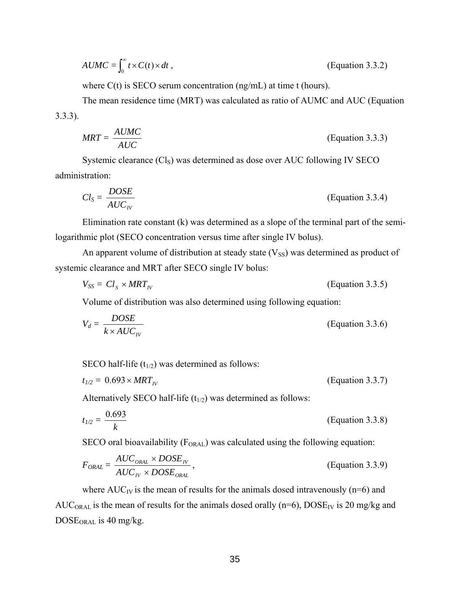$$
AUMC = \int_0^\infty t \times C(t) \times dt,
$$
 (Equation 3.3.2)

where  $C(t)$  is SECO serum concentration (ng/mL) at time t (hours).

The mean residence time (MRT) was calculated as ratio of AUMC and AUC (Equation 3.3.3).

$$
MRT = \frac{AUMC}{AUC}
$$
 (Equation 3.3.3)

Systemic clearance  $(Cl<sub>S</sub>)$  was determined as dose over AUC following IV SECO administration:

$$
Cl_S = \frac{DOSE}{AUC_N}
$$
 (Equation 3.3.4)

Elimination rate constant (k) was determined as a slope of the terminal part of the semilogarithmic plot (SECO concentration versus time after single IV bolus).

An apparent volume of distribution at steady state  $(V_{SS})$  was determined as product of systemic clearance and MRT after SECO single IV bolus:

$$
V_{SS} = Cl_s \times MRT_{IV}
$$
 (Equation 3.3.5)

Volume of distribution was also determined using following equation:

$$
V_d = \frac{DOSE}{k \times AUC_N}
$$
 (Equation 3.3.6)

SECO half-life  $(t_{1/2})$  was determined as follows:

$$
t_{1/2} = 0.693 \times MRT_{IV} \tag{Equation 3.3.7}
$$

Alternatively SECO half-life  $(t_{1/2})$  was determined as follows:

$$
t_{1/2} = \frac{0.693}{k}
$$
 (Equation 3.3.8)

SECO oral bioavailability ( $F_{ORAL}$ ) was calculated using the following equation:

$$
F_{ORAL} = \frac{AUC_{ORAL} \times DOSE_{IV}}{AUC_{IV} \times DOSE_{ORAL}},
$$
 (Equation 3.3.9)

where  $AUC_{IV}$  is the mean of results for the animals dosed intravenously (n=6) and AUC<sub>ORAL</sub> is the mean of results for the animals dosed orally ( $n=6$ ),  $DOSE<sub>IV</sub>$  is 20 mg/kg and  $DOSE<sub>ORAL</sub>$  is 40 mg/kg.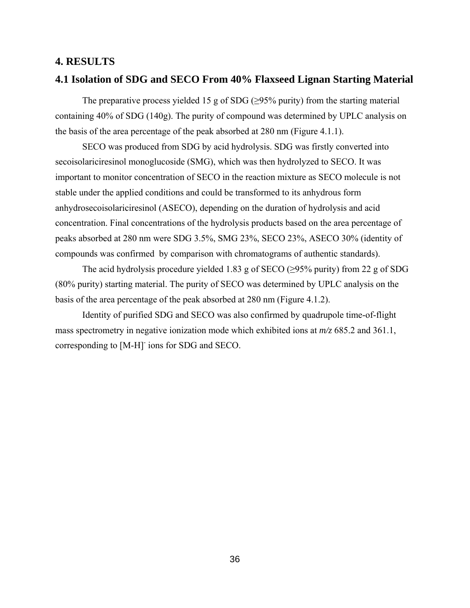#### **4. RESULTS**

#### **4.1 Isolation of SDG and SECO From 40% Flaxseed Lignan Starting Material**

The preparative process yielded 15 g of SDG ( $\geq$ 95% purity) from the starting material containing 40% of SDG (140g). The purity of compound was determined by UPLC analysis on the basis of the area percentage of the peak absorbed at 280 nm (Figure 4.1.1).

SECO was produced from SDG by acid hydrolysis. SDG was firstly converted into secoisolariciresinol monoglucoside (SMG), which was then hydrolyzed to SECO. It was important to monitor concentration of SECO in the reaction mixture as SECO molecule is not stable under the applied conditions and could be transformed to its anhydrous form anhydrosecoisolariciresinol (ASECO), depending on the duration of hydrolysis and acid concentration. Final concentrations of the hydrolysis products based on the area percentage of peaks absorbed at 280 nm were SDG 3.5%, SMG 23%, SECO 23%, ASECO 30% (identity of compounds was confirmed by comparison with chromatograms of authentic standards).

The acid hydrolysis procedure yielded 1.83 g of SECO ( $\geq$ 95% purity) from 22 g of SDG (80% purity) starting material. The purity of SECO was determined by UPLC analysis on the basis of the area percentage of the peak absorbed at 280 nm (Figure 4.1.2).

Identity of purified SDG and SECO was also confirmed by quadrupole time-of-flight mass spectrometry in negative ionization mode which exhibited ions at *m/z* 685.2 and 361.1, corresponding to [M-H]- ions for SDG and SECO.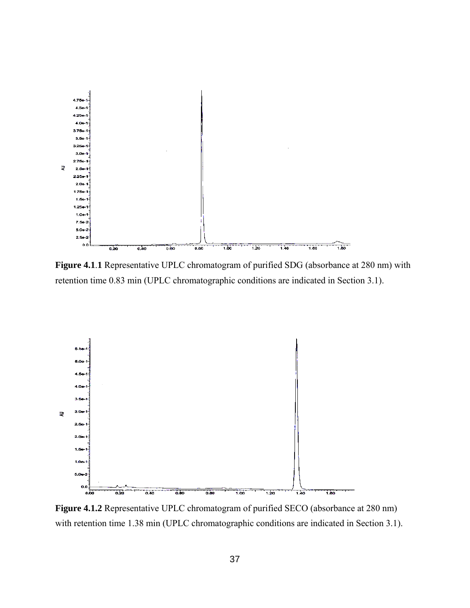

**Figure 4.1**.**1** Representative UPLC chromatogram of purified SDG (absorbance at 280 nm) with retention time 0.83 min (UPLC chromatographic conditions are indicated in Section 3.1).



Figure 4.1.2 Representative UPLC chromatogram of purified SECO (absorbance at 280 nm) with retention time 1.38 min (UPLC chromatographic conditions are indicated in Section 3.1).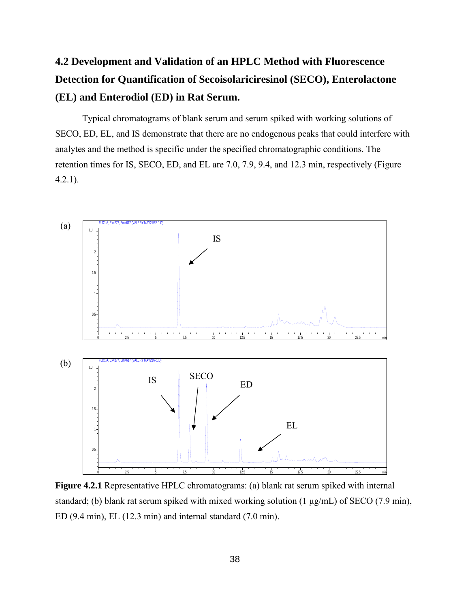# **4.2 Development and Validation of an HPLC Method with Fluorescence Detection for Quantification of Secoisolariciresinol (SECO), Enterolactone (EL) and Enterodiol (ED) in Rat Serum.**

Typical chromatograms of blank serum and serum spiked with working solutions of SECO, ED, EL, and IS demonstrate that there are no endogenous peaks that could interfere with analytes and the method is specific under the specified chromatographic conditions. The retention times for IS, SECO, ED, and EL are 7.0, 7.9, 9.4, and 12.3 min, respectively (Figure 4.2.1).



**Figure 4.2.1** Representative HPLC chromatograms: (a) blank rat serum spiked with internal standard; (b) blank rat serum spiked with mixed working solution (1 μg/mL) of SECO (7.9 min), ED (9.4 min), EL (12.3 min) and internal standard (7.0 min).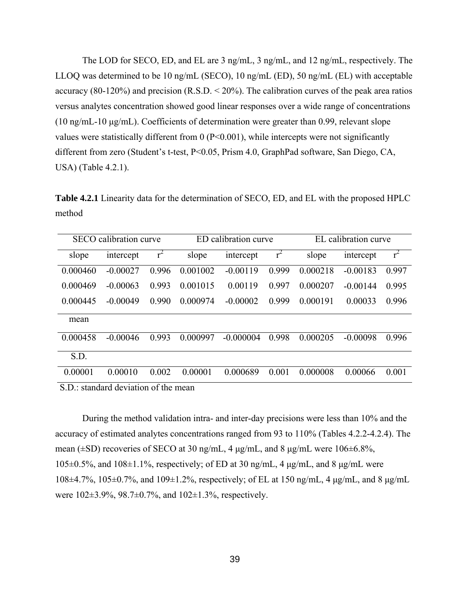The LOD for SECO, ED, and EL are 3 ng/mL, 3 ng/mL, and 12 ng/mL, respectively. The LLOQ was determined to be 10 ng/mL (SECO), 10 ng/mL (ED), 50 ng/mL (EL) with acceptable accuracy (80-120%) and precision  $(R.S.D. < 20%$ ). The calibration curves of the peak area ratios versus analytes concentration showed good linear responses over a wide range of concentrations (10 ng/mL-10 μg/mL). Coefficients of determination were greater than 0.99, relevant slope values were statistically different from 0 (P<0.001), while intercepts were not significantly different from zero (Student's t-test, P<0.05, Prism 4.0, GraphPad software, San Diego, CA, USA) (Table 4.2.1).

**Table 4.2.1** Linearity data for the determination of SECO, ED, and EL with the proposed HPLC method

| SECO calibration curve                         |            |       | ED calibration curve |             |       | EL calibration curve |            |       |
|------------------------------------------------|------------|-------|----------------------|-------------|-------|----------------------|------------|-------|
| slope                                          | intercept  | $r^2$ | slope                | intercept   | $r^2$ | slope                | intercept  | $r^2$ |
| 0.000460                                       | $-0.00027$ | 0.996 | 0.001002             | $-0.00119$  | 0.999 | 0.000218             | $-0.00183$ | 0.997 |
| 0.000469                                       | $-0.00063$ | 0.993 | 0.001015             | 0.00119     | 0.997 | 0.000207             | $-0.00144$ | 0.995 |
| 0.000445                                       | $-0.00049$ | 0.990 | 0.000974             | $-0.00002$  | 0.999 | 0.000191             | 0.00033    | 0.996 |
| mean                                           |            |       |                      |             |       |                      |            |       |
| 0.000458                                       | $-0.00046$ | 0.993 | 0.000997             | $-0.000004$ | 0.998 | 0.000205             | $-0.00098$ | 0.996 |
| S.D.                                           |            |       |                      |             |       |                      |            |       |
| 0.00001                                        | 0.00010    | 0.002 | 0.00001              | 0.000689    | 0.001 | 0.000008             | 0.00066    | 0.001 |
| $P_{\rm D}$ is open dond deviation of the mean |            |       |                      |             |       |                      |            |       |

S.D.: standard deviation of the mean

During the method validation intra- and inter-day precisions were less than 10% and the accuracy of estimated analytes concentrations ranged from 93 to 110% (Tables 4.2.2-4.2.4). The mean (±SD) recoveries of SECO at 30 ng/mL, 4 μg/mL, and 8 μg/mL were 106±6.8%,  $105\pm0.5\%$ , and  $108\pm1.1\%$ , respectively; of ED at 30 ng/mL, 4  $\mu$ g/mL, and 8  $\mu$ g/mL were 108±4.7%, 105±0.7%, and 109±1.2%, respectively; of EL at 150 ng/mL, 4 μg/mL, and 8 μg/mL were 102±3.9%, 98.7±0.7%, and 102±1.3%, respectively.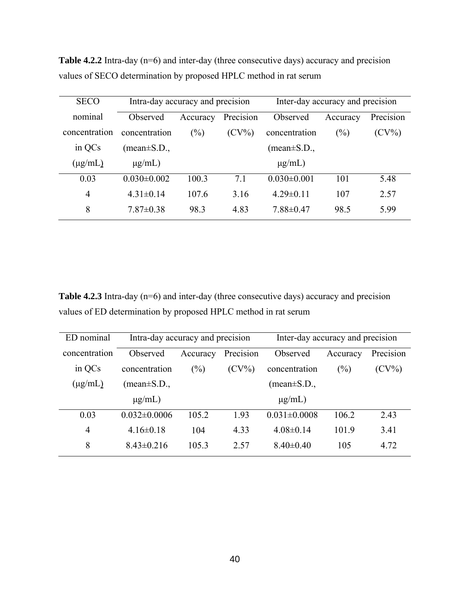| <b>SECO</b>   | Intra-day accuracy and precision |                                  |      |                          | Inter-day accuracy and precision |           |
|---------------|----------------------------------|----------------------------------|------|--------------------------|----------------------------------|-----------|
| nominal       | Observed                         | Precision<br>Accuracy            |      | Observed                 | Accuracy                         | Precision |
| concentration | concentration                    | (%)<br>$(CV\%)$<br>concentration |      |                          | $(\%)$                           | $(CV\%)$  |
| in QCs        | $(\text{mean} \pm S.D.,$         |                                  |      | $(\text{mean} \pm S.D.,$ |                                  |           |
| $(\mu g/mL)$  | $\mu$ g/mL)                      |                                  |      | $\mu$ g/mL)              |                                  |           |
| 0.03          | $0.030 \pm 0.002$                | 100.3                            | 71   | $0.030 \pm 0.001$        | 101                              | 5.48      |
| 4             | $4.31\pm0.14$                    | 107.6                            | 3.16 | $4.29 \pm 0.11$          | 107                              | 2.57      |
| 8             | $7.87 \pm 0.38$                  | 98.3                             | 4.83 | $7.88 \pm 0.47$          | 98.5                             | 5.99      |

**Table 4.2.2** Intra-day (n=6) and inter-day (three consecutive days) accuracy and precision values of SECO determination by proposed HPLC method in rat serum

Table 4.2.3 Intra-day (n=6) and inter-day (three consecutive days) accuracy and precision values of ED determination by proposed HPLC method in rat serum

| ED nominal     | Intra-day accuracy and precision |                          |          | Inter-day accuracy and precision |          |           |
|----------------|----------------------------------|--------------------------|----------|----------------------------------|----------|-----------|
| concentration  | Observed                         | Precision<br>Accuracy    |          | Observed                         | Accuracy | Precision |
| in QCs         | concentration                    | $(\%)$                   | $(CV\%)$ | concentration                    | (%)      | $(CV\%)$  |
| $(\mu g/mL)$   | $(\text{mean} \pm S.D.,$         | $(\text{mean} \pm S.D.,$ |          |                                  |          |           |
|                | $\mu$ g/mL)                      |                          |          | $\mu$ g/mL)                      |          |           |
| 0.03           | $0.032 \pm 0.0006$               | 105.2                    | 1.93     | $0.031 \pm 0.0008$               | 106.2    | 2.43      |
| $\overline{4}$ | $4.16 \pm 0.18$                  | 104                      | 4.33     | $4.08\pm0.14$                    | 101.9    | 3.41      |
| 8              | $8.43\pm0.216$                   | 105.3                    | 2.57     | $8.40\pm0.40$                    | 105      | 4.72      |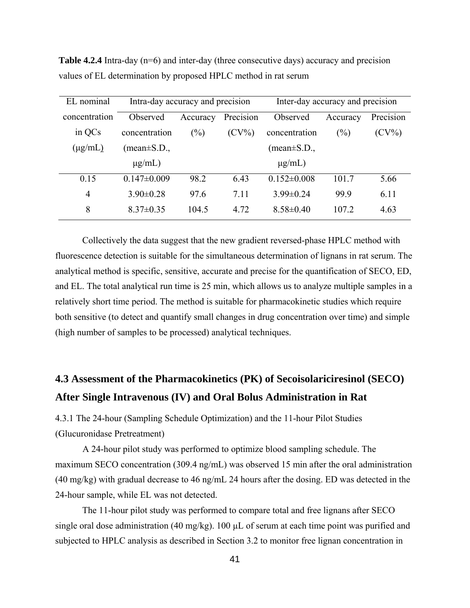| EL nominal     | Intra-day accuracy and precision  |                          |          | Inter-day accuracy and precision |           |          |
|----------------|-----------------------------------|--------------------------|----------|----------------------------------|-----------|----------|
| concentration  | Precision<br>Observed<br>Accuracy |                          | Observed | Accuracy                         | Precision |          |
| in QCs         | concentration                     | $(\%)$<br>$(CV\%)$       |          | concentration                    | $(\%)$    | $(CV\%)$ |
| $(\mu g/mL)$   | $(\text{mean} \pm S.D.,$          | $(\text{mean} \pm S.D.,$ |          |                                  |           |          |
|                | $\mu$ g/mL)                       |                          |          | $\mu$ g/mL)                      |           |          |
| 0.15           | $0.147 \pm 0.009$                 | 98.2                     | 6.43     | $0.152 \pm 0.008$                | 101.7     | 5.66     |
| $\overline{4}$ | $3.90 \pm 0.28$                   | 97.6                     | 7.11     | $3.99 \pm 0.24$                  | 99.9      | 6.11     |
| 8              | $8.37\pm0.35$                     | 104.5                    | 4.72     | $8.58 \pm 0.40$                  | 107.2     | 4.63     |

**Table 4.2.4** Intra-day (n=6) and inter-day (three consecutive days) accuracy and precision values of EL determination by proposed HPLC method in rat serum

Collectively the data suggest that the new gradient reversed-phase HPLC method with fluorescence detection is suitable for the simultaneous determination of lignans in rat serum. The analytical method is specific, sensitive, accurate and precise for the quantification of SECO, ED, and EL. The total analytical run time is 25 min, which allows us to analyze multiple samples in a relatively short time period. The method is suitable for pharmacokinetic studies which require both sensitive (to detect and quantify small changes in drug concentration over time) and simple (high number of samples to be processed) analytical techniques.

## **4.3 Assessment of the Pharmacokinetics (PK) of Secoisolariciresinol (SECO) After Single Intravenous (IV) and Oral Bolus Administration in Rat**

4.3.1 The 24-hour (Sampling Schedule Optimization) and the 11-hour Pilot Studies (Glucuronidase Pretreatment)

A 24-hour pilot study was performed to optimize blood sampling schedule. The maximum SECO concentration (309.4 ng/mL) was observed 15 min after the oral administration (40 mg/kg) with gradual decrease to 46 ng/mL 24 hours after the dosing. ED was detected in the 24-hour sample, while EL was not detected.

The 11-hour pilot study was performed to compare total and free lignans after SECO single oral dose administration (40 mg/kg). 100 µL of serum at each time point was purified and subjected to HPLC analysis as described in Section 3.2 to monitor free lignan concentration in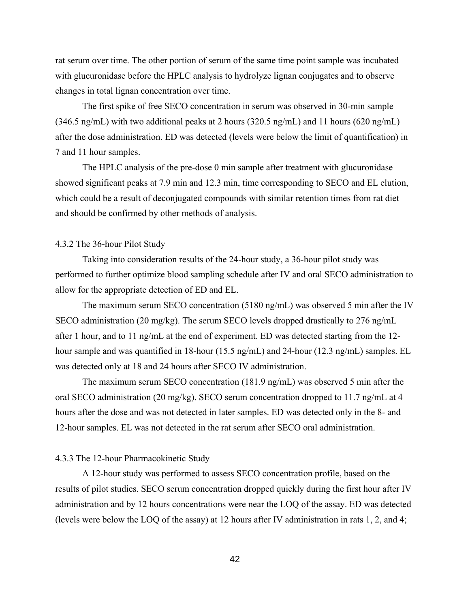rat serum over time. The other portion of serum of the same time point sample was incubated with glucuronidase before the HPLC analysis to hydrolyze lignan conjugates and to observe changes in total lignan concentration over time.

The first spike of free SECO concentration in serum was observed in 30-min sample (346.5 ng/mL) with two additional peaks at 2 hours (320.5 ng/mL) and 11 hours (620 ng/mL) after the dose administration. ED was detected (levels were below the limit of quantification) in 7 and 11 hour samples.

The HPLC analysis of the pre-dose 0 min sample after treatment with glucuronidase showed significant peaks at 7.9 min and 12.3 min, time corresponding to SECO and EL elution, which could be a result of deconjugated compounds with similar retention times from rat diet and should be confirmed by other methods of analysis.

#### 4.3.2 The 36-hour Pilot Study

Taking into consideration results of the 24-hour study, a 36-hour pilot study was performed to further optimize blood sampling schedule after IV and oral SECO administration to allow for the appropriate detection of ED and EL.

The maximum serum SECO concentration (5180 ng/mL) was observed 5 min after the IV SECO administration (20 mg/kg). The serum SECO levels dropped drastically to 276 ng/mL after 1 hour, and to 11 ng/mL at the end of experiment. ED was detected starting from the 12 hour sample and was quantified in 18-hour (15.5 ng/mL) and 24-hour (12.3 ng/mL) samples. EL was detected only at 18 and 24 hours after SECO IV administration.

The maximum serum SECO concentration (181.9 ng/mL) was observed 5 min after the oral SECO administration (20 mg/kg). SECO serum concentration dropped to 11.7 ng/mL at 4 hours after the dose and was not detected in later samples. ED was detected only in the 8- and 12-hour samples. EL was not detected in the rat serum after SECO oral administration.

#### 4.3.3 The 12-hour Pharmacokinetic Study

A 12-hour study was performed to assess SECO concentration profile, based on the results of pilot studies. SECO serum concentration dropped quickly during the first hour after IV administration and by 12 hours concentrations were near the LOQ of the assay. ED was detected (levels were below the LOQ of the assay) at 12 hours after IV administration in rats 1, 2, and 4;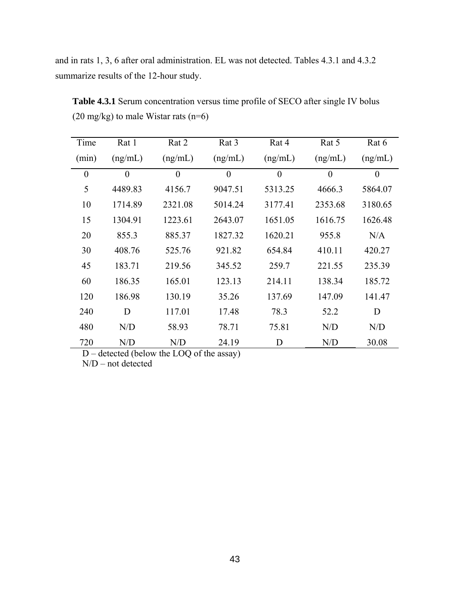and in rats 1, 3, 6 after oral administration. EL was not detected. Tables 4.3.1 and 4.3.2 summarize results of the 12-hour study.

| Time             | Rat 1    | Rat 2    | Rat 3    | Rat 4    | Rat 5            | Rat 6          |
|------------------|----------|----------|----------|----------|------------------|----------------|
| (min)            | (ng/mL)  | (ng/mL)  | (ng/mL)  | (ng/mL)  | (ng/mL)          | (ng/mL)        |
| $\boldsymbol{0}$ | $\theta$ | $\theta$ | $\theta$ | $\theta$ | $\boldsymbol{0}$ | $\overline{0}$ |
| 5                | 4489.83  | 4156.7   | 9047.51  | 5313.25  | 4666.3           | 5864.07        |
| 10               | 1714.89  | 2321.08  | 5014.24  | 3177.41  | 2353.68          | 3180.65        |
| 15               | 1304.91  | 1223.61  | 2643.07  | 1651.05  | 1616.75          | 1626.48        |
| 20               | 855.3    | 885.37   | 1827.32  | 1620.21  | 955.8            | N/A            |
| 30               | 408.76   | 525.76   | 921.82   | 654.84   | 410.11           | 420.27         |
| 45               | 183.71   | 219.56   | 345.52   | 259.7    | 221.55           | 235.39         |
| 60               | 186.35   | 165.01   | 123.13   | 214.11   | 138.34           | 185.72         |
| 120              | 186.98   | 130.19   | 35.26    | 137.69   | 147.09           | 141.47         |
| 240              | D        | 117.01   | 17.48    | 78.3     | 52.2             | D              |
| 480              | N/D      | 58.93    | 78.71    | 75.81    | N/D              | N/D            |
| 720              | N/D      | N/D      | 24.19    | D        | N/D              | 30.08          |

**Table 4.3.1** Serum concentration versus time profile of SECO after single IV bolus (20 mg/kg) to male Wistar rats (n=6)

D – detected (below the LOQ of the assay)

 $N/D$  – not detected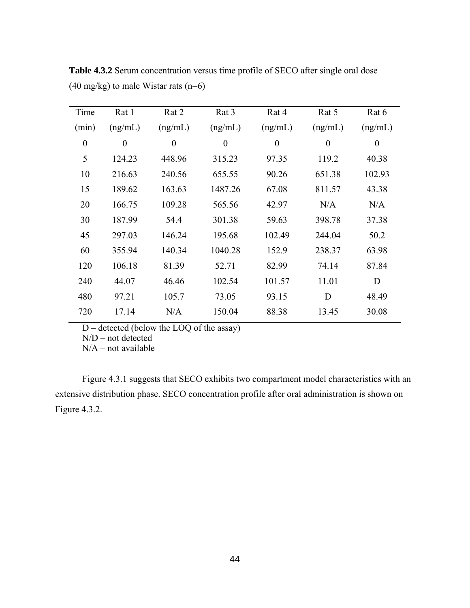| Time     | Rat 1    | Rat 2            | Rat 3            | Rat 4            | Rat 5          | Rat 6            |
|----------|----------|------------------|------------------|------------------|----------------|------------------|
| (min)    | (ng/mL)  | (ng/mL)          | (ng/mL)          | (ng/mL)          | (ng/mL)        | (ng/mL)          |
| $\theta$ | $\theta$ | $\boldsymbol{0}$ | $\boldsymbol{0}$ | $\boldsymbol{0}$ | $\overline{0}$ | $\boldsymbol{0}$ |
| 5        | 124.23   | 448.96           | 315.23           | 97.35            | 119.2          | 40.38            |
| 10       | 216.63   | 240.56           | 655.55           | 90.26            | 651.38         | 102.93           |
| 15       | 189.62   | 163.63           | 1487.26          | 67.08            | 811.57         | 43.38            |
| 20       | 166.75   | 109.28           | 565.56           | 42.97            | N/A            | N/A              |
| 30       | 187.99   | 54.4             | 301.38           | 59.63            | 398.78         | 37.38            |
| 45       | 297.03   | 146.24           | 195.68           | 102.49           | 244.04         | 50.2             |
| 60       | 355.94   | 140.34           | 1040.28          | 152.9            | 238.37         | 63.98            |
| 120      | 106.18   | 81.39            | 52.71            | 82.99            | 74.14          | 87.84            |
| 240      | 44.07    | 46.46            | 102.54           | 101.57           | 11.01          | D                |
| 480      | 97.21    | 105.7            | 73.05            | 93.15            | D              | 48.49            |
| 720      | 17.14    | N/A              | 150.04           | 88.38            | 13.45          | 30.08            |

**Table 4.3.2** Serum concentration versus time profile of SECO after single oral dose  $(40 \text{ mg/kg})$  to male Wistar rats  $(n=6)$ 

D – detected (below the LOQ of the assay)

N/D – not detected

 $N/A$  – not available

Figure 4.3.1 suggests that SECO exhibits two compartment model characteristics with an extensive distribution phase. SECO concentration profile after oral administration is shown on Figure 4.3.2.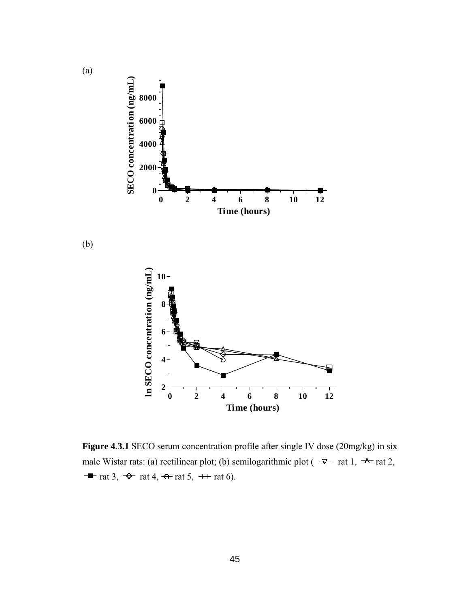

**Figure 4.3.1** SECO serum concentration profile after single IV dose (20mg/kg) in six male Wistar rats: (a) rectilinear plot; (b) semilogarithmic plot ( $\rightarrow$  rat 1,  $\rightarrow$  rat 2,  $\rightarrow$  rat 3,  $\rightarrow$  rat 4,  $\rightarrow$  rat 5,  $\rightarrow$  rat 6).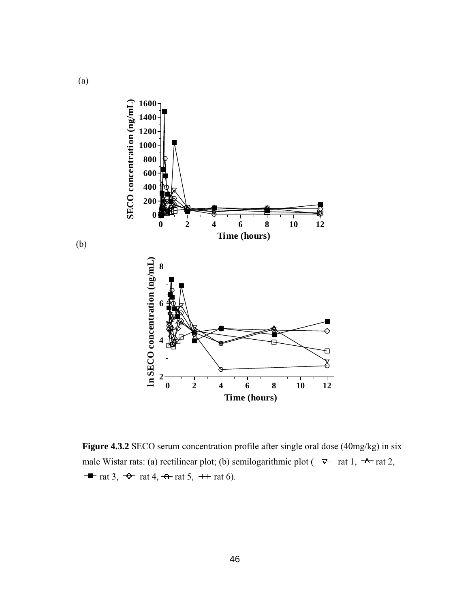

**Figure 4.3.2** SECO serum concentration profile after single oral dose (40mg/kg) in six male Wistar rats: (a) rectilinear plot; (b) semilogarithmic plot ( $\rightarrow$  rat 1,  $\rightarrow$  rat 2,  $\rightarrow$  rat 3,  $\rightarrow$  rat 4,  $\rightarrow$  rat 5,  $\rightarrow$  rat 6).

(b)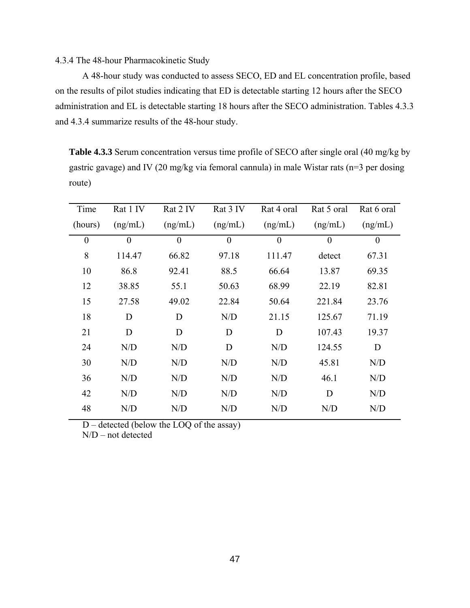#### 4.3.4 The 48-hour Pharmacokinetic Study

A 48-hour study was conducted to assess SECO, ED and EL concentration profile, based on the results of pilot studies indicating that ED is detectable starting 12 hours after the SECO administration and EL is detectable starting 18 hours after the SECO administration. Tables 4.3.3 and 4.3.4 summarize results of the 48-hour study.

**Table 4.3.3** Serum concentration versus time profile of SECO after single oral (40 mg/kg by gastric gavage) and IV (20 mg/kg via femoral cannula) in male Wistar rats (n=3 per dosing route)

| Time             | Rat 1 IV         | Rat 2 IV         | Rat 3 IV         | Rat 4 oral       | Rat 5 oral       | Rat 6 oral       |
|------------------|------------------|------------------|------------------|------------------|------------------|------------------|
| (hours)          | (ng/mL)          | (ng/mL)          | (ng/mL)          | (ng/mL)          | (ng/mL)          | (ng/mL)          |
| $\boldsymbol{0}$ | $\boldsymbol{0}$ | $\boldsymbol{0}$ | $\boldsymbol{0}$ | $\boldsymbol{0}$ | $\boldsymbol{0}$ | $\boldsymbol{0}$ |
| 8                | 114.47           | 66.82            | 97.18            | 111.47           | detect           | 67.31            |
| 10               | 86.8             | 92.41            | 88.5             | 66.64            | 13.87            | 69.35            |
| 12               | 38.85            | 55.1             | 50.63            | 68.99            | 22.19            | 82.81            |
| 15               | 27.58            | 49.02            | 22.84            | 50.64            | 221.84           | 23.76            |
| 18               | D                | D                | N/D              | 21.15            | 125.67           | 71.19            |
| 21               | D                | D                | D                | D                | 107.43           | 19.37            |
| 24               | N/D              | N/D              | D                | N/D              | 124.55           | D                |
| 30               | N/D              | N/D              | N/D              | N/D              | 45.81            | N/D              |
| 36               | N/D              | N/D              | N/D              | N/D              | 46.1             | N/D              |
| 42               | N/D              | N/D              | N/D              | N/D              | D                | N/D              |
| 48               | N/D              | N/D              | N/D              | N/D              | N/D              | N/D              |

D – detected (below the LOQ of the assay)

N/D – not detected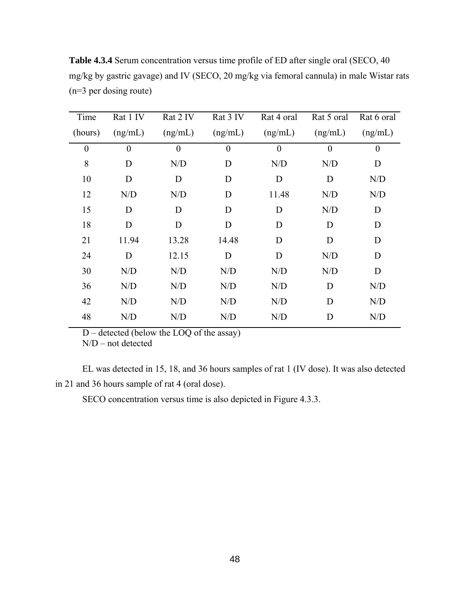| Time             | Rat 1 IV       | Rat 2 IV         | Rat 3 IV | Rat 4 oral     | Rat 5 oral     | Rat 6 oral       |
|------------------|----------------|------------------|----------|----------------|----------------|------------------|
| (hours)          | (ng/mL)        | (ng/mL)          | (ng/mL)  | (ng/mL)        | (ng/mL)        | (ng/mL)          |
| $\boldsymbol{0}$ | $\overline{0}$ | $\boldsymbol{0}$ | $\theta$ | $\overline{0}$ | $\overline{0}$ | $\boldsymbol{0}$ |
| 8                | D              | N/D              | D        | N/D            | N/D            | D                |
| 10               | D              | D                | D        | D              | D              | N/D              |
| 12               | N/D            | N/D              | D        | 11.48          | N/D            | N/D              |
| 15               | D              | D                | D        | D              | N/D            | D                |
| 18               | D              | D                | D        | D              | D              | D                |
| 21               | 11.94          | 13.28            | 14.48    | D              | D              | D                |
| 24               | D              | 12.15            | D        | D              | N/D            | D                |
| 30               | N/D            | N/D              | N/D      | N/D            | N/D            | D                |
| 36               | N/D            | N/D              | N/D      | N/D            | D              | N/D              |
| 42               | N/D            | N/D              | N/D      | N/D            | D              | N/D              |
| 48               | N/D            | N/D              | N/D      | N/D            | D              | N/D              |

**Table 4.3.4** Serum concentration versus time profile of ED after single oral (SECO, 40 mg/kg by gastric gavage) and IV (SECO, 20 mg/kg via femoral cannula) in male Wistar rats (n=3 per dosing route)

D – detected (below the LOQ of the assay)

 $N/D$  – not detected

EL was detected in 15, 18, and 36 hours samples of rat 1 (IV dose). It was also detected in 21 and 36 hours sample of rat 4 (oral dose).

SECO concentration versus time is also depicted in Figure 4.3.3.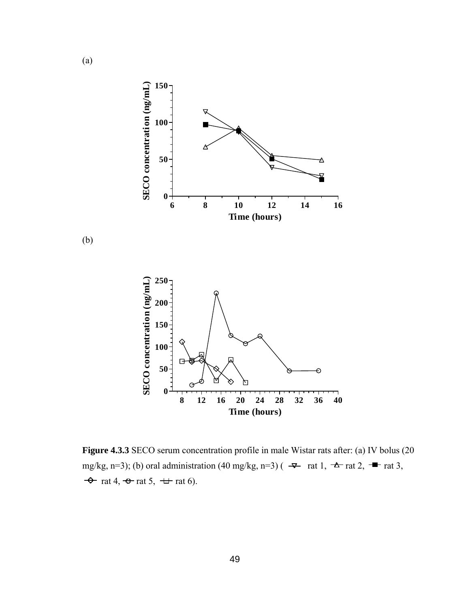

**Figure 4.3.3** SECO serum concentration profile in male Wistar rats after: (a) IV bolus (20 mg/kg, n=3); (b) oral administration (40 mg/kg, n=3) ( $\rightarrow$  rat 1,  $\rightarrow$  rat 2,  $\rightarrow$  rat 3,  $\rightarrow$  rat 4,  $\rightarrow$  rat 5,  $\rightarrow$  rat 6).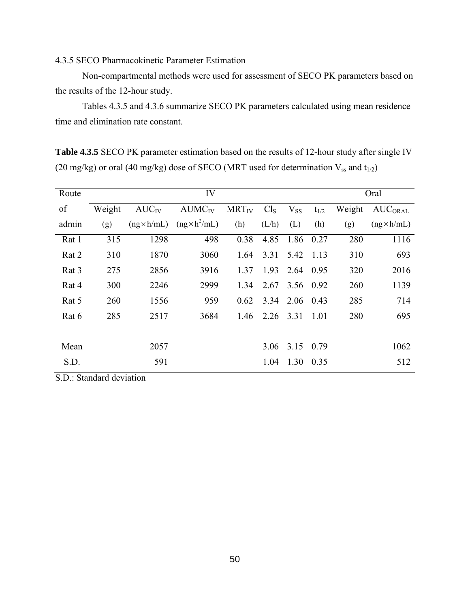### 4.3.5 SECO Pharmacokinetic Parameter Estimation

Non-compartmental methods were used for assessment of SECO PK parameters based on the results of the 12-hour study.

Tables 4.3.5 and 4.3.6 summarize SECO PK parameters calculated using mean residence time and elimination rate constant.

**Table 4.3.5** SECO PK parameter estimation based on the results of 12-hour study after single IV (20 mg/kg) or oral (40 mg/kg) dose of SECO (MRT used for determination  $V_{ss}$  and  $t_{1/2}$ )

| Route | IV     |                    |                      |            |                 |           |           | Oral   |                    |
|-------|--------|--------------------|----------------------|------------|-----------------|-----------|-----------|--------|--------------------|
| of    | Weight | $AUC_{IV}$         | AUMC <sub>IV</sub>   | $MRT_{IV}$ | Cl <sub>S</sub> | $V_{SS}$  | $t_{1/2}$ | Weight | <b>AUCORAL</b>     |
| admin | (g)    | $(ng \times h/mL)$ | $(ng \times h^2/mL)$ | (h)        | (L/h)           | (L)       | (h)       | (g)    | $(ng \times h/mL)$ |
| Rat 1 | 315    | 1298               | 498                  | 0.38       | 4.85            | 1.86      | 0.27      | 280    | 1116               |
| Rat 2 | 310    | 1870               | 3060                 | 1.64       | 3.31            | 5.42      | 1.13      | 310    | 693                |
| Rat 3 | 275    | 2856               | 3916                 | 1.37       | 1.93            | 2.64      | 0.95      | 320    | 2016               |
| Rat 4 | 300    | 2246               | 2999                 | 1.34       | 2.67            | 3.56 0.92 |           | 260    | 1139               |
| Rat 5 | 260    | 1556               | 959                  | 0.62       | 3.34            | 2.06      | 0.43      | 285    | 714                |
| Rat 6 | 285    | 2517               | 3684                 | 1.46       | 2.26            | 3.31      | 1.01      | 280    | 695                |
|       |        |                    |                      |            |                 |           |           |        |                    |
| Mean  |        | 2057               |                      |            | 3.06            | 3.15      | 0.79      |        | 1062               |
| S.D.  |        | 591                |                      |            | 1.04            | 1.30      | 0.35      |        | 512                |

S.D.: Standard deviation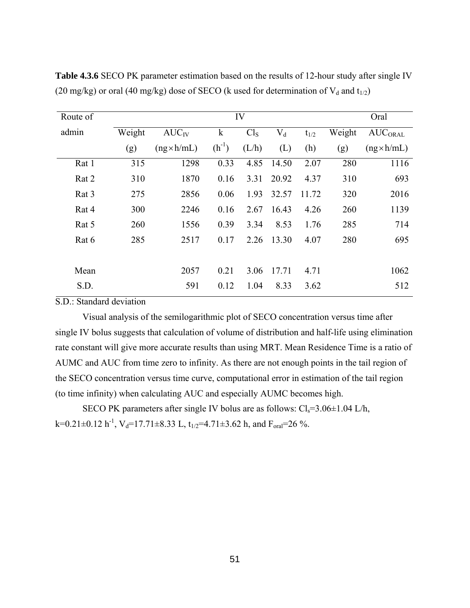| Route of | IV     |                    |             |                 |           |           |        | Oral               |  |
|----------|--------|--------------------|-------------|-----------------|-----------|-----------|--------|--------------------|--|
| admin    | Weight | $AUC_{IV}$         | $\mathbf k$ | Cl <sub>S</sub> | $\rm V_d$ | $t_{1/2}$ | Weight | <b>AUCORAL</b>     |  |
|          | (g)    | $(ng \times h/mL)$ | $(h^{-1})$  | (L/h)           | (L)       | (h)       | (g)    | $(ng \times h/mL)$ |  |
| Rat 1    | 315    | 1298               | 0.33        | 4.85            | 14.50     | 2.07      | 280    | 1116               |  |
| Rat 2    | 310    | 1870               | 0.16        | 3.31            | 20.92     | 4.37      | 310    | 693                |  |
| Rat 3    | 275    | 2856               | 0.06        | 1.93            | 32.57     | 11.72     | 320    | 2016               |  |
| Rat 4    | 300    | 2246               | 0.16        | 2.67            | 16.43     | 4.26      | 260    | 1139               |  |
| Rat 5    | 260    | 1556               | 0.39        | 3.34            | 8.53      | 1.76      | 285    | 714                |  |
| Rat 6    | 285    | 2517               | 0.17        | 2.26            | 13.30     | 4.07      | 280    | 695                |  |
|          |        |                    |             |                 |           |           |        |                    |  |
| Mean     |        | 2057               | 0.21        | 3.06            | 17.71     | 4.71      |        | 1062               |  |
| S.D.     |        | 591                | 0.12        | 1.04            | 8.33      | 3.62      |        | 512                |  |

**Table 4.3.6** SECO PK parameter estimation based on the results of 12-hour study after single IV (20 mg/kg) or oral (40 mg/kg) dose of SECO (k used for determination of  $V_d$  and  $t_{1/2}$ )

S.D.: Standard deviation

 Visual analysis of the semilogarithmic plot of SECO concentration versus time after single IV bolus suggests that calculation of volume of distribution and half-life using elimination rate constant will give more accurate results than using MRT. Mean Residence Time is a ratio of AUMC and AUC from time zero to infinity. As there are not enough points in the tail region of the SECO concentration versus time curve, computational error in estimation of the tail region (to time infinity) when calculating AUC and especially AUMC becomes high.

SECO PK parameters after single IV bolus are as follows:  $Cl_s = 3.06 \pm 1.04$  L/h, k=0.21±0.12 h<sup>-1</sup>, V<sub>d</sub>=17.71±8.33 L, t<sub>1/2</sub>=4.71±3.62 h, and F<sub>oral</sub>=26 %.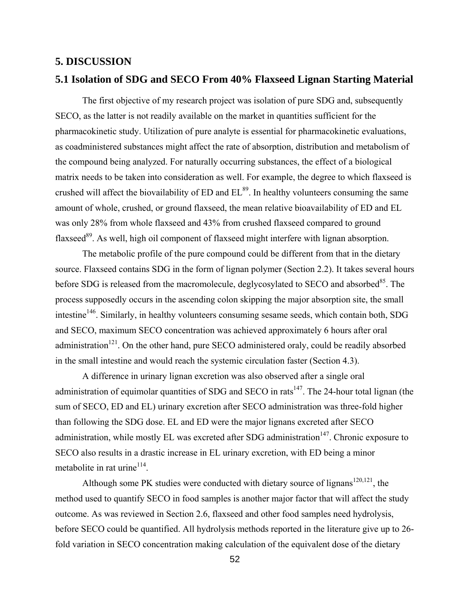#### **5. DISCUSSION**

#### **5.1 Isolation of SDG and SECO From 40% Flaxseed Lignan Starting Material**

The first objective of my research project was isolation of pure SDG and, subsequently SECO, as the latter is not readily available on the market in quantities sufficient for the pharmacokinetic study. Utilization of pure analyte is essential for pharmacokinetic evaluations, as coadministered substances might affect the rate of absorption, distribution and metabolism of the compound being analyzed. For naturally occurring substances, the effect of a biological matrix needs to be taken into consideration as well. For example, the degree to which flaxseed is crushed will affect the biovailability of  $ED$  and  $EL^{89}$ . In healthy volunteers consuming the same amount of whole, crushed, or ground flaxseed, the mean relative bioavailability of ED and EL was only 28% from whole flaxseed and 43% from crushed flaxseed compared to ground flaxseed<sup>89</sup>. As well, high oil component of flaxseed might interfere with lignan absorption.

The metabolic profile of the pure compound could be different from that in the dietary source. Flaxseed contains SDG in the form of lignan polymer (Section 2.2). It takes several hours before SDG is released from the macromolecule, deglycosylated to SECO and absorbed<sup>85</sup>. The process supposedly occurs in the ascending colon skipping the major absorption site, the small intestine<sup>146</sup>. Similarly, in healthy volunteers consuming sesame seeds, which contain both, SDG and SECO, maximum SECO concentration was achieved approximately 6 hours after oral administration $121$ . On the other hand, pure SECO administered oraly, could be readily absorbed in the small intestine and would reach the systemic circulation faster (Section 4.3).

A difference in urinary lignan excretion was also observed after a single oral administration of equimolar quantities of SDG and SECO in rats<sup>147</sup>. The 24-hour total lignan (the sum of SECO, ED and EL) urinary excretion after SECO administration was three-fold higher than following the SDG dose. EL and ED were the major lignans excreted after SECO administration, while mostly EL was excreted after SDG administration $147$ . Chronic exposure to SECO also results in a drastic increase in EL urinary excretion, with ED being a minor metabolite in rat urine $114$ .

Although some PK studies were conducted with dietary source of lignans<sup>120,121</sup>, the method used to quantify SECO in food samples is another major factor that will affect the study outcome. As was reviewed in Section 2.6, flaxseed and other food samples need hydrolysis, before SECO could be quantified. All hydrolysis methods reported in the literature give up to 26 fold variation in SECO concentration making calculation of the equivalent dose of the dietary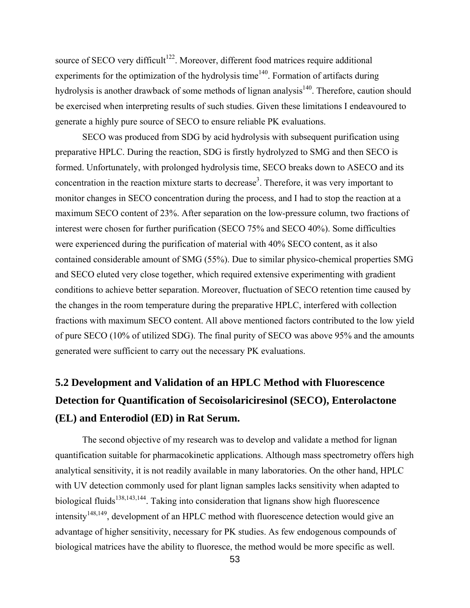source of SECO very difficult<sup>122</sup>. Moreover, different food matrices require additional experiments for the optimization of the hydrolysis time $140$ . Formation of artifacts during hydrolysis is another drawback of some methods of lignan analysis<sup>140</sup>. Therefore, caution should be exercised when interpreting results of such studies. Given these limitations I endeavoured to generate a highly pure source of SECO to ensure reliable PK evaluations.

SECO was produced from SDG by acid hydrolysis with subsequent purification using preparative HPLC. During the reaction, SDG is firstly hydrolyzed to SMG and then SECO is formed. Unfortunately, with prolonged hydrolysis time, SECO breaks down to ASECO and its concentration in the reaction mixture starts to decrease<sup>3</sup>. Therefore, it was very important to monitor changes in SECO concentration during the process, and I had to stop the reaction at a maximum SECO content of 23%. After separation on the low-pressure column, two fractions of interest were chosen for further purification (SECO 75% and SECO 40%). Some difficulties were experienced during the purification of material with 40% SECO content, as it also contained considerable amount of SMG (55%). Due to similar physico-chemical properties SMG and SECO eluted very close together, which required extensive experimenting with gradient conditions to achieve better separation. Moreover, fluctuation of SECO retention time caused by the changes in the room temperature during the preparative HPLC, interfered with collection fractions with maximum SECO content. All above mentioned factors contributed to the low yield of pure SECO (10% of utilized SDG). The final purity of SECO was above 95% and the amounts generated were sufficient to carry out the necessary PK evaluations.

# **5.2 Development and Validation of an HPLC Method with Fluorescence Detection for Quantification of Secoisolariciresinol (SECO), Enterolactone (EL) and Enterodiol (ED) in Rat Serum.**

The second objective of my research was to develop and validate a method for lignan quantification suitable for pharmacokinetic applications. Although mass spectrometry offers high analytical sensitivity, it is not readily available in many laboratories. On the other hand, HPLC with UV detection commonly used for plant lignan samples lacks sensitivity when adapted to biological fluids<sup>138,143,144</sup>. Taking into consideration that lignans show high fluorescence  $intensity<sup>148,149</sup>$ , development of an HPLC method with fluorescence detection would give an advantage of higher sensitivity, necessary for PK studies. As few endogenous compounds of biological matrices have the ability to fluoresce, the method would be more specific as well.

53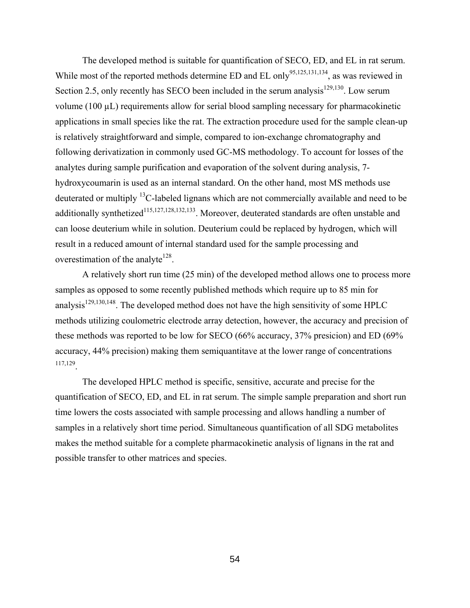The developed method is suitable for quantification of SECO, ED, and EL in rat serum. While most of the reported methods determine ED and EL only<sup>95,125,131,134</sup>, as was reviewed in Section 2.5, only recently has SECO been included in the serum analysis<sup>129,130</sup>. Low serum volume (100 µL) requirements allow for serial blood sampling necessary for pharmacokinetic applications in small species like the rat. The extraction procedure used for the sample clean-up is relatively straightforward and simple, compared to ion-exchange chromatography and following derivatization in commonly used GC-MS methodology. To account for losses of the analytes during sample purification and evaporation of the solvent during analysis, 7 hydroxycoumarin is used as an internal standard. On the other hand, most MS methods use deuterated or multiply 13C-labeled lignans which are not commercially available and need to be additionally synthetized<sup>115,127,128,132,133</sup>. Moreover, deuterated standards are often unstable and can loose deuterium while in solution. Deuterium could be replaced by hydrogen, which will result in a reduced amount of internal standard used for the sample processing and overestimation of the analyte<sup>128</sup>.

A relatively short run time (25 min) of the developed method allows one to process more samples as opposed to some recently published methods which require up to 85 min for analysis<sup>129,130,148</sup>. The developed method does not have the high sensitivity of some HPLC methods utilizing coulometric electrode array detection, however, the accuracy and precision of these methods was reported to be low for SECO (66% accuracy, 37% presicion) and ED (69% accuracy, 44% precision) making them semiquantitave at the lower range of concentrations 117,129.

The developed HPLC method is specific, sensitive, accurate and precise for the quantification of SECO, ED, and EL in rat serum. The simple sample preparation and short run time lowers the costs associated with sample processing and allows handling a number of samples in a relatively short time period. Simultaneous quantification of all SDG metabolites makes the method suitable for a complete pharmacokinetic analysis of lignans in the rat and possible transfer to other matrices and species.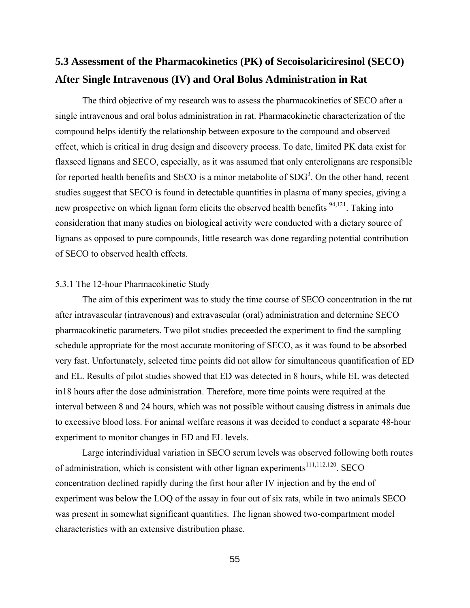## **5.3 Assessment of the Pharmacokinetics (PK) of Secoisolariciresinol (SECO) After Single Intravenous (IV) and Oral Bolus Administration in Rat**

The third objective of my research was to assess the pharmacokinetics of SECO after a single intravenous and oral bolus administration in rat. Pharmacokinetic characterization of the compound helps identify the relationship between exposure to the compound and observed effect, which is critical in drug design and discovery process. To date, limited PK data exist for flaxseed lignans and SECO, especially, as it was assumed that only enterolignans are responsible for reported health benefits and SECO is a minor metabolite of  $SDG<sup>3</sup>$ . On the other hand, recent studies suggest that SECO is found in detectable quantities in plasma of many species, giving a new prospective on which lignan form elicits the observed health benefits  $94,121$ . Taking into consideration that many studies on biological activity were conducted with a dietary source of lignans as opposed to pure compounds, little research was done regarding potential contribution of SECO to observed health effects.

#### 5.3.1 The 12-hour Pharmacokinetic Study

The aim of this experiment was to study the time course of SECO concentration in the rat after intravascular (intravenous) and extravascular (oral) administration and determine SECO pharmacokinetic parameters. Two pilot studies preceeded the experiment to find the sampling schedule appropriate for the most accurate monitoring of SECO, as it was found to be absorbed very fast. Unfortunately, selected time points did not allow for simultaneous quantification of ED and EL. Results of pilot studies showed that ED was detected in 8 hours, while EL was detected in18 hours after the dose administration. Therefore, more time points were required at the interval between 8 and 24 hours, which was not possible without causing distress in animals due to excessive blood loss. For animal welfare reasons it was decided to conduct a separate 48-hour experiment to monitor changes in ED and EL levels.

Large interindividual variation in SECO serum levels was observed following both routes of administration, which is consistent with other lignan experiments<sup>111,112,120</sup>. SECO concentration declined rapidly during the first hour after IV injection and by the end of experiment was below the LOQ of the assay in four out of six rats, while in two animals SECO was present in somewhat significant quantities. The lignan showed two-compartment model characteristics with an extensive distribution phase.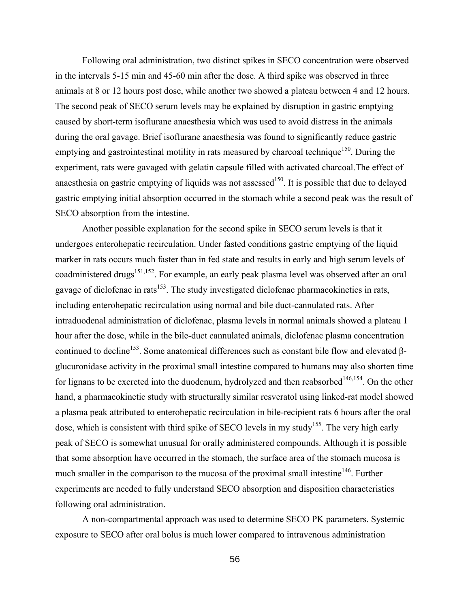Following oral administration, two distinct spikes in SECO concentration were observed in the intervals 5-15 min and 45-60 min after the dose. A third spike was observed in three animals at 8 or 12 hours post dose, while another two showed a plateau between 4 and 12 hours. The second peak of SECO serum levels may be explained by disruption in gastric emptying caused by short-term isoflurane anaesthesia which was used to avoid distress in the animals during the oral gavage. Brief isoflurane anaesthesia was found to significantly reduce gastric emptying and gastrointestinal motility in rats measured by charcoal technique<sup>150</sup>. During the experiment, rats were gavaged with gelatin capsule filled with activated charcoal.The effect of anaesthesia on gastric emptying of liquids was not assessed<sup>150</sup>. It is possible that due to delayed gastric emptying initial absorption occurred in the stomach while a second peak was the result of SECO absorption from the intestine.

Another possible explanation for the second spike in SECO serum levels is that it undergoes enterohepatic recirculation. Under fasted conditions gastric emptying of the liquid marker in rats occurs much faster than in fed state and results in early and high serum levels of coadministered drugs<sup>151,152</sup>. For example, an early peak plasma level was observed after an oral gavage of diclofenac in rats<sup>153</sup>. The study investigated diclofenac pharmacokinetics in rats, including enterohepatic recirculation using normal and bile duct-cannulated rats. After intraduodenal administration of diclofenac, plasma levels in normal animals showed a plateau 1 hour after the dose, while in the bile-duct cannulated animals, diclofenac plasma concentration continued to decline<sup>153</sup>. Some anatomical differences such as constant bile flow and elevated βglucuronidase activity in the proximal small intestine compared to humans may also shorten time for lignans to be excreted into the duodenum, hydrolyzed and then reabsorbed<sup>146,154</sup>. On the other hand, a pharmacokinetic study with structurally similar resveratol using linked-rat model showed a plasma peak attributed to enterohepatic recirculation in bile-recipient rats 6 hours after the oral dose, which is consistent with third spike of SECO levels in my study<sup>155</sup>. The very high early peak of SECO is somewhat unusual for orally administered compounds. Although it is possible that some absorption have occurred in the stomach, the surface area of the stomach mucosa is much smaller in the comparison to the mucosa of the proximal small intestine<sup>146</sup>. Further experiments are needed to fully understand SECO absorption and disposition characteristics following oral administration.

A non-compartmental approach was used to determine SECO PK parameters. Systemic exposure to SECO after oral bolus is much lower compared to intravenous administration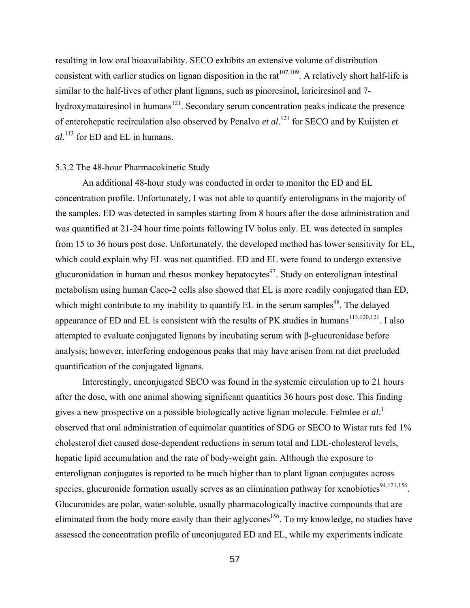resulting in low oral bioavailability. SECO exhibits an extensive volume of distribution consistent with earlier studies on lignan disposition in the rat<sup> $107,109$ </sup>. A relatively short half-life is similar to the half-lives of other plant lignans, such as pinoresinol, lariciresinol and 7 hydroxymatairesinol in humans $121$ . Secondary serum concentration peaks indicate the presence of enterohepatic recirculation also observed by Penalvo *et al*. 121 for SECO and by Kuijsten *et al*. 113 for ED and EL in humans.

#### 5.3.2 The 48-hour Pharmacokinetic Study

An additional 48-hour study was conducted in order to monitor the ED and EL concentration profile. Unfortunately, I was not able to quantify enterolignans in the majority of the samples. ED was detected in samples starting from 8 hours after the dose administration and was quantified at 21-24 hour time points following IV bolus only. EL was detected in samples from 15 to 36 hours post dose. Unfortunately, the developed method has lower sensitivity for EL, which could explain why EL was not quantified. ED and EL were found to undergo extensive glucuronidation in human and rhesus monkey hepatocytes<sup>97</sup>. Study on enterolignan intestinal metabolism using human Caco-2 cells also showed that EL is more readily conjugated than ED, which might contribute to my inability to quantify  $EL$  in the serum samples<sup>98</sup>. The delayed appearance of ED and EL is consistent with the results of PK studies in humans<sup>113,120,121</sup>. I also attempted to evaluate conjugated lignans by incubating serum with β-glucuronidase before analysis; however, interfering endogenous peaks that may have arisen from rat diet precluded quantification of the conjugated lignans.

Interestingly, unconjugated SECO was found in the systemic circulation up to 21 hours after the dose, with one animal showing significant quantities 36 hours post dose. This finding gives a new prospective on a possible biologically active lignan molecule. Felmlee *et al*. 1 observed that oral administration of equimolar quantities of SDG or SECO to Wistar rats fed 1% cholesterol diet caused dose-dependent reductions in serum total and LDL-cholesterol levels, hepatic lipid accumulation and the rate of body-weight gain. Although the exposure to enterolignan conjugates is reported to be much higher than to plant lignan conjugates across species, glucuronide formation usually serves as an elimination pathway for xenobiotics $94,121,156$ . Glucuronides are polar, water-soluble, usually pharmacologically inactive compounds that are eliminated from the body more easily than their aglycones<sup>156</sup>. To my knowledge, no studies have assessed the concentration profile of unconjugated ED and EL, while my experiments indicate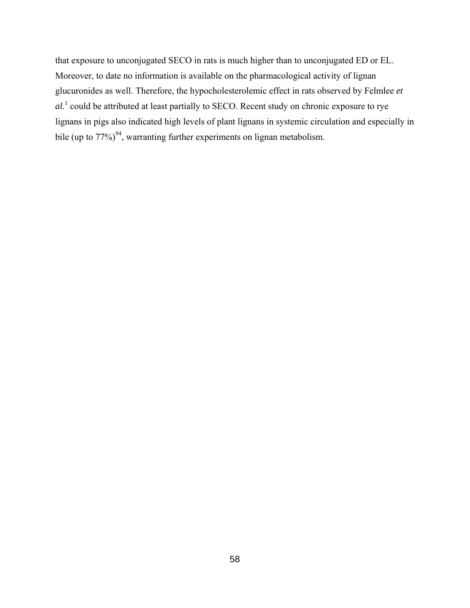that exposure to unconjugated SECO in rats is much higher than to unconjugated ED or EL. Moreover, to date no information is available on the pharmacological activity of lignan glucuronides as well. Therefore, the hypocholesterolemic effect in rats observed by Felmlee *et al.*<sup>1</sup> could be attributed at least partially to SECO. Recent study on chronic exposure to rye lignans in pigs also indicated high levels of plant lignans in systemic circulation and especially in bile (up to  $77\%)^{94}$ , warranting further experiments on lignan metabolism.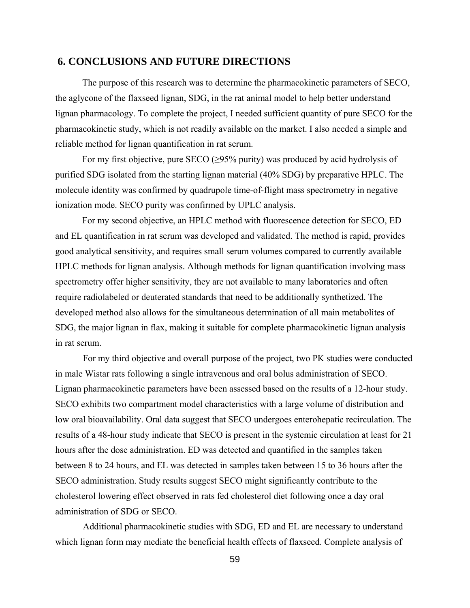## **6. CONCLUSIONS AND FUTURE DIRECTIONS**

The purpose of this research was to determine the pharmacokinetic parameters of SECO, the aglycone of the flaxseed lignan, SDG, in the rat animal model to help better understand lignan pharmacology. To complete the project, I needed sufficient quantity of pure SECO for the pharmacokinetic study, which is not readily available on the market. I also needed a simple and reliable method for lignan quantification in rat serum.

For my first objective, pure SECO  $(≥95%$  purity) was produced by acid hydrolysis of purified SDG isolated from the starting lignan material (40% SDG) by preparative HPLC. The molecule identity was confirmed by quadrupole time-of-flight mass spectrometry in negative ionization mode. SECO purity was confirmed by UPLC analysis.

For my second objective, an HPLC method with fluorescence detection for SECO, ED and EL quantification in rat serum was developed and validated. The method is rapid, provides good analytical sensitivity, and requires small serum volumes compared to currently available HPLC methods for lignan analysis. Although methods for lignan quantification involving mass spectrometry offer higher sensitivity, they are not available to many laboratories and often require radiolabeled or deuterated standards that need to be additionally synthetized. The developed method also allows for the simultaneous determination of all main metabolites of SDG, the major lignan in flax, making it suitable for complete pharmacokinetic lignan analysis in rat serum.

For my third objective and overall purpose of the project, two PK studies were conducted in male Wistar rats following a single intravenous and oral bolus administration of SECO. Lignan pharmacokinetic parameters have been assessed based on the results of a 12-hour study. SECO exhibits two compartment model characteristics with a large volume of distribution and low oral bioavailability. Oral data suggest that SECO undergoes enterohepatic recirculation. The results of a 48-hour study indicate that SECO is present in the systemic circulation at least for 21 hours after the dose administration. ED was detected and quantified in the samples taken between 8 to 24 hours, and EL was detected in samples taken between 15 to 36 hours after the SECO administration. Study results suggest SECO might significantly contribute to the cholesterol lowering effect observed in rats fed cholesterol diet following once a day oral administration of SDG or SECO.

Additional pharmacokinetic studies with SDG, ED and EL are necessary to understand which lignan form may mediate the beneficial health effects of flaxseed. Complete analysis of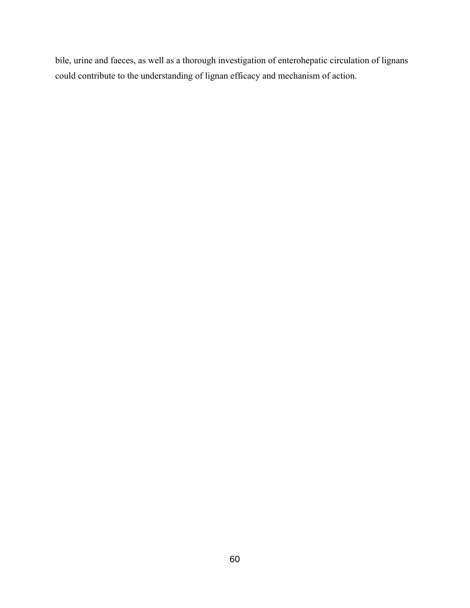bile, urine and faeces, as well as a thorough investigation of enterohepatic circulation of lignans could contribute to the understanding of lignan efficacy and mechanism of action.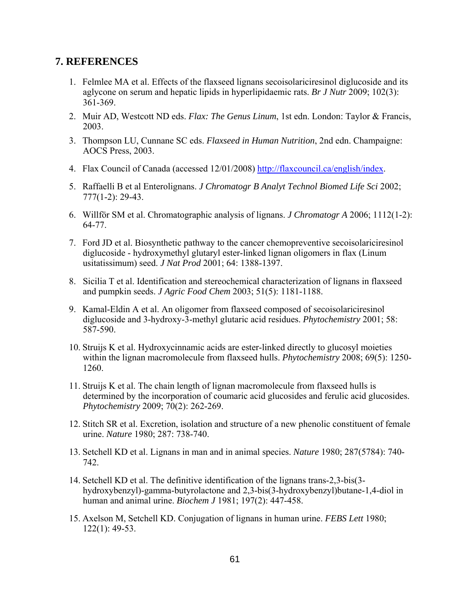## **7. REFERENCES**

- 1. Felmlee MA et al. Effects of the flaxseed lignans secoisolariciresinol diglucoside and its aglycone on serum and hepatic lipids in hyperlipidaemic rats. *Br J Nutr* 2009; 102(3): 361-369.
- 2. Muir AD, Westcott ND eds. *Flax: The Genus Linum*, 1st edn. London: Taylor & Francis, 2003.
- 3. Thompson LU, Cunnane SC eds. *Flaxseed in Human Nutrition*, 2nd edn. Champaigne: AOCS Press, 2003.
- 4. Flax Council of Canada (accessed 12/01/2008) [http://flaxcouncil.ca/english/index.](http://flaxcouncil.ca/english/index)
- 5. Raffaelli B et al Enterolignans. *J Chromatogr B Analyt Technol Biomed Life Sci* 2002; 777(1-2): 29-43.
- 6. Willför SM et al. Chromatographic analysis of lignans. *J Chromatogr A* 2006; 1112(1-2): 64-77.
- 7. Ford JD et al. Biosynthetic pathway to the cancer chemopreventive secoisolariciresinol diglucoside - hydroxymethyl glutaryl ester-linked lignan oligomers in flax (Linum usitatissimum) seed. *J Nat Prod* 2001; 64: 1388-1397.
- 8. Sicilia T et al. Identification and stereochemical characterization of lignans in flaxseed and pumpkin seeds. *J Agric Food Chem* 2003; 51(5): 1181-1188.
- 9. Kamal-Eldin A et al. An oligomer from flaxseed composed of secoisolariciresinol diglucoside and 3-hydroxy-3-methyl glutaric acid residues. *Phytochemistry* 2001; 58: 587-590.
- 10. Struijs K et al. Hydroxycinnamic acids are ester-linked directly to glucosyl moieties within the lignan macromolecule from flaxseed hulls. *Phytochemistry* 2008; 69(5): 1250- 1260.
- 11. Struijs K et al. [The chain length of lignan macromolecule from flaxseed hulls is](http://www.ncbi.nlm.nih.gov/pubmed/19155025)  [determined by the incorporation of coumaric acid glucosides and ferulic acid glucosides.](http://www.ncbi.nlm.nih.gov/pubmed/19155025) *Phytochemistry* 2009; 70(2): 262-269.
- 12. Stitch SR et al. Excretion, isolation and structure of a new phenolic constituent of female urine. *Nature* 1980; 287: 738-740.
- 13. Setchell KD et al. [Lignans in man and in animal species.](http://www.ncbi.nlm.nih.gov/pubmed/6253812) *Nature* 1980; 287(5784): 740- 742.
- 14. Setchell KD et al. The definitive identification of the lignans trans-2,3-bis(3 hydroxybenzyl)-gamma-butyrolactone and 2,3-bis(3-hydroxybenzyl)butane-1,4-diol in human and animal urine. *Biochem J* 1981; 197(2): 447-458.
- 15. Axelson M, Setchell KD. [Conjugation of lignans in human urine.](http://www.ncbi.nlm.nih.gov/pubmed/6260528) *FEBS Lett* 1980; 122(1): 49-53.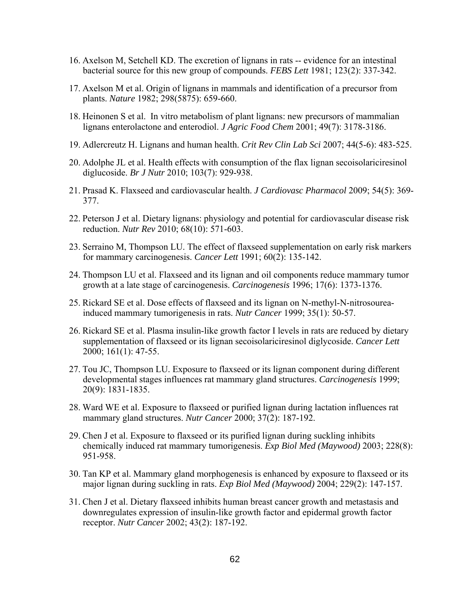- 16. Axelson M, Setchell KD. [The excretion of lignans in rats -- evidence for an intestinal](http://www.ncbi.nlm.nih.gov/pubmed/6262113)  [bacterial source for this new group of compounds.](http://www.ncbi.nlm.nih.gov/pubmed/6262113) *FEBS Lett* 1981; 123(2): 337-342.
- 17. Axelson M et al. [Origin of lignans in mammals and identification of a precursor from](http://www.ncbi.nlm.nih.gov/pubmed/6285206)  [plants.](http://www.ncbi.nlm.nih.gov/pubmed/6285206) *Nature* 1982; 298(5875): 659-660.
- 18. Heinonen S et al. In vitro metabolism of plant lignans: new precursors of mammalian lignans enterolactone and enterodiol. *J Agric Food Chem* 2001; 49(7): 3178-3186.
- 19. Adlercreutz H. Lignans and human health. *Crit Rev Clin Lab Sci* 2007; 44(5-6): 483-525.
- 20. Adolphe JL et al. Health effects with consumption of the flax lignan secoisolariciresinol diglucoside. *Br J Nutr* 2010; 103(7): 929-938.
- 21. Prasad K. Flaxseed and cardiovascular health. *J Cardiovasc Pharmacol* 2009; 54(5): 369- 377.
- 22. Peterson J et al. Dietary lignans: physiology and potential for cardiovascular disease risk reduction. *Nutr Rev* 2010; 68(10): 571-603.
- 23. Serraino M, Thompson LU. The effect of flaxseed supplementation on early risk markers for mammary carcinogenesis. *Cancer Lett* 1991; 60(2): 135-142.
- 24. Thompson LU et al. Flaxseed and its lignan and oil components reduce mammary tumor growth at a late stage of carcinogenesis. *Carcinogenesis* 1996; 17(6): 1373-1376.
- 25. Rickard SE et al. Dose effects of flaxseed and its lignan on N-methyl-N-nitrosoureainduced mammary tumorigenesis in rats. *Nutr Cancer* 1999; 35(1): 50-57.
- 26. Rickard SE et al. Plasma insulin-like growth factor I levels in rats are reduced by dietary supplementation of flaxseed or its lignan secoisolariciresinol diglycoside. *Cancer Lett* 2000; 161(1): 47-55.
- 27. Tou JC, Thompson LU. Exposure to flaxseed or its lignan component during different developmental stages influences rat mammary gland structures. *Carcinogenesis* 1999; 20(9): 1831-1835.
- 28. Ward WE et al. Exposure to flaxseed or purified lignan during lactation influences rat mammary gland structures. *Nutr Cancer* 2000; 37(2): 187-192.
- 29. Chen J et al. Exposure to flaxseed or its purified lignan during suckling inhibits chemically induced rat mammary tumorigenesis. *Exp Biol Med (Maywood)* 2003; 228(8): 951-958.
- 30. Tan KP et al. Mammary gland morphogenesis is enhanced by exposure to flaxseed or its major lignan during suckling in rats. *Exp Biol Med (Maywood)* 2004; 229(2): 147-157.
- 31. Chen J et al. Dietary flaxseed inhibits human breast cancer growth and metastasis and downregulates expression of insulin-like growth factor and epidermal growth factor receptor. *Nutr Cancer* 2002; 43(2): 187-192.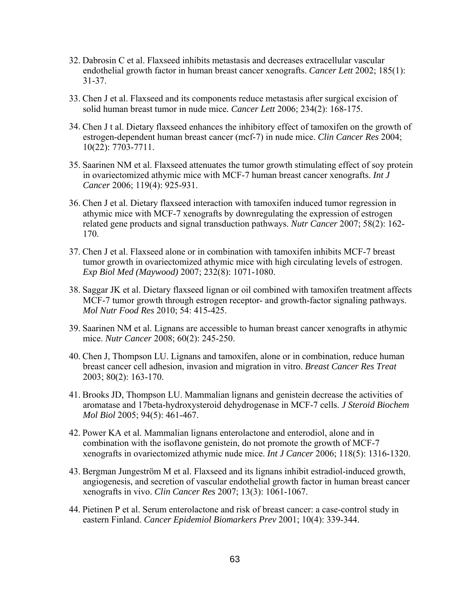- 32. Dabrosin C et al. Flaxseed inhibits metastasis and decreases extracellular vascular endothelial growth factor in human breast cancer xenografts. *Cancer Lett* 2002; 185(1): 31-37.
- 33. Chen J et al. Flaxseed and its components reduce metastasis after surgical excision of solid human breast tumor in nude mice*. Cancer Lett* 2006; 234(2): 168-175.
- 34. Chen J t al. Dietary flaxseed enhances the inhibitory effect of tamoxifen on the growth of estrogen-dependent human breast cancer (mcf-7) in nude mice. *Clin Cancer Res* 2004; 10(22): 7703-7711.
- 35. Saarinen NM et al. Flaxseed attenuates the tumor growth stimulating effect of soy protein in ovariectomized athymic mice with MCF-7 human breast cancer xenografts. *Int J Cancer* 2006; 119(4): 925-931.
- 36. Chen J et al. Dietary flaxseed interaction with tamoxifen induced tumor regression in athymic mice with MCF-7 xenografts by downregulating the expression of estrogen related gene products and signal transduction pathways. *Nutr Cancer* 2007; 58(2): 162- 170.
- 37. Chen J et al. Flaxseed alone or in combination with tamoxifen inhibits MCF-7 breast tumor growth in ovariectomized athymic mice with high circulating levels of estrogen. *Exp Biol Med (Maywood)* 2007; 232(8): 1071-1080.
- 38. Saggar JK et al. Dietary flaxseed lignan or oil combined with tamoxifen treatment affects MCF-7 tumor growth through estrogen receptor- and growth-factor signaling pathways. *Mol Nutr Food Res* 2010; 54: 415-425.
- 39. Saarinen NM et al. Lignans are accessible to human breast cancer xenografts in athymic mice. *Nutr Cancer* 2008; 60(2): 245-250.
- 40. Chen J, Thompson LU. Lignans and tamoxifen, alone or in combination, reduce human breast cancer cell adhesion, invasion and migration in vitro. *Breast Cancer Res Treat* 2003; 80(2): 163-170.
- 41. Brooks JD, Thompson LU. Mammalian lignans and genistein decrease the activities of aromatase and 17beta-hydroxysteroid dehydrogenase in MCF-7 cells. *J Steroid Biochem Mol Biol* 2005; 94(5): 461-467.
- 42. Power KA et al. Mammalian lignans enterolactone and enterodiol, alone and in combination with the isoflavone genistein, do not promote the growth of MCF-7 xenografts in ovariectomized athymic nude mice. *Int J Cancer* 2006; 118(5): 1316-1320.
- 43. Bergman Jungeström M et al. Flaxseed and its lignans inhibit estradiol-induced growth, angiogenesis, and secretion of vascular endothelial growth factor in human breast cancer xenografts in vivo. *Clin Cancer Res* 2007; 13(3): 1061-1067.
- 44. Pietinen P et al. Serum enterolactone and risk of breast cancer: a case-control study in eastern Finland. *Cancer Epidemiol Biomarkers Prev* 2001; 10(4): 339-344.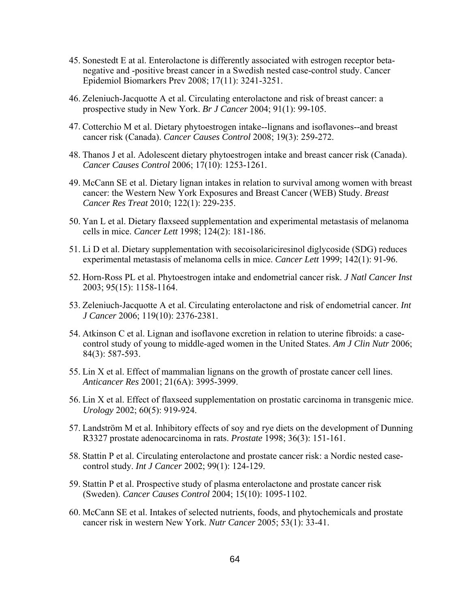- 45. Sonestedt E at al. Enterolactone is differently associated with estrogen receptor betanegative and -positive breast cancer in a Swedish nested case-control study. Cancer Epidemiol Biomarkers Prev 2008; 17(11): 3241-3251.
- 46. Zeleniuch-Jacquotte A et al. Circulating enterolactone and risk of breast cancer: a prospective study in New York. *Br J Cancer* 2004; 91(1): 99-105.
- 47. Cotterchio M et al. Dietary phytoestrogen intake--lignans and isoflavones--and breast cancer risk (Canada). *Cancer Causes Control* 2008; 19(3): 259-272.
- 48. Thanos J et al. Adolescent dietary phytoestrogen intake and breast cancer risk (Canada). *Cancer Causes Control* 2006; 17(10): 1253-1261.
- 49. McCann SE et al. Dietary lignan intakes in relation to survival among women with breast cancer: the Western New York Exposures and Breast Cancer (WEB) Study. *Breast Cancer Res Treat* 2010; 122(1): 229-235.
- 50. Yan L et al. Dietary flaxseed supplementation and experimental metastasis of melanoma cells in mice. *Cancer Lett* 1998; 124(2): 181-186.
- 51. Li D et al. Dietary supplementation with secoisolariciresinol diglycoside (SDG) reduces experimental metastasis of melanoma cells in mice. *Cancer Lett* 1999; 142(1): 91-96.
- 52. Horn-Ross PL et al. Phytoestrogen intake and endometrial cancer risk. *J Natl Cancer Inst* 2003; 95(15): 1158-1164.
- 53. Zeleniuch-Jacquotte A et al. Circulating enterolactone and risk of endometrial cancer. *Int J Cancer* 2006; 119(10): 2376-2381.
- 54. Atkinson C et al. Lignan and isoflavone excretion in relation to uterine fibroids: a casecontrol study of young to middle-aged women in the United States. *Am J Clin Nutr* 2006; 84(3): 587-593.
- 55. Lin X et al. Effect of mammalian lignans on the growth of prostate cancer cell lines. *Anticancer Res* 2001; 21(6A): 3995-3999.
- 56. Lin X et al. Effect of flaxseed supplementation on prostatic carcinoma in transgenic mice. *Urology* 2002; 60(5): 919-924.
- 57. Landström M et al. Inhibitory effects of soy and rye diets on the development of Dunning R3327 prostate adenocarcinoma in rats. *Prostate* 1998; 36(3): 151-161.
- 58. Stattin P et al. Circulating enterolactone and prostate cancer risk: a Nordic nested casecontrol study. *Int J Cancer* 2002; 99(1): 124-129.
- 59. Stattin P et al. Prospective study of plasma enterolactone and prostate cancer risk (Sweden). *Cancer Causes Control* 2004; 15(10): 1095-1102.
- 60. McCann SE et al. Intakes of selected nutrients, foods, and phytochemicals and prostate cancer risk in western New York. *Nutr Cancer* 2005; 53(1): 33-41.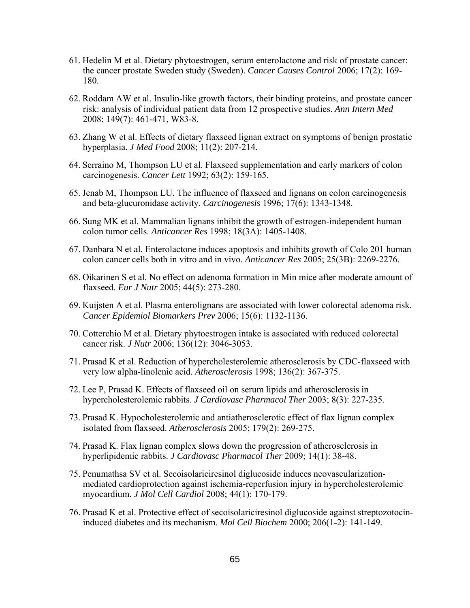- 61. Hedelin M et al. Dietary phytoestrogen, serum enterolactone and risk of prostate cancer: the cancer prostate Sweden study (Sweden). *Cancer Causes Control* 2006; 17(2): 169- 180.
- 62. Roddam AW et al. Insulin-like growth factors, their binding proteins, and prostate cancer risk: analysis of individual patient data from 12 prospective studies. *Ann Intern Med* 2008; 149(7): 461-471, W83-8.
- 63. Zhang W et al. Effects of dietary flaxseed lignan extract on symptoms of benign prostatic hyperplasia. *J Med Food* 2008; 11(2): 207-214.
- 64. Serraino M, Thompson LU et al. Flaxseed supplementation and early markers of colon carcinogenesis. *Cancer Lett* 1992; 63(2): 159-165.
- 65. Jenab M, Thompson LU. The influence of flaxseed and lignans on colon carcinogenesis and beta-glucuronidase activity. *Carcinogenesis* 1996; 17(6): 1343-1348.
- 66. Sung MK et al. Mammalian lignans inhibit the growth of estrogen-independent human colon tumor cells. *[Anticancer Res](javascript:AL_get(this,%20)* 1998; 18(3A): 1405-1408.
- 67. Danbara N et al. Enterolactone induces apoptosis and inhibits growth of Colo 201 human colon cancer cells both in vitro and in vivo. *Anticancer Res* 2005; 25(3B): 2269-2276.
- 68. Oikarinen S et al. No effect on adenoma formation in Min mice after moderate amount of flaxseed. *Eur J Nutr* 2005; 44(5): 273-280.
- 69. Kuijsten A et al. Plasma enterolignans are associated with lower colorectal adenoma risk. *Cancer Epidemiol Biomarkers Prev* 2006; 15(6): 1132-1136.
- 70. Cotterchio M et al. Dietary phytoestrogen intake is associated with reduced colorectal cancer risk. *J Nutr* 2006; 136(12): 3046-3053.
- 71. Prasad K et al. Reduction of hypercholesterolemic atherosclerosis by CDC-flaxseed with very low alpha-linolenic acid*. Atherosclerosis* 1998; 136(2): 367-375.
- 72. Lee P, Prasad K. Effects of flaxseed oil on serum lipids and atherosclerosis in hypercholesterolemic rabbits. *J Cardiovasc Pharmacol Ther* 2003; 8(3): 227-235.
- 73. Prasad K. Hypocholesterolemic and antiatherosclerotic effect of flax lignan complex isolated from flaxseed. *Atherosclerosis* 2005; 179(2): 269-275.
- 74. Prasad K. Flax lignan complex slows down the progression of atherosclerosis in hyperlipidemic rabbits. *J Cardiovasc Pharmacol Ther* 2009; 14(1): 38-48.
- 75. Penumathsa SV et al. Secoisolariciresinol diglucoside induces neovascularizationmediated cardioprotection against ischemia-reperfusion injury in hypercholesterolemic myocardium. *J Mol Cell Cardiol* 2008; 44(1): 170-179.
- 76. Prasad K et al. Protective effect of secoisolariciresinol diglucoside against streptozotocininduced diabetes and its mechanism. *Mol Cell Biochem* 2000; 206(1-2): 141-149.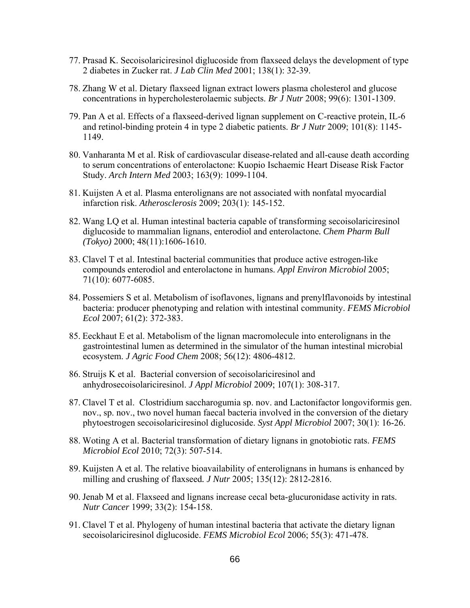- 77. Prasad K. Secoisolariciresinol diglucoside from flaxseed delays the development of type 2 diabetes in Zucker rat. *J Lab Clin Med* 2001; 138(1): 32-39.
- 78. Zhang W et al. Dietary flaxseed lignan extract lowers plasma cholesterol and glucose concentrations in hypercholesterolaemic subjects. *Br J Nutr* 2008; 99(6): 1301-1309.
- 79. Pan A et al. Effects of a flaxseed-derived lignan supplement on C-reactive protein, IL-6 and retinol-binding protein 4 in type 2 diabetic patients. *Br J Nutr* 2009; 101(8): 1145- 1149.
- 80. Vanharanta M et al. Risk of cardiovascular disease-related and all-cause death according to serum concentrations of enterolactone: Kuopio Ischaemic Heart Disease Risk Factor Study. *Arch Intern Med* 2003; 163(9): 1099-1104.
- 81. Kuijsten A et al. Plasma enterolignans are not associated with nonfatal myocardial infarction risk. *Atherosclerosis* 2009; 203(1): 145-152.
- 82. Wang LQ et al. Human intestinal bacteria capable of transforming secoisolariciresinol diglucoside to mammalian lignans, enterodiol and enterolactone*. Chem Pharm Bull (Tokyo)* 2000; 48(11):1606-1610.
- 83. Clavel T et al. Intestinal bacterial communities that produce active estrogen-like compounds enterodiol and enterolactone in humans. *Appl Environ Microbiol* 2005; 71(10): 6077-6085.
- 84. Possemiers S et al. Metabolism of isoflavones, lignans and prenylflavonoids by intestinal bacteria: producer phenotyping and relation with intestinal community. *FEMS Microbiol Ecol* 2007; 61(2): 372-383.
- 85. Eeckhaut E et al. Metabolism of the lignan macromolecule into enterolignans in the gastrointestinal lumen as determined in the simulator of the human intestinal microbial ecosystem. *J Agric Food Chem* 2008; 56(12): 4806-4812.
- 86. Struijs K et al. Bacterial conversion of secoisolariciresinol and anhydrosecoisolariciresinol. *J Appl Microbiol* 2009; 107(1): 308-317.
- 87. Clavel T et al. Clostridium saccharogumia sp. nov. and Lactonifactor longoviformis gen. nov., sp. nov., two novel human faecal bacteria involved in the conversion of the dietary phytoestrogen secoisolariciresinol diglucoside. *Syst Appl Microbiol* 2007; 30(1): 16-26.
- 88. Woting A et al. Bacterial transformation of dietary lignans in gnotobiotic rats. *FEMS Microbiol Ecol* 2010; 72(3): 507-514.
- 89. Kuijsten A et al. The relative bioavailability of enterolignans in humans is enhanced by milling and crushing of flaxseed*. J Nutr* 2005; 135(12): 2812-2816.
- 90. Jenab M et al. Flaxseed and lignans increase cecal beta-glucuronidase activity in rats. *Nutr Cancer* 1999; 33(2): 154-158.
- 91. Clavel T et al. Phylogeny of human intestinal bacteria that activate the dietary lignan secoisolariciresinol diglucoside. *FEMS Microbiol Ecol* 2006; 55(3): 471-478.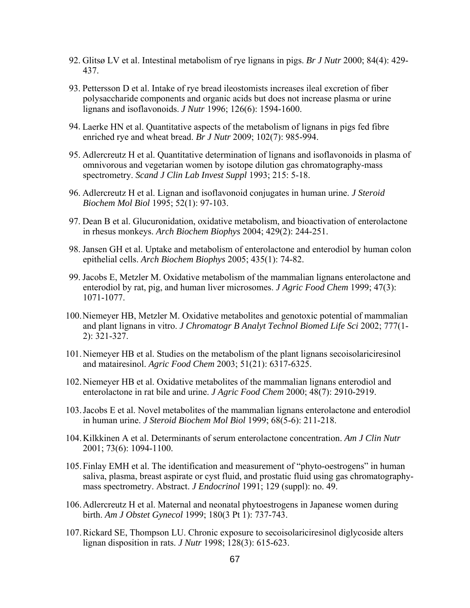- 92. Glitsø LV et al. Intestinal metabolism of rye lignans in pigs. *Br J Nutr* 2000; 84(4): 429- 437.
- 93. Pettersson D et al. Intake of rye bread ileostomists increases ileal excretion of fiber polysaccharide components and organic acids but does not increase plasma or urine lignans and isoflavonoids. *J Nutr* 1996; 126(6): 1594-1600.
- 94. Laerke HN et al. Quantitative aspects of the metabolism of lignans in pigs fed fibre enriched rye and wheat bread. *Br J Nutr* 2009; 102(7): 985-994.
- 95. Adlercreutz H et al. Quantitative determination of lignans and isoflavonoids in plasma of omnivorous and vegetarian women by isotope dilution gas chromatography-mass spectrometry. *Scand J Clin Lab Invest Suppl* 1993; 215: 5-18.
- 96. Adlercreutz H et al. Lignan and isoflavonoid conjugates in human urine. *J Steroid Biochem Mol Biol* 1995; 52(1): 97-103.
- 97. Dean B et al. Glucuronidation, oxidative metabolism, and bioactivation of enterolactone in rhesus monkeys. *Arch Biochem Biophys* 2004; 429(2): 244-251.
- 98. Jansen GH et al. Uptake and metabolism of enterolactone and enterodiol by human colon epithelial cells. *Arch Biochem Biophys* 2005; 435(1): 74-82.
- 99. Jacobs E, Metzler M. Oxidative metabolism of the mammalian lignans enterolactone and enterodiol by rat, pig, and human liver microsomes. *J Agric Food Chem* 1999; 47(3): 1071-1077.
- 100.Niemeyer HB, Metzler M. Oxidative metabolites and genotoxic potential of mammalian and plant lignans in vitro. *J Chromatogr B Analyt Technol Biomed Life Sci* 2002; 777(1- 2): 321-327.
- 101.Niemeyer HB et al. Studies on the metabolism of the plant lignans secoisolariciresinol and matairesinol. *Agric Food Chem* 2003; 51(21): 6317-6325.
- 102.Niemeyer HB et al. Oxidative metabolites of the mammalian lignans enterodiol and enterolactone in rat bile and urine. *J Agric Food Chem* 2000; 48(7): 2910-2919.
- 103.Jacobs E et al. Novel metabolites of the mammalian lignans enterolactone and enterodiol in human urine. *J Steroid Biochem Mol Biol* 1999; 68(5-6): 211-218.
- 104.Kilkkinen A et al. Determinants of serum enterolactone concentration. *Am J Clin Nutr* 2001; 73(6): 1094-1100.
- 105.Finlay EMH et al. The identification and measurement of "phyto-oestrogens" in human saliva, plasma, breast aspirate or cyst fluid, and prostatic fluid using gas chromatographymass spectrometry. Abstract. *J Endocrinol* 1991; 129 (suppl): no. 49.
- 106.Adlercreutz H et al. Maternal and neonatal phytoestrogens in Japanese women during birth. *Am J Obstet Gynecol* 1999; 180(3 Pt 1): 737-743.
- 107.Rickard SE, Thompson LU. Chronic exposure to secoisolariciresinol diglycoside alters lignan disposition in rats. *J Nutr* 1998; 128(3): 615-623.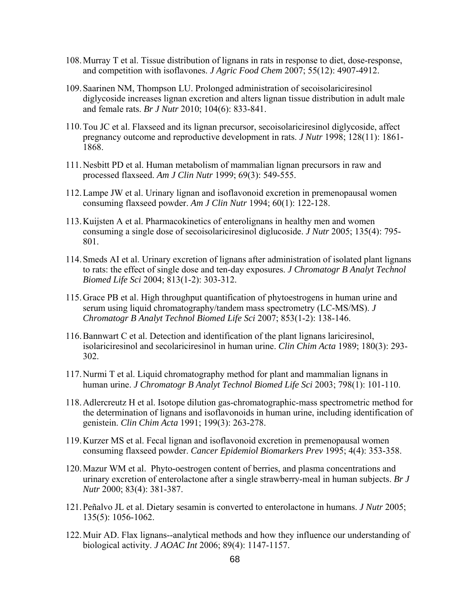- 108.Murray T et al. Tissue distribution of lignans in rats in response to diet, dose-response, and competition with isoflavones. *J Agric Food Chem* 2007; 55(12): 4907-4912.
- 109.Saarinen NM, Thompson LU. Prolonged administration of secoisolariciresinol diglycoside increases lignan excretion and alters lignan tissue distribution in adult male and female rats. *Br J Nutr* 2010; 104(6): 833-841.
- 110.Tou JC et al. Flaxseed and its lignan precursor, secoisolariciresinol diglycoside, affect pregnancy outcome and reproductive development in rats. *J Nutr* 1998; 128(11): 1861- 1868.
- 111.Nesbitt PD et al. Human metabolism of mammalian lignan precursors in raw and processed flaxseed. *Am J Clin Nutr* 1999; 69(3): 549-555.
- 112.Lampe JW et al. Urinary lignan and isoflavonoid excretion in premenopausal women consuming flaxseed powder. *Am J Clin Nutr* 1994; 60(1): 122-128.
- 113.Kuijsten A et al. Pharmacokinetics of enterolignans in healthy men and women consuming a single dose of secoisolariciresinol diglucoside. *J Nutr* 2005; 135(4): 795- 801.
- 114.Smeds AI et al. Urinary excretion of lignans after administration of isolated plant lignans to rats: the effect of single dose and ten-day exposures. *J Chromatogr B Analyt Technol Biomed Life Sci* 2004; 813(1-2): 303-312.
- 115.Grace PB et al. High throughput quantification of phytoestrogens in human urine and serum using liquid chromatography/tandem mass spectrometry (LC-MS/MS). *J Chromatogr B Analyt Technol Biomed Life Sci* 2007; 853(1-2): 138-146.
- 116.Bannwart C et al. Detection and identification of the plant lignans lariciresinol, isolariciresinol and secolariciresinol in human urine. *Clin Chim Acta* 1989; 180(3): 293- 302.
- 117.Nurmi T et al. Liquid chromatography method for plant and mammalian lignans in human urine. *J Chromatogr B Analyt Technol Biomed Life Sci* 2003; 798(1): 101-110.
- 118.Adlercreutz H et al. Isotope dilution gas-chromatographic-mass spectrometric method for the determination of lignans and isoflavonoids in human urine, including identification of genistein. *Clin Chim Acta* 1991; 199(3): 263-278.
- 119.Kurzer MS et al. Fecal lignan and isoflavonoid excretion in premenopausal women consuming flaxseed powder. *Cancer Epidemiol Biomarkers Prev* 1995; 4(4): 353-358.
- 120.Mazur WM et al. Phyto-oestrogen content of berries, and plasma concentrations and urinary excretion of enterolactone after a single strawberry-meal in human subjects. *Br J Nutr* 2000; 83(4): 381-387.
- 121.Peñalvo JL et al. Dietary sesamin is converted to enterolactone in humans. *J Nutr* 2005; 135(5): 1056-1062.
- 122.Muir AD. Flax lignans--analytical methods and how they influence our understanding of biological activity. *J AOAC Int* 2006; 89(4): 1147-1157.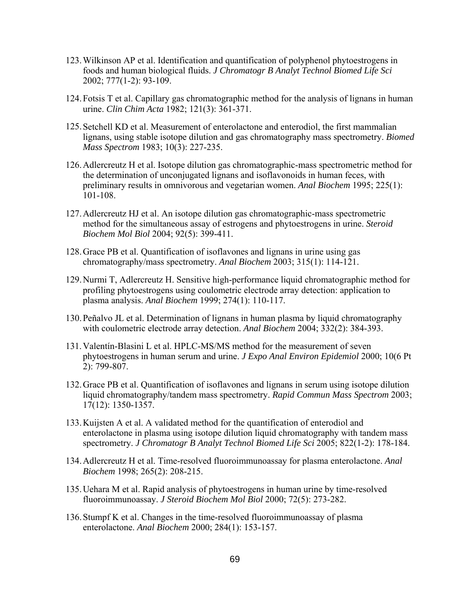- 123.Wilkinson AP et al. Identification and quantification of polyphenol phytoestrogens in foods and human biological fluids. *J Chromatogr B Analyt Technol Biomed Life Sci* 2002; 777(1-2): 93-109.
- 124.Fotsis T et al. Capillary gas chromatographic method for the analysis of lignans in human urine. *Clin Chim Acta* 1982; 121(3): 361-371.
- 125.Setchell KD et al. Measurement of enterolactone and enterodiol, the first mammalian lignans, using stable isotope dilution and gas chromatography mass spectrometry. *Biomed Mass Spectrom* 1983; 10(3): 227-235.
- 126.Adlercreutz H et al. Isotope dilution gas chromatographic-mass spectrometric method for the determination of unconjugated lignans and isoflavonoids in human feces, with preliminary results in omnivorous and vegetarian women. *Anal Biochem* 1995; 225(1): 101-108.
- 127.Adlercreutz HJ et al. An isotope dilution gas chromatographic-mass spectrometric method for the simultaneous assay of estrogens and phytoestrogens in urine. *Steroid Biochem Mol Biol* 2004; 92(5): 399-411.
- 128.Grace PB et al. Quantification of isoflavones and lignans in urine using gas chromatography/mass spectrometry. *Anal Biochem* 2003; 315(1): 114-121.
- 129.Nurmi T, Adlercreutz H. Sensitive high-performance liquid chromatographic method for profiling phytoestrogens using coulometric electrode array detection: application to plasma analysis. *Anal Biochem* 1999; 274(1): 110-117.
- 130.[Peñalvo JL](http://www.ncbi.nlm.nih.gov/pubmed?term=%22Pe%C3%B1alvo%20JL%22%5BAuthor%5D) et al. Determination of lignans in human plasma by liquid chromatography with coulometric electrode array detection. *Anal Biochem* 2004; 332(2): 384-393.
- 131.Valentín-Blasini L et al. HPLC-MS/MS method for the measurement of seven phytoestrogens in human serum and urine. *J Expo Anal Environ Epidemiol* 2000; 10(6 Pt 2): 799-807.
- 132.Grace PB et al. [Quantification of isoflavones and lignans in serum using isotope dilution](http://www.ncbi.nlm.nih.gov/pubmed/12811759)  [liquid chromatography/tandem mass spectrometry.](http://www.ncbi.nlm.nih.gov/pubmed/12811759) *Rapid Commun Mass Spectrom* 2003; 17(12): 1350-1357.
- 133.Kuijsten A et al. A validated method for the quantification of enterodiol and enterolactone in plasma using isotope dilution liquid chromatography with tandem mass spectrometry. *J Chromatogr B Analyt Technol Biomed Life Sci* 2005; 822(1-2): 178-184.
- 134.Adlercreutz H et al. Time-resolved fluoroimmunoassay for plasma enterolactone. *Anal Biochem* 1998; 265(2): 208-215.
- 135.Uehara M et al. Rapid analysis of phytoestrogens in human urine by time-resolved fluoroimmunoassay. *J Steroid Biochem Mol Biol* 2000; 72(5): 273-282.
- 136.Stumpf K et al. Changes in the time-resolved fluoroimmunoassay of plasma enterolactone. *Anal Biochem* 2000; 284(1): 153-157.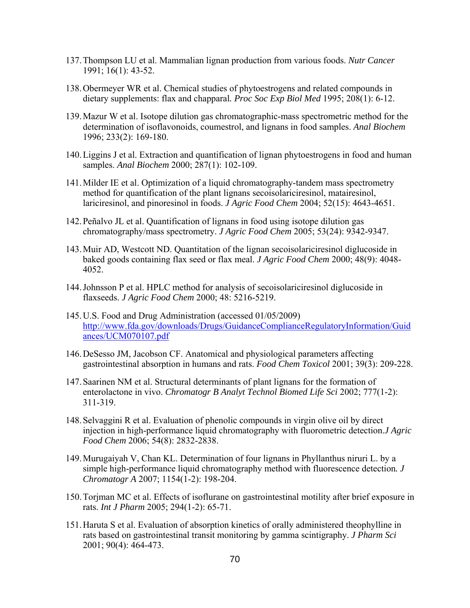- 137.Thompson LU et al. Mammalian lignan production from various foods. *Nutr Cancer* 1991; 16(1): 43-52.
- 138.Obermeyer WR et al. Chemical studies of phytoestrogens and related compounds in dietary supplements: flax and chapparal*. Proc Soc Exp Biol Med* 1995; 208(1): 6-12.
- 139.Mazur W et al. Isotope dilution gas chromatographic-mass spectrometric method for the determination of isoflavonoids, coumestrol, and lignans in food samples. *Anal Biochem* 1996; 233(2): 169-180.
- 140.Liggins J et al. Extraction and quantification of lignan phytoestrogens in food and human samples. *Anal Biochem* 2000; 287(1): 102-109.
- 141.Milder IE et al. Optimization of a liquid chromatography-tandem mass spectrometry method for quantification of the plant lignans secoisolariciresinol, matairesinol, lariciresinol, and pinoresinol in foods. *J Agric Food Chem* 2004; 52(15): 4643-4651.
- 142.[Peñalvo JL](http://www.ncbi.nlm.nih.gov/pubmed?term=%22Pe%C3%B1alvo%20JL%22%5BAuthor%5D) et al. Quantification of lignans in food using isotope dilution gas chromatography/mass spectrometry. *J Agric Food Chem* 2005; 53(24): 9342-9347.
- 143.Muir AD, Westcott ND. Quantitation of the lignan secoisolariciresinol diglucoside in baked goods containing flax seed or flax meal. *J Agric Food Chem* 2000; 48(9): 4048- 4052.
- 144.Johnsson P et al. HPLC method for analysis of secoisolariciresinol diglucoside in flaxseeds. *J Agric Food Chem* 2000; 48: 5216-5219.
- 145.U.S. Food and Drug Administration (accessed 01/05/2009) [http://www.fda.gov/downloads/Drugs/GuidanceComplianceRegulatoryInformation/Guid](http://www.fda.gov/downloads/Drugs/GuidanceComplianceRegulatoryInformation/Guidances/UCM070107.pdf) [ances/UCM070107.pdf](http://www.fda.gov/downloads/Drugs/GuidanceComplianceRegulatoryInformation/Guidances/UCM070107.pdf)
- 146.DeSesso JM, Jacobson CF. Anatomical and physiological parameters affecting gastrointestinal absorption in humans and rats. *Food Chem Toxicol* 2001; 39(3): 209-228.
- 147.Saarinen NM et al. Structural determinants of plant lignans for the formation of enterolactone in vivo. *Chromatogr B Analyt Technol Biomed Life Sci* 2002; 777(1-2): 311-319.
- 148.Selvaggini R et al. Evaluation of phenolic compounds in virgin olive oil by direct injection in high-performance liquid chromatography with fluorometric detection.*J Agric Food Chem* 2006; 54(8): 2832-2838.
- 149.Murugaiyah V, Chan KL. Determination of four lignans in Phyllanthus niruri L. by a simple high-performance liquid chromatography method with fluorescence detection*. J Chromatogr A* 2007; 1154(1-2): 198-204.
- 150.Torjman MC et al. Effects of isoflurane on gastrointestinal motility after brief exposure in rats. *Int J Pharm* 2005; 294(1-2): 65-71.
- 151.Haruta S et al. Evaluation of absorption kinetics of orally administered theophylline in rats based on gastrointestinal transit monitoring by gamma scintigraphy. *J Pharm Sci* 2001; 90(4): 464-473.